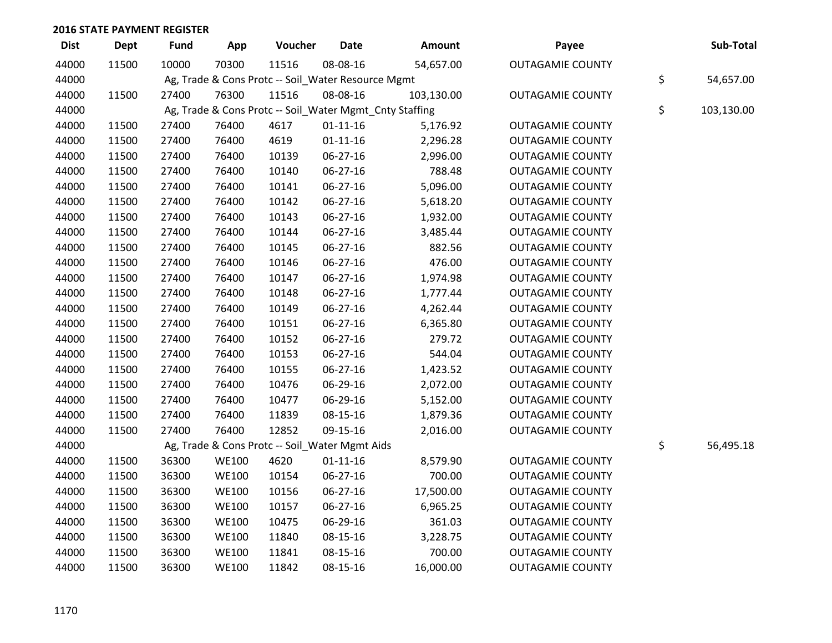| <b>Dist</b> | <b>Dept</b> | <b>Fund</b> | App          | Voucher                                            | <b>Date</b>    | <b>Amount</b>                                           | Payee                   | Sub-Total        |
|-------------|-------------|-------------|--------------|----------------------------------------------------|----------------|---------------------------------------------------------|-------------------------|------------------|
| 44000       | 11500       | 10000       | 70300        | 11516                                              | 08-08-16       | 54,657.00                                               | <b>OUTAGAMIE COUNTY</b> |                  |
| 44000       |             |             |              | Ag, Trade & Cons Protc -- Soil_Water Resource Mgmt |                |                                                         |                         | \$<br>54,657.00  |
| 44000       | 11500       | 27400       | 76300        | 11516                                              | 08-08-16       | 103,130.00                                              | <b>OUTAGAMIE COUNTY</b> |                  |
| 44000       |             |             |              |                                                    |                | Ag, Trade & Cons Protc -- Soil_Water Mgmt_Cnty Staffing |                         | \$<br>103,130.00 |
| 44000       | 11500       | 27400       | 76400        | 4617                                               | $01 - 11 - 16$ | 5,176.92                                                | <b>OUTAGAMIE COUNTY</b> |                  |
| 44000       | 11500       | 27400       | 76400        | 4619                                               | $01 - 11 - 16$ | 2,296.28                                                | <b>OUTAGAMIE COUNTY</b> |                  |
| 44000       | 11500       | 27400       | 76400        | 10139                                              | 06-27-16       | 2,996.00                                                | <b>OUTAGAMIE COUNTY</b> |                  |
| 44000       | 11500       | 27400       | 76400        | 10140                                              | 06-27-16       | 788.48                                                  | <b>OUTAGAMIE COUNTY</b> |                  |
| 44000       | 11500       | 27400       | 76400        | 10141                                              | 06-27-16       | 5,096.00                                                | <b>OUTAGAMIE COUNTY</b> |                  |
| 44000       | 11500       | 27400       | 76400        | 10142                                              | 06-27-16       | 5,618.20                                                | <b>OUTAGAMIE COUNTY</b> |                  |
| 44000       | 11500       | 27400       | 76400        | 10143                                              | 06-27-16       | 1,932.00                                                | <b>OUTAGAMIE COUNTY</b> |                  |
| 44000       | 11500       | 27400       | 76400        | 10144                                              | 06-27-16       | 3,485.44                                                | <b>OUTAGAMIE COUNTY</b> |                  |
| 44000       | 11500       | 27400       | 76400        | 10145                                              | 06-27-16       | 882.56                                                  | <b>OUTAGAMIE COUNTY</b> |                  |
| 44000       | 11500       | 27400       | 76400        | 10146                                              | 06-27-16       | 476.00                                                  | <b>OUTAGAMIE COUNTY</b> |                  |
| 44000       | 11500       | 27400       | 76400        | 10147                                              | 06-27-16       | 1,974.98                                                | <b>OUTAGAMIE COUNTY</b> |                  |
| 44000       | 11500       | 27400       | 76400        | 10148                                              | 06-27-16       | 1,777.44                                                | <b>OUTAGAMIE COUNTY</b> |                  |
| 44000       | 11500       | 27400       | 76400        | 10149                                              | 06-27-16       | 4,262.44                                                | <b>OUTAGAMIE COUNTY</b> |                  |
| 44000       | 11500       | 27400       | 76400        | 10151                                              | 06-27-16       | 6,365.80                                                | <b>OUTAGAMIE COUNTY</b> |                  |
| 44000       | 11500       | 27400       | 76400        | 10152                                              | 06-27-16       | 279.72                                                  | <b>OUTAGAMIE COUNTY</b> |                  |
| 44000       | 11500       | 27400       | 76400        | 10153                                              | 06-27-16       | 544.04                                                  | <b>OUTAGAMIE COUNTY</b> |                  |
| 44000       | 11500       | 27400       | 76400        | 10155                                              | 06-27-16       | 1,423.52                                                | <b>OUTAGAMIE COUNTY</b> |                  |
| 44000       | 11500       | 27400       | 76400        | 10476                                              | 06-29-16       | 2,072.00                                                | <b>OUTAGAMIE COUNTY</b> |                  |
| 44000       | 11500       | 27400       | 76400        | 10477                                              | 06-29-16       | 5,152.00                                                | <b>OUTAGAMIE COUNTY</b> |                  |
| 44000       | 11500       | 27400       | 76400        | 11839                                              | 08-15-16       | 1,879.36                                                | <b>OUTAGAMIE COUNTY</b> |                  |
| 44000       | 11500       | 27400       | 76400        | 12852                                              | 09-15-16       | 2,016.00                                                | <b>OUTAGAMIE COUNTY</b> |                  |
| 44000       |             |             |              | Ag, Trade & Cons Protc -- Soil_Water Mgmt Aids     |                |                                                         |                         | \$<br>56,495.18  |
| 44000       | 11500       | 36300       | <b>WE100</b> | 4620                                               | $01 - 11 - 16$ | 8,579.90                                                | <b>OUTAGAMIE COUNTY</b> |                  |
| 44000       | 11500       | 36300       | <b>WE100</b> | 10154                                              | 06-27-16       | 700.00                                                  | <b>OUTAGAMIE COUNTY</b> |                  |
| 44000       | 11500       | 36300       | <b>WE100</b> | 10156                                              | 06-27-16       | 17,500.00                                               | <b>OUTAGAMIE COUNTY</b> |                  |
| 44000       | 11500       | 36300       | <b>WE100</b> | 10157                                              | 06-27-16       | 6,965.25                                                | <b>OUTAGAMIE COUNTY</b> |                  |
| 44000       | 11500       | 36300       | <b>WE100</b> | 10475                                              | 06-29-16       | 361.03                                                  | <b>OUTAGAMIE COUNTY</b> |                  |
| 44000       | 11500       | 36300       | <b>WE100</b> | 11840                                              | 08-15-16       | 3,228.75                                                | <b>OUTAGAMIE COUNTY</b> |                  |
| 44000       | 11500       | 36300       | <b>WE100</b> | 11841                                              | 08-15-16       | 700.00                                                  | <b>OUTAGAMIE COUNTY</b> |                  |
| 44000       | 11500       | 36300       | <b>WE100</b> | 11842                                              | 08-15-16       | 16,000.00                                               | <b>OUTAGAMIE COUNTY</b> |                  |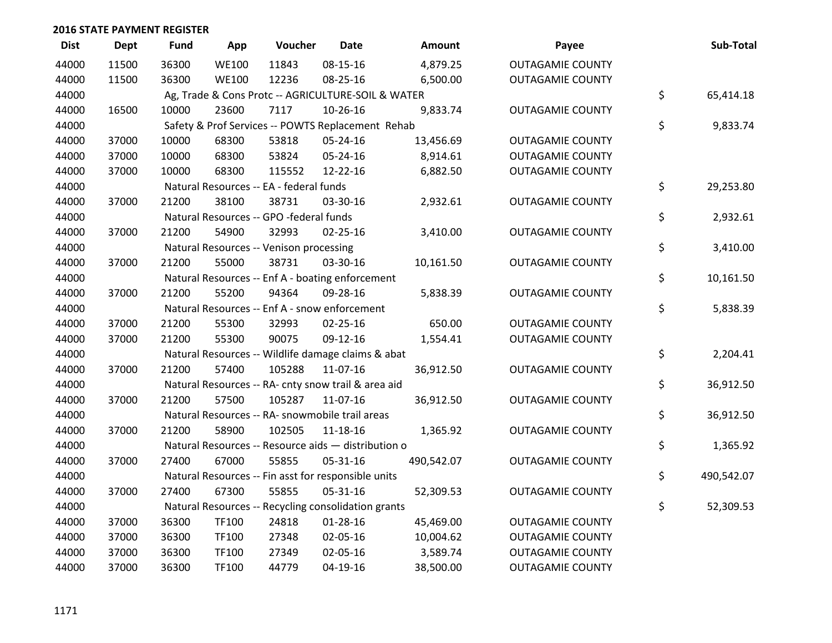| <b>Dist</b> | <b>Dept</b> | <b>Fund</b> | App          | Voucher                                             | <b>Date</b>    | <b>Amount</b> | Payee                   | Sub-Total        |
|-------------|-------------|-------------|--------------|-----------------------------------------------------|----------------|---------------|-------------------------|------------------|
| 44000       | 11500       | 36300       | <b>WE100</b> | 11843                                               | 08-15-16       | 4,879.25      | <b>OUTAGAMIE COUNTY</b> |                  |
| 44000       | 11500       | 36300       | <b>WE100</b> | 12236                                               | 08-25-16       | 6,500.00      | <b>OUTAGAMIE COUNTY</b> |                  |
| 44000       |             |             |              | Ag, Trade & Cons Protc -- AGRICULTURE-SOIL & WATER  |                |               |                         | \$<br>65,414.18  |
| 44000       | 16500       | 10000       | 23600        | 7117                                                | 10-26-16       | 9,833.74      | <b>OUTAGAMIE COUNTY</b> |                  |
| 44000       |             |             |              | Safety & Prof Services -- POWTS Replacement Rehab   |                |               |                         | \$<br>9,833.74   |
| 44000       | 37000       | 10000       | 68300        | 53818                                               | 05-24-16       | 13,456.69     | <b>OUTAGAMIE COUNTY</b> |                  |
| 44000       | 37000       | 10000       | 68300        | 53824                                               | 05-24-16       | 8,914.61      | <b>OUTAGAMIE COUNTY</b> |                  |
| 44000       | 37000       | 10000       | 68300        | 115552                                              | 12-22-16       | 6,882.50      | <b>OUTAGAMIE COUNTY</b> |                  |
| 44000       |             |             |              | Natural Resources -- EA - federal funds             |                |               |                         | \$<br>29,253.80  |
| 44000       | 37000       | 21200       | 38100        | 38731                                               | 03-30-16       | 2,932.61      | <b>OUTAGAMIE COUNTY</b> |                  |
| 44000       |             |             |              | Natural Resources -- GPO -federal funds             |                |               |                         | \$<br>2,932.61   |
| 44000       | 37000       | 21200       | 54900        | 32993                                               | $02 - 25 - 16$ | 3,410.00      | <b>OUTAGAMIE COUNTY</b> |                  |
| 44000       |             |             |              | Natural Resources -- Venison processing             |                |               |                         | \$<br>3,410.00   |
| 44000       | 37000       | 21200       | 55000        | 38731                                               | 03-30-16       | 10,161.50     | <b>OUTAGAMIE COUNTY</b> |                  |
| 44000       |             |             |              | Natural Resources -- Enf A - boating enforcement    |                |               |                         | \$<br>10,161.50  |
| 44000       | 37000       | 21200       | 55200        | 94364                                               | 09-28-16       | 5,838.39      | <b>OUTAGAMIE COUNTY</b> |                  |
| 44000       |             |             |              | Natural Resources -- Enf A - snow enforcement       |                |               |                         | \$<br>5,838.39   |
| 44000       | 37000       | 21200       | 55300        | 32993                                               | $02 - 25 - 16$ | 650.00        | <b>OUTAGAMIE COUNTY</b> |                  |
| 44000       | 37000       | 21200       | 55300        | 90075                                               | 09-12-16       | 1,554.41      | <b>OUTAGAMIE COUNTY</b> |                  |
| 44000       |             |             |              | Natural Resources -- Wildlife damage claims & abat  |                |               |                         | \$<br>2,204.41   |
| 44000       | 37000       | 21200       | 57400        | 105288                                              | 11-07-16       | 36,912.50     | <b>OUTAGAMIE COUNTY</b> |                  |
| 44000       |             |             |              | Natural Resources -- RA- cnty snow trail & area aid |                |               |                         | \$<br>36,912.50  |
| 44000       | 37000       | 21200       | 57500        | 105287                                              | 11-07-16       | 36,912.50     | <b>OUTAGAMIE COUNTY</b> |                  |
| 44000       |             |             |              | Natural Resources -- RA- snowmobile trail areas     |                |               |                         | \$<br>36,912.50  |
| 44000       | 37000       | 21200       | 58900        | 102505                                              | 11-18-16       | 1,365.92      | <b>OUTAGAMIE COUNTY</b> |                  |
| 44000       |             |             |              | Natural Resources -- Resource aids - distribution o |                |               |                         | \$<br>1,365.92   |
| 44000       | 37000       | 27400       | 67000        | 55855                                               | 05-31-16       | 490,542.07    | <b>OUTAGAMIE COUNTY</b> |                  |
| 44000       |             |             |              | Natural Resources -- Fin asst for responsible units |                |               |                         | \$<br>490,542.07 |
| 44000       | 37000       | 27400       | 67300        | 55855                                               | 05-31-16       | 52,309.53     | <b>OUTAGAMIE COUNTY</b> |                  |
| 44000       |             |             |              | Natural Resources -- Recycling consolidation grants |                |               |                         | \$<br>52,309.53  |
| 44000       | 37000       | 36300       | TF100        | 24818                                               | $01 - 28 - 16$ | 45,469.00     | <b>OUTAGAMIE COUNTY</b> |                  |
| 44000       | 37000       | 36300       | TF100        | 27348                                               | 02-05-16       | 10,004.62     | <b>OUTAGAMIE COUNTY</b> |                  |
| 44000       | 37000       | 36300       | TF100        | 27349                                               | 02-05-16       | 3,589.74      | <b>OUTAGAMIE COUNTY</b> |                  |
| 44000       | 37000       | 36300       | TF100        | 44779                                               | 04-19-16       | 38,500.00     | <b>OUTAGAMIE COUNTY</b> |                  |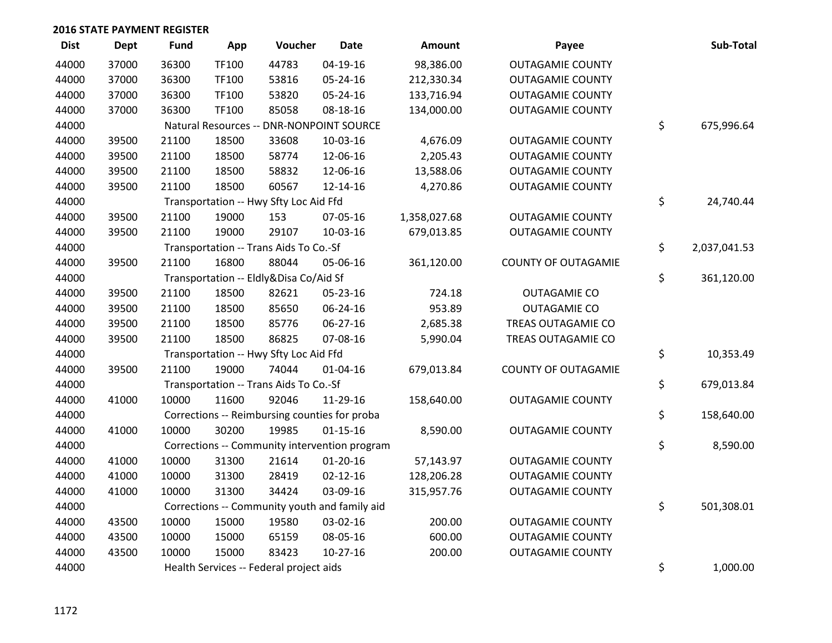| <b>Dist</b> | <b>Dept</b> | <b>Fund</b> | App   | Voucher                                 | <b>Date</b>                                   | <b>Amount</b> | Payee                      | Sub-Total          |
|-------------|-------------|-------------|-------|-----------------------------------------|-----------------------------------------------|---------------|----------------------------|--------------------|
| 44000       | 37000       | 36300       | TF100 | 44783                                   | $04-19-16$                                    | 98,386.00     | <b>OUTAGAMIE COUNTY</b>    |                    |
| 44000       | 37000       | 36300       | TF100 | 53816                                   | 05-24-16                                      | 212,330.34    | <b>OUTAGAMIE COUNTY</b>    |                    |
| 44000       | 37000       | 36300       | TF100 | 53820                                   | 05-24-16                                      | 133,716.94    | <b>OUTAGAMIE COUNTY</b>    |                    |
| 44000       | 37000       | 36300       | TF100 | 85058                                   | 08-18-16                                      | 134,000.00    | <b>OUTAGAMIE COUNTY</b>    |                    |
| 44000       |             |             |       |                                         | Natural Resources -- DNR-NONPOINT SOURCE      |               |                            | \$<br>675,996.64   |
| 44000       | 39500       | 21100       | 18500 | 33608                                   | 10-03-16                                      | 4,676.09      | <b>OUTAGAMIE COUNTY</b>    |                    |
| 44000       | 39500       | 21100       | 18500 | 58774                                   | 12-06-16                                      | 2,205.43      | <b>OUTAGAMIE COUNTY</b>    |                    |
| 44000       | 39500       | 21100       | 18500 | 58832                                   | 12-06-16                                      | 13,588.06     | <b>OUTAGAMIE COUNTY</b>    |                    |
| 44000       | 39500       | 21100       | 18500 | 60567                                   | 12-14-16                                      | 4,270.86      | <b>OUTAGAMIE COUNTY</b>    |                    |
| 44000       |             |             |       | Transportation -- Hwy Sfty Loc Aid Ffd  |                                               |               |                            | \$<br>24,740.44    |
| 44000       | 39500       | 21100       | 19000 | 153                                     | 07-05-16                                      | 1,358,027.68  | <b>OUTAGAMIE COUNTY</b>    |                    |
| 44000       | 39500       | 21100       | 19000 | 29107                                   | 10-03-16                                      | 679,013.85    | <b>OUTAGAMIE COUNTY</b>    |                    |
| 44000       |             |             |       | Transportation -- Trans Aids To Co.-Sf  |                                               |               |                            | \$<br>2,037,041.53 |
| 44000       | 39500       | 21100       | 16800 | 88044                                   | 05-06-16                                      | 361,120.00    | <b>COUNTY OF OUTAGAMIE</b> |                    |
| 44000       |             |             |       | Transportation -- Eldly&Disa Co/Aid Sf  |                                               |               |                            | \$<br>361,120.00   |
| 44000       | 39500       | 21100       | 18500 | 82621                                   | 05-23-16                                      | 724.18        | <b>OUTAGAMIE CO</b>        |                    |
| 44000       | 39500       | 21100       | 18500 | 85650                                   | 06-24-16                                      | 953.89        | <b>OUTAGAMIE CO</b>        |                    |
| 44000       | 39500       | 21100       | 18500 | 85776                                   | 06-27-16                                      | 2,685.38      | TREAS OUTAGAMIE CO         |                    |
| 44000       | 39500       | 21100       | 18500 | 86825                                   | 07-08-16                                      | 5,990.04      | TREAS OUTAGAMIE CO         |                    |
| 44000       |             |             |       | Transportation -- Hwy Sfty Loc Aid Ffd  |                                               |               |                            | \$<br>10,353.49    |
| 44000       | 39500       | 21100       | 19000 | 74044                                   | $01 - 04 - 16$                                | 679,013.84    | <b>COUNTY OF OUTAGAMIE</b> |                    |
| 44000       |             |             |       | Transportation -- Trans Aids To Co.-Sf  |                                               |               |                            | \$<br>679,013.84   |
| 44000       | 41000       | 10000       | 11600 | 92046                                   | 11-29-16                                      | 158,640.00    | <b>OUTAGAMIE COUNTY</b>    |                    |
| 44000       |             |             |       |                                         | Corrections -- Reimbursing counties for proba |               |                            | \$<br>158,640.00   |
| 44000       | 41000       | 10000       | 30200 | 19985                                   | $01 - 15 - 16$                                | 8,590.00      | <b>OUTAGAMIE COUNTY</b>    |                    |
| 44000       |             |             |       |                                         | Corrections -- Community intervention program |               |                            | \$<br>8,590.00     |
| 44000       | 41000       | 10000       | 31300 | 21614                                   | $01-20-16$                                    | 57,143.97     | <b>OUTAGAMIE COUNTY</b>    |                    |
| 44000       | 41000       | 10000       | 31300 | 28419                                   | $02 - 12 - 16$                                | 128,206.28    | <b>OUTAGAMIE COUNTY</b>    |                    |
| 44000       | 41000       | 10000       | 31300 | 34424                                   | 03-09-16                                      | 315,957.76    | <b>OUTAGAMIE COUNTY</b>    |                    |
| 44000       |             |             |       |                                         | Corrections -- Community youth and family aid |               |                            | \$<br>501,308.01   |
| 44000       | 43500       | 10000       | 15000 | 19580                                   | 03-02-16                                      | 200.00        | <b>OUTAGAMIE COUNTY</b>    |                    |
| 44000       | 43500       | 10000       | 15000 | 65159                                   | 08-05-16                                      | 600.00        | <b>OUTAGAMIE COUNTY</b>    |                    |
| 44000       | 43500       | 10000       | 15000 | 83423                                   | $10-27-16$                                    | 200.00        | <b>OUTAGAMIE COUNTY</b>    |                    |
| 44000       |             |             |       | Health Services -- Federal project aids |                                               |               |                            | \$<br>1,000.00     |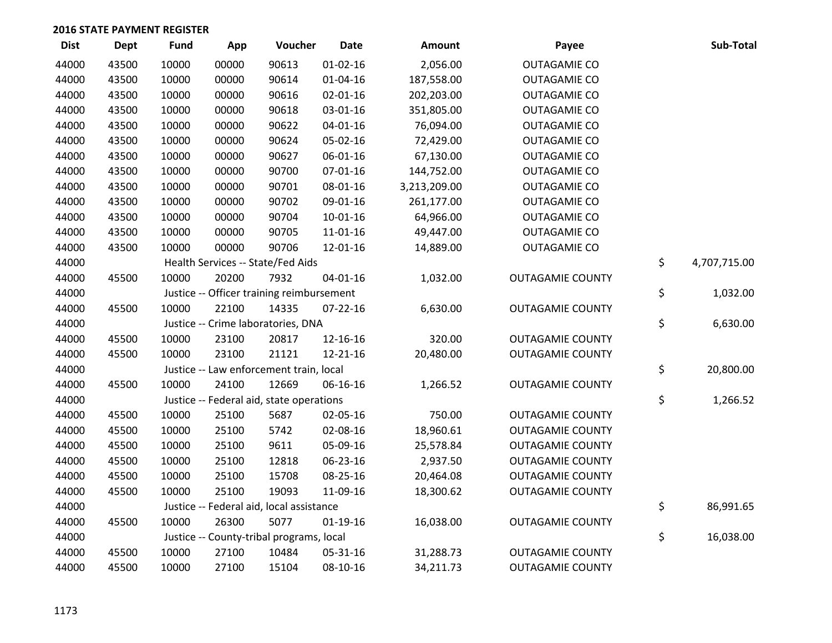| <b>Dist</b> | <b>Dept</b> | <b>Fund</b> | App   | Voucher                                   | <b>Date</b>    | Amount       | Payee                   | Sub-Total          |
|-------------|-------------|-------------|-------|-------------------------------------------|----------------|--------------|-------------------------|--------------------|
| 44000       | 43500       | 10000       | 00000 | 90613                                     | $01 - 02 - 16$ | 2,056.00     | <b>OUTAGAMIE CO</b>     |                    |
| 44000       | 43500       | 10000       | 00000 | 90614                                     | $01 - 04 - 16$ | 187,558.00   | <b>OUTAGAMIE CO</b>     |                    |
| 44000       | 43500       | 10000       | 00000 | 90616                                     | $02 - 01 - 16$ | 202,203.00   | <b>OUTAGAMIE CO</b>     |                    |
| 44000       | 43500       | 10000       | 00000 | 90618                                     | 03-01-16       | 351,805.00   | <b>OUTAGAMIE CO</b>     |                    |
| 44000       | 43500       | 10000       | 00000 | 90622                                     | $04 - 01 - 16$ | 76,094.00    | <b>OUTAGAMIE CO</b>     |                    |
| 44000       | 43500       | 10000       | 00000 | 90624                                     | 05-02-16       | 72,429.00    | <b>OUTAGAMIE CO</b>     |                    |
| 44000       | 43500       | 10000       | 00000 | 90627                                     | 06-01-16       | 67,130.00    | <b>OUTAGAMIE CO</b>     |                    |
| 44000       | 43500       | 10000       | 00000 | 90700                                     | $07 - 01 - 16$ | 144,752.00   | <b>OUTAGAMIE CO</b>     |                    |
| 44000       | 43500       | 10000       | 00000 | 90701                                     | 08-01-16       | 3,213,209.00 | <b>OUTAGAMIE CO</b>     |                    |
| 44000       | 43500       | 10000       | 00000 | 90702                                     | 09-01-16       | 261,177.00   | <b>OUTAGAMIE CO</b>     |                    |
| 44000       | 43500       | 10000       | 00000 | 90704                                     | $10-01-16$     | 64,966.00    | <b>OUTAGAMIE CO</b>     |                    |
| 44000       | 43500       | 10000       | 00000 | 90705                                     | 11-01-16       | 49,447.00    | <b>OUTAGAMIE CO</b>     |                    |
| 44000       | 43500       | 10000       | 00000 | 90706                                     | 12-01-16       | 14,889.00    | <b>OUTAGAMIE CO</b>     |                    |
| 44000       |             |             |       | Health Services -- State/Fed Aids         |                |              |                         | \$<br>4,707,715.00 |
| 44000       | 45500       | 10000       | 20200 | 7932                                      | $04 - 01 - 16$ | 1,032.00     | <b>OUTAGAMIE COUNTY</b> |                    |
| 44000       |             |             |       | Justice -- Officer training reimbursement |                |              |                         | \$<br>1,032.00     |
| 44000       | 45500       | 10000       | 22100 | 14335                                     | 07-22-16       | 6,630.00     | <b>OUTAGAMIE COUNTY</b> |                    |
| 44000       |             |             |       | Justice -- Crime laboratories, DNA        |                |              |                         | \$<br>6,630.00     |
| 44000       | 45500       | 10000       | 23100 | 20817                                     | 12-16-16       | 320.00       | <b>OUTAGAMIE COUNTY</b> |                    |
| 44000       | 45500       | 10000       | 23100 | 21121                                     | 12-21-16       | 20,480.00    | <b>OUTAGAMIE COUNTY</b> |                    |
| 44000       |             |             |       | Justice -- Law enforcement train, local   |                |              |                         | \$<br>20,800.00    |
| 44000       | 45500       | 10000       | 24100 | 12669                                     | 06-16-16       | 1,266.52     | <b>OUTAGAMIE COUNTY</b> |                    |
| 44000       |             |             |       | Justice -- Federal aid, state operations  |                |              |                         | \$<br>1,266.52     |
| 44000       | 45500       | 10000       | 25100 | 5687                                      | 02-05-16       | 750.00       | <b>OUTAGAMIE COUNTY</b> |                    |
| 44000       | 45500       | 10000       | 25100 | 5742                                      | 02-08-16       | 18,960.61    | <b>OUTAGAMIE COUNTY</b> |                    |
| 44000       | 45500       | 10000       | 25100 | 9611                                      | 05-09-16       | 25,578.84    | <b>OUTAGAMIE COUNTY</b> |                    |
| 44000       | 45500       | 10000       | 25100 | 12818                                     | 06-23-16       | 2,937.50     | <b>OUTAGAMIE COUNTY</b> |                    |
| 44000       | 45500       | 10000       | 25100 | 15708                                     | 08-25-16       | 20,464.08    | <b>OUTAGAMIE COUNTY</b> |                    |
| 44000       | 45500       | 10000       | 25100 | 19093                                     | 11-09-16       | 18,300.62    | <b>OUTAGAMIE COUNTY</b> |                    |
| 44000       |             |             |       | Justice -- Federal aid, local assistance  |                |              |                         | \$<br>86,991.65    |
| 44000       | 45500       | 10000       | 26300 | 5077                                      | $01-19-16$     | 16,038.00    | <b>OUTAGAMIE COUNTY</b> |                    |
| 44000       |             |             |       | Justice -- County-tribal programs, local  |                |              |                         | \$<br>16,038.00    |
| 44000       | 45500       | 10000       | 27100 | 10484                                     | 05-31-16       | 31,288.73    | <b>OUTAGAMIE COUNTY</b> |                    |
| 44000       | 45500       | 10000       | 27100 | 15104                                     | 08-10-16       | 34,211.73    | <b>OUTAGAMIE COUNTY</b> |                    |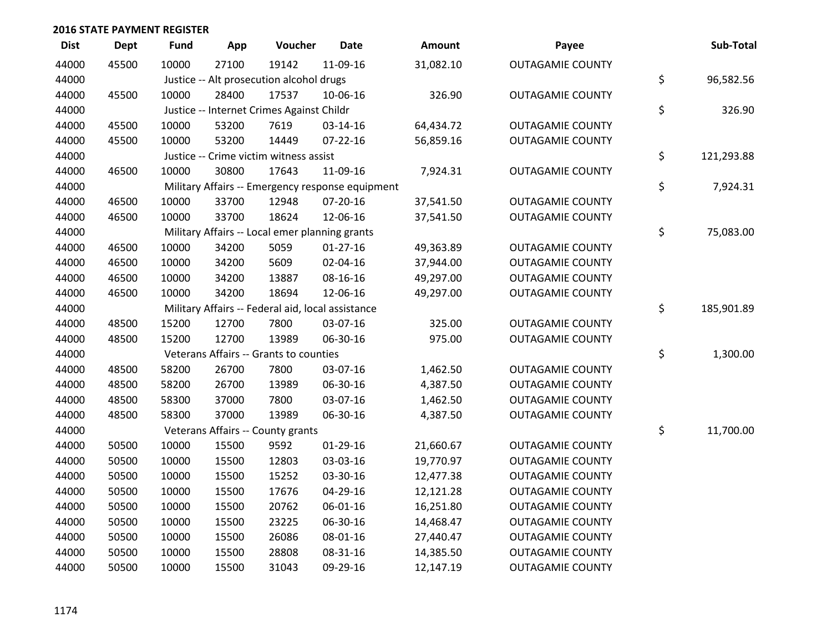| <b>Dist</b> | Dept  | <b>Fund</b> | App   | Voucher                                           | <b>Date</b>                                      | Amount    | Payee                   | Sub-Total        |
|-------------|-------|-------------|-------|---------------------------------------------------|--------------------------------------------------|-----------|-------------------------|------------------|
| 44000       | 45500 | 10000       | 27100 | 19142                                             | 11-09-16                                         | 31,082.10 | <b>OUTAGAMIE COUNTY</b> |                  |
| 44000       |       |             |       | Justice -- Alt prosecution alcohol drugs          |                                                  |           |                         | \$<br>96,582.56  |
| 44000       | 45500 | 10000       | 28400 | 17537                                             | 10-06-16                                         | 326.90    | <b>OUTAGAMIE COUNTY</b> |                  |
| 44000       |       |             |       | Justice -- Internet Crimes Against Childr         |                                                  |           |                         | \$<br>326.90     |
| 44000       | 45500 | 10000       | 53200 | 7619                                              | 03-14-16                                         | 64,434.72 | <b>OUTAGAMIE COUNTY</b> |                  |
| 44000       | 45500 | 10000       | 53200 | 14449                                             | $07 - 22 - 16$                                   | 56,859.16 | <b>OUTAGAMIE COUNTY</b> |                  |
| 44000       |       |             |       | Justice -- Crime victim witness assist            |                                                  |           |                         | \$<br>121,293.88 |
| 44000       | 46500 | 10000       | 30800 | 17643                                             | 11-09-16                                         | 7,924.31  | <b>OUTAGAMIE COUNTY</b> |                  |
| 44000       |       |             |       |                                                   | Military Affairs -- Emergency response equipment |           |                         | \$<br>7,924.31   |
| 44000       | 46500 | 10000       | 33700 | 12948                                             | 07-20-16                                         | 37,541.50 | <b>OUTAGAMIE COUNTY</b> |                  |
| 44000       | 46500 | 10000       | 33700 | 18624                                             | 12-06-16                                         | 37,541.50 | <b>OUTAGAMIE COUNTY</b> |                  |
| 44000       |       |             |       | Military Affairs -- Local emer planning grants    |                                                  |           |                         | \$<br>75,083.00  |
| 44000       | 46500 | 10000       | 34200 | 5059                                              | $01-27-16$                                       | 49,363.89 | <b>OUTAGAMIE COUNTY</b> |                  |
| 44000       | 46500 | 10000       | 34200 | 5609                                              | 02-04-16                                         | 37,944.00 | <b>OUTAGAMIE COUNTY</b> |                  |
| 44000       | 46500 | 10000       | 34200 | 13887                                             | 08-16-16                                         | 49,297.00 | <b>OUTAGAMIE COUNTY</b> |                  |
| 44000       | 46500 | 10000       | 34200 | 18694                                             | 12-06-16                                         | 49,297.00 | <b>OUTAGAMIE COUNTY</b> |                  |
| 44000       |       |             |       | Military Affairs -- Federal aid, local assistance |                                                  |           |                         | \$<br>185,901.89 |
| 44000       | 48500 | 15200       | 12700 | 7800                                              | 03-07-16                                         | 325.00    | <b>OUTAGAMIE COUNTY</b> |                  |
| 44000       | 48500 | 15200       | 12700 | 13989                                             | 06-30-16                                         | 975.00    | <b>OUTAGAMIE COUNTY</b> |                  |
| 44000       |       |             |       | Veterans Affairs -- Grants to counties            |                                                  |           |                         | \$<br>1,300.00   |
| 44000       | 48500 | 58200       | 26700 | 7800                                              | 03-07-16                                         | 1,462.50  | <b>OUTAGAMIE COUNTY</b> |                  |
| 44000       | 48500 | 58200       | 26700 | 13989                                             | 06-30-16                                         | 4,387.50  | <b>OUTAGAMIE COUNTY</b> |                  |
| 44000       | 48500 | 58300       | 37000 | 7800                                              | 03-07-16                                         | 1,462.50  | <b>OUTAGAMIE COUNTY</b> |                  |
| 44000       | 48500 | 58300       | 37000 | 13989                                             | 06-30-16                                         | 4,387.50  | <b>OUTAGAMIE COUNTY</b> |                  |
| 44000       |       |             |       | Veterans Affairs -- County grants                 |                                                  |           |                         | \$<br>11,700.00  |
| 44000       | 50500 | 10000       | 15500 | 9592                                              | $01-29-16$                                       | 21,660.67 | <b>OUTAGAMIE COUNTY</b> |                  |
| 44000       | 50500 | 10000       | 15500 | 12803                                             | 03-03-16                                         | 19,770.97 | <b>OUTAGAMIE COUNTY</b> |                  |
| 44000       | 50500 | 10000       | 15500 | 15252                                             | 03-30-16                                         | 12,477.38 | <b>OUTAGAMIE COUNTY</b> |                  |
| 44000       | 50500 | 10000       | 15500 | 17676                                             | 04-29-16                                         | 12,121.28 | <b>OUTAGAMIE COUNTY</b> |                  |
| 44000       | 50500 | 10000       | 15500 | 20762                                             | 06-01-16                                         | 16,251.80 | <b>OUTAGAMIE COUNTY</b> |                  |
| 44000       | 50500 | 10000       | 15500 | 23225                                             | 06-30-16                                         | 14,468.47 | <b>OUTAGAMIE COUNTY</b> |                  |
| 44000       | 50500 | 10000       | 15500 | 26086                                             | 08-01-16                                         | 27,440.47 | <b>OUTAGAMIE COUNTY</b> |                  |
| 44000       | 50500 | 10000       | 15500 | 28808                                             | 08-31-16                                         | 14,385.50 | <b>OUTAGAMIE COUNTY</b> |                  |
| 44000       | 50500 | 10000       | 15500 | 31043                                             | 09-29-16                                         | 12,147.19 | <b>OUTAGAMIE COUNTY</b> |                  |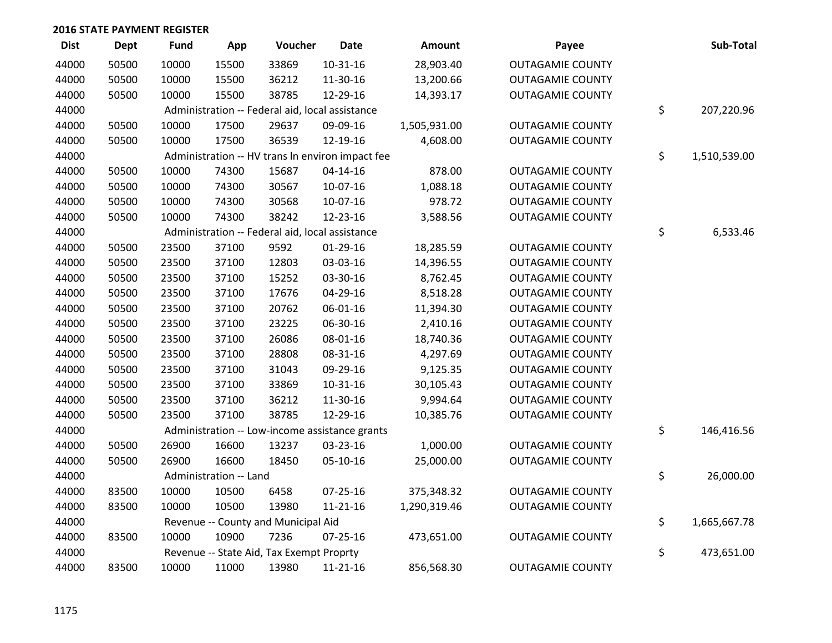| <b>Dist</b> | <b>Dept</b> | <b>Fund</b> | App                    | Voucher                                          | <b>Date</b>    | Amount       | Payee                   | Sub-Total          |
|-------------|-------------|-------------|------------------------|--------------------------------------------------|----------------|--------------|-------------------------|--------------------|
| 44000       | 50500       | 10000       | 15500                  | 33869                                            | 10-31-16       | 28,903.40    | <b>OUTAGAMIE COUNTY</b> |                    |
| 44000       | 50500       | 10000       | 15500                  | 36212                                            | 11-30-16       | 13,200.66    | <b>OUTAGAMIE COUNTY</b> |                    |
| 44000       | 50500       | 10000       | 15500                  | 38785                                            | 12-29-16       | 14,393.17    | <b>OUTAGAMIE COUNTY</b> |                    |
| 44000       |             |             |                        | Administration -- Federal aid, local assistance  |                |              |                         | \$<br>207,220.96   |
| 44000       | 50500       | 10000       | 17500                  | 29637                                            | 09-09-16       | 1,505,931.00 | <b>OUTAGAMIE COUNTY</b> |                    |
| 44000       | 50500       | 10000       | 17500                  | 36539                                            | 12-19-16       | 4,608.00     | <b>OUTAGAMIE COUNTY</b> |                    |
| 44000       |             |             |                        | Administration -- HV trans In environ impact fee |                |              |                         | \$<br>1,510,539.00 |
| 44000       | 50500       | 10000       | 74300                  | 15687                                            | $04 - 14 - 16$ | 878.00       | <b>OUTAGAMIE COUNTY</b> |                    |
| 44000       | 50500       | 10000       | 74300                  | 30567                                            | 10-07-16       | 1,088.18     | <b>OUTAGAMIE COUNTY</b> |                    |
| 44000       | 50500       | 10000       | 74300                  | 30568                                            | 10-07-16       | 978.72       | <b>OUTAGAMIE COUNTY</b> |                    |
| 44000       | 50500       | 10000       | 74300                  | 38242                                            | 12-23-16       | 3,588.56     | <b>OUTAGAMIE COUNTY</b> |                    |
| 44000       |             |             |                        | Administration -- Federal aid, local assistance  |                |              |                         | \$<br>6,533.46     |
| 44000       | 50500       | 23500       | 37100                  | 9592                                             | 01-29-16       | 18,285.59    | <b>OUTAGAMIE COUNTY</b> |                    |
| 44000       | 50500       | 23500       | 37100                  | 12803                                            | 03-03-16       | 14,396.55    | <b>OUTAGAMIE COUNTY</b> |                    |
| 44000       | 50500       | 23500       | 37100                  | 15252                                            | 03-30-16       | 8,762.45     | <b>OUTAGAMIE COUNTY</b> |                    |
| 44000       | 50500       | 23500       | 37100                  | 17676                                            | 04-29-16       | 8,518.28     | <b>OUTAGAMIE COUNTY</b> |                    |
| 44000       | 50500       | 23500       | 37100                  | 20762                                            | 06-01-16       | 11,394.30    | <b>OUTAGAMIE COUNTY</b> |                    |
| 44000       | 50500       | 23500       | 37100                  | 23225                                            | 06-30-16       | 2,410.16     | <b>OUTAGAMIE COUNTY</b> |                    |
| 44000       | 50500       | 23500       | 37100                  | 26086                                            | 08-01-16       | 18,740.36    | <b>OUTAGAMIE COUNTY</b> |                    |
| 44000       | 50500       | 23500       | 37100                  | 28808                                            | 08-31-16       | 4,297.69     | <b>OUTAGAMIE COUNTY</b> |                    |
| 44000       | 50500       | 23500       | 37100                  | 31043                                            | 09-29-16       | 9,125.35     | <b>OUTAGAMIE COUNTY</b> |                    |
| 44000       | 50500       | 23500       | 37100                  | 33869                                            | $10-31-16$     | 30,105.43    | <b>OUTAGAMIE COUNTY</b> |                    |
| 44000       | 50500       | 23500       | 37100                  | 36212                                            | 11-30-16       | 9,994.64     | <b>OUTAGAMIE COUNTY</b> |                    |
| 44000       | 50500       | 23500       | 37100                  | 38785                                            | 12-29-16       | 10,385.76    | <b>OUTAGAMIE COUNTY</b> |                    |
| 44000       |             |             |                        | Administration -- Low-income assistance grants   |                |              |                         | \$<br>146,416.56   |
| 44000       | 50500       | 26900       | 16600                  | 13237                                            | 03-23-16       | 1,000.00     | <b>OUTAGAMIE COUNTY</b> |                    |
| 44000       | 50500       | 26900       | 16600                  | 18450                                            | 05-10-16       | 25,000.00    | <b>OUTAGAMIE COUNTY</b> |                    |
| 44000       |             |             | Administration -- Land |                                                  |                |              |                         | \$<br>26,000.00    |
| 44000       | 83500       | 10000       | 10500                  | 6458                                             | 07-25-16       | 375,348.32   | <b>OUTAGAMIE COUNTY</b> |                    |
| 44000       | 83500       | 10000       | 10500                  | 13980                                            | $11 - 21 - 16$ | 1,290,319.46 | <b>OUTAGAMIE COUNTY</b> |                    |
| 44000       |             |             |                        | Revenue -- County and Municipal Aid              |                |              |                         | \$<br>1,665,667.78 |
| 44000       | 83500       | 10000       | 10900                  | 7236                                             | $07 - 25 - 16$ | 473,651.00   | <b>OUTAGAMIE COUNTY</b> |                    |
| 44000       |             |             |                        | Revenue -- State Aid, Tax Exempt Proprty         |                |              |                         | \$<br>473,651.00   |
| 44000       | 83500       | 10000       | 11000                  | 13980                                            | 11-21-16       | 856,568.30   | <b>OUTAGAMIE COUNTY</b> |                    |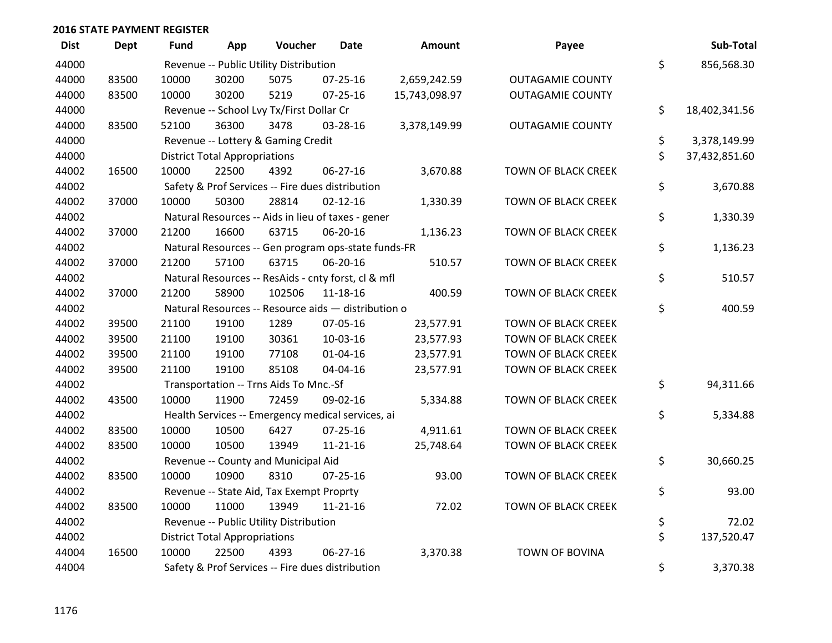| <b>Dist</b> | <b>Dept</b> | <b>Fund</b> | App                                  | Voucher                                  | <b>Date</b>                                         | <b>Amount</b> | Payee                      | Sub-Total           |
|-------------|-------------|-------------|--------------------------------------|------------------------------------------|-----------------------------------------------------|---------------|----------------------------|---------------------|
| 44000       |             |             |                                      | Revenue -- Public Utility Distribution   |                                                     |               |                            | \$<br>856,568.30    |
| 44000       | 83500       | 10000       | 30200                                | 5075                                     | 07-25-16                                            | 2,659,242.59  | <b>OUTAGAMIE COUNTY</b>    |                     |
| 44000       | 83500       | 10000       | 30200                                | 5219                                     | $07 - 25 - 16$                                      | 15,743,098.97 | <b>OUTAGAMIE COUNTY</b>    |                     |
| 44000       |             |             |                                      | Revenue -- School Lvy Tx/First Dollar Cr |                                                     |               |                            | \$<br>18,402,341.56 |
| 44000       | 83500       | 52100       | 36300                                | 3478                                     | 03-28-16                                            | 3,378,149.99  | <b>OUTAGAMIE COUNTY</b>    |                     |
| 44000       |             |             |                                      | Revenue -- Lottery & Gaming Credit       |                                                     |               |                            | \$<br>3,378,149.99  |
| 44000       |             |             | <b>District Total Appropriations</b> |                                          |                                                     |               |                            | \$<br>37,432,851.60 |
| 44002       | 16500       | 10000       | 22500                                | 4392                                     | 06-27-16                                            | 3,670.88      | TOWN OF BLACK CREEK        |                     |
| 44002       |             |             |                                      |                                          | Safety & Prof Services -- Fire dues distribution    |               |                            | \$<br>3,670.88      |
| 44002       | 37000       | 10000       | 50300                                | 28814                                    | $02 - 12 - 16$                                      | 1,330.39      | TOWN OF BLACK CREEK        |                     |
| 44002       |             |             |                                      |                                          | Natural Resources -- Aids in lieu of taxes - gener  |               |                            | \$<br>1,330.39      |
| 44002       | 37000       | 21200       | 16600                                | 63715                                    | 06-20-16                                            | 1,136.23      | <b>TOWN OF BLACK CREEK</b> |                     |
| 44002       |             |             |                                      |                                          | Natural Resources -- Gen program ops-state funds-FR |               |                            | \$<br>1,136.23      |
| 44002       | 37000       | 21200       | 57100                                | 63715                                    | 06-20-16                                            | 510.57        | <b>TOWN OF BLACK CREEK</b> |                     |
| 44002       |             |             |                                      |                                          | Natural Resources -- ResAids - cnty forst, cl & mfl |               |                            | \$<br>510.57        |
| 44002       | 37000       | 21200       | 58900                                | 102506                                   | 11-18-16                                            | 400.59        | <b>TOWN OF BLACK CREEK</b> |                     |
| 44002       |             |             |                                      |                                          | Natural Resources -- Resource aids - distribution o |               |                            | \$<br>400.59        |
| 44002       | 39500       | 21100       | 19100                                | 1289                                     | 07-05-16                                            | 23,577.91     | <b>TOWN OF BLACK CREEK</b> |                     |
| 44002       | 39500       | 21100       | 19100                                | 30361                                    | 10-03-16                                            | 23,577.93     | <b>TOWN OF BLACK CREEK</b> |                     |
| 44002       | 39500       | 21100       | 19100                                | 77108                                    | $01 - 04 - 16$                                      | 23,577.91     | <b>TOWN OF BLACK CREEK</b> |                     |
| 44002       | 39500       | 21100       | 19100                                | 85108                                    | 04-04-16                                            | 23,577.91     | <b>TOWN OF BLACK CREEK</b> |                     |
| 44002       |             |             |                                      | Transportation -- Trns Aids To Mnc.-Sf   |                                                     |               |                            | \$<br>94,311.66     |
| 44002       | 43500       | 10000       | 11900                                | 72459                                    | 09-02-16                                            | 5,334.88      | TOWN OF BLACK CREEK        |                     |
| 44002       |             |             |                                      |                                          | Health Services -- Emergency medical services, ai   |               |                            | \$<br>5,334.88      |
| 44002       | 83500       | 10000       | 10500                                | 6427                                     | $07 - 25 - 16$                                      | 4,911.61      | <b>TOWN OF BLACK CREEK</b> |                     |
| 44002       | 83500       | 10000       | 10500                                | 13949                                    | $11 - 21 - 16$                                      | 25,748.64     | TOWN OF BLACK CREEK        |                     |
| 44002       |             |             |                                      | Revenue -- County and Municipal Aid      |                                                     |               |                            | \$<br>30,660.25     |
| 44002       | 83500       | 10000       | 10900                                | 8310                                     | $07 - 25 - 16$                                      | 93.00         | <b>TOWN OF BLACK CREEK</b> |                     |
| 44002       |             |             |                                      | Revenue -- State Aid, Tax Exempt Proprty |                                                     |               |                            | \$<br>93.00         |
| 44002       | 83500       | 10000       | 11000                                | 13949                                    | 11-21-16                                            | 72.02         | <b>TOWN OF BLACK CREEK</b> |                     |
| 44002       |             |             |                                      | Revenue -- Public Utility Distribution   |                                                     |               |                            | \$<br>72.02         |
| 44002       |             |             | <b>District Total Appropriations</b> |                                          |                                                     |               |                            | \$<br>137,520.47    |
| 44004       | 16500       | 10000       | 22500                                | 4393                                     | 06-27-16                                            | 3,370.38      | <b>TOWN OF BOVINA</b>      |                     |
| 44004       |             |             |                                      |                                          | Safety & Prof Services -- Fire dues distribution    |               |                            | \$<br>3,370.38      |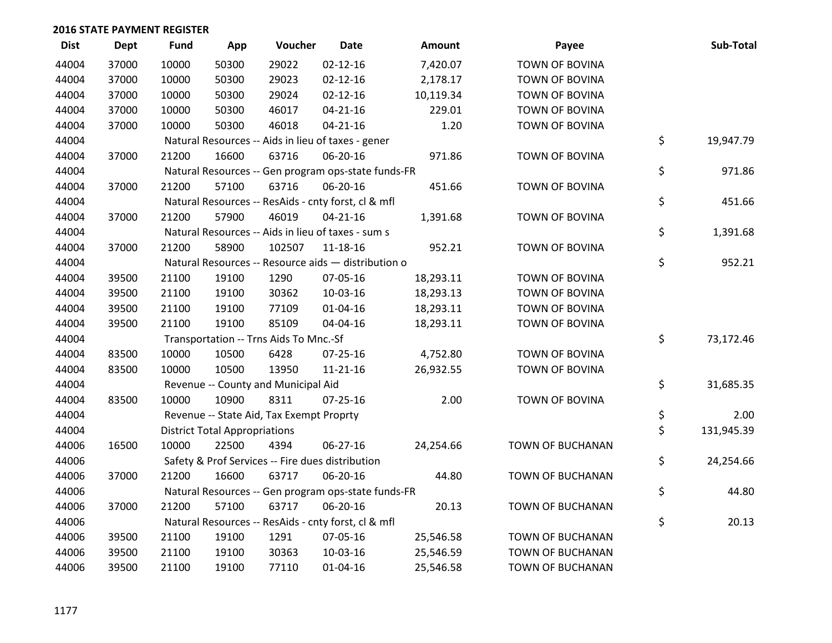| <b>Dist</b> | Dept  | <b>Fund</b> | App                                  | Voucher                                             | <b>Date</b>    | Amount    | Payee                 | Sub-Total        |
|-------------|-------|-------------|--------------------------------------|-----------------------------------------------------|----------------|-----------|-----------------------|------------------|
| 44004       | 37000 | 10000       | 50300                                | 29022                                               | $02 - 12 - 16$ | 7,420.07  | <b>TOWN OF BOVINA</b> |                  |
| 44004       | 37000 | 10000       | 50300                                | 29023                                               | $02 - 12 - 16$ | 2,178.17  | TOWN OF BOVINA        |                  |
| 44004       | 37000 | 10000       | 50300                                | 29024                                               | $02 - 12 - 16$ | 10,119.34 | <b>TOWN OF BOVINA</b> |                  |
| 44004       | 37000 | 10000       | 50300                                | 46017                                               | $04 - 21 - 16$ | 229.01    | TOWN OF BOVINA        |                  |
| 44004       | 37000 | 10000       | 50300                                | 46018                                               | $04 - 21 - 16$ | 1.20      | TOWN OF BOVINA        |                  |
| 44004       |       |             |                                      | Natural Resources -- Aids in lieu of taxes - gener  |                |           |                       | \$<br>19,947.79  |
| 44004       | 37000 | 21200       | 16600                                | 63716                                               | 06-20-16       | 971.86    | TOWN OF BOVINA        |                  |
| 44004       |       |             |                                      | Natural Resources -- Gen program ops-state funds-FR |                |           |                       | \$<br>971.86     |
| 44004       | 37000 | 21200       | 57100                                | 63716                                               | 06-20-16       | 451.66    | TOWN OF BOVINA        |                  |
| 44004       |       |             |                                      | Natural Resources -- ResAids - cnty forst, cl & mfl |                |           |                       | \$<br>451.66     |
| 44004       | 37000 | 21200       | 57900                                | 46019                                               | $04 - 21 - 16$ | 1,391.68  | TOWN OF BOVINA        |                  |
| 44004       |       |             |                                      | Natural Resources -- Aids in lieu of taxes - sum s  |                |           |                       | \$<br>1,391.68   |
| 44004       | 37000 | 21200       | 58900                                | 102507                                              | $11 - 18 - 16$ | 952.21    | <b>TOWN OF BOVINA</b> |                  |
| 44004       |       |             |                                      | Natural Resources -- Resource aids - distribution o |                |           |                       | \$<br>952.21     |
| 44004       | 39500 | 21100       | 19100                                | 1290                                                | 07-05-16       | 18,293.11 | <b>TOWN OF BOVINA</b> |                  |
| 44004       | 39500 | 21100       | 19100                                | 30362                                               | 10-03-16       | 18,293.13 | TOWN OF BOVINA        |                  |
| 44004       | 39500 | 21100       | 19100                                | 77109                                               | 01-04-16       | 18,293.11 | TOWN OF BOVINA        |                  |
| 44004       | 39500 | 21100       | 19100                                | 85109                                               | 04-04-16       | 18,293.11 | <b>TOWN OF BOVINA</b> |                  |
| 44004       |       |             |                                      | Transportation -- Trns Aids To Mnc.-Sf              |                |           |                       | \$<br>73,172.46  |
| 44004       | 83500 | 10000       | 10500                                | 6428                                                | 07-25-16       | 4,752.80  | <b>TOWN OF BOVINA</b> |                  |
| 44004       | 83500 | 10000       | 10500                                | 13950                                               | $11 - 21 - 16$ | 26,932.55 | TOWN OF BOVINA        |                  |
| 44004       |       |             |                                      | Revenue -- County and Municipal Aid                 |                |           |                       | \$<br>31,685.35  |
| 44004       | 83500 | 10000       | 10900                                | 8311                                                | $07 - 25 - 16$ | 2.00      | TOWN OF BOVINA        |                  |
| 44004       |       |             |                                      | Revenue -- State Aid, Tax Exempt Proprty            |                |           |                       | \$<br>2.00       |
| 44004       |       |             | <b>District Total Appropriations</b> |                                                     |                |           |                       | \$<br>131,945.39 |
| 44006       | 16500 | 10000       | 22500                                | 4394                                                | 06-27-16       | 24,254.66 | TOWN OF BUCHANAN      |                  |
| 44006       |       |             |                                      | Safety & Prof Services -- Fire dues distribution    |                |           |                       | \$<br>24,254.66  |
| 44006       | 37000 | 21200       | 16600                                | 63717                                               | 06-20-16       | 44.80     | TOWN OF BUCHANAN      |                  |
| 44006       |       |             |                                      | Natural Resources -- Gen program ops-state funds-FR |                |           |                       | \$<br>44.80      |
| 44006       | 37000 | 21200       | 57100                                | 63717                                               | 06-20-16       | 20.13     | TOWN OF BUCHANAN      |                  |
| 44006       |       |             |                                      | Natural Resources -- ResAids - cnty forst, cl & mfl |                |           |                       | \$<br>20.13      |
| 44006       | 39500 | 21100       | 19100                                | 1291                                                | 07-05-16       | 25,546.58 | TOWN OF BUCHANAN      |                  |
| 44006       | 39500 | 21100       | 19100                                | 30363                                               | 10-03-16       | 25,546.59 | TOWN OF BUCHANAN      |                  |
| 44006       | 39500 | 21100       | 19100                                | 77110                                               | $01 - 04 - 16$ | 25,546.58 | TOWN OF BUCHANAN      |                  |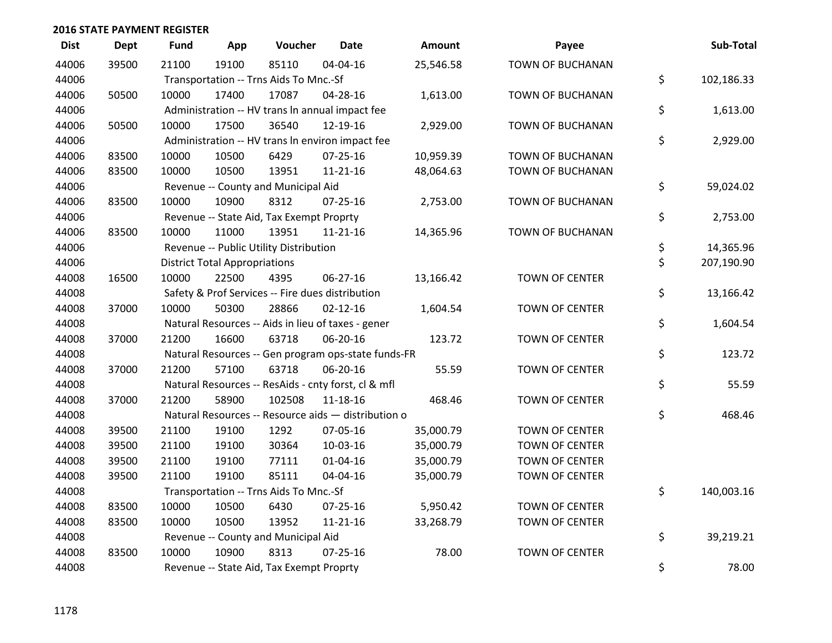| <b>Dist</b> | <b>Dept</b> | <b>Fund</b> | App                                  | Voucher                                          | <b>Date</b>                                         | Amount    | Payee                   | Sub-Total        |
|-------------|-------------|-------------|--------------------------------------|--------------------------------------------------|-----------------------------------------------------|-----------|-------------------------|------------------|
| 44006       | 39500       | 21100       | 19100                                | 85110                                            | 04-04-16                                            | 25,546.58 | TOWN OF BUCHANAN        |                  |
| 44006       |             |             |                                      | Transportation -- Trns Aids To Mnc.-Sf           |                                                     |           |                         | \$<br>102,186.33 |
| 44006       | 50500       | 10000       | 17400                                | 17087                                            | 04-28-16                                            | 1,613.00  | <b>TOWN OF BUCHANAN</b> |                  |
| 44006       |             |             |                                      |                                                  | Administration -- HV trans In annual impact fee     |           |                         | \$<br>1,613.00   |
| 44006       | 50500       | 10000       | 17500                                | 36540                                            | 12-19-16                                            | 2,929.00  | TOWN OF BUCHANAN        |                  |
| 44006       |             |             |                                      |                                                  | Administration -- HV trans In environ impact fee    |           |                         | \$<br>2,929.00   |
| 44006       | 83500       | 10000       | 10500                                | 6429                                             | $07 - 25 - 16$                                      | 10,959.39 | <b>TOWN OF BUCHANAN</b> |                  |
| 44006       | 83500       | 10000       | 10500                                | 13951                                            | $11 - 21 - 16$                                      | 48,064.63 | TOWN OF BUCHANAN        |                  |
| 44006       |             |             |                                      | Revenue -- County and Municipal Aid              |                                                     |           |                         | \$<br>59,024.02  |
| 44006       | 83500       | 10000       | 10900                                | 8312                                             | $07 - 25 - 16$                                      | 2,753.00  | TOWN OF BUCHANAN        |                  |
| 44006       |             |             |                                      | Revenue -- State Aid, Tax Exempt Proprty         |                                                     |           |                         | \$<br>2,753.00   |
| 44006       | 83500       | 10000       | 11000                                | 13951                                            | $11 - 21 - 16$                                      | 14,365.96 | TOWN OF BUCHANAN        |                  |
| 44006       |             |             |                                      | Revenue -- Public Utility Distribution           |                                                     |           |                         | \$<br>14,365.96  |
| 44006       |             |             | <b>District Total Appropriations</b> |                                                  |                                                     |           |                         | \$<br>207,190.90 |
| 44008       | 16500       | 10000       | 22500                                | 4395                                             | 06-27-16                                            | 13,166.42 | <b>TOWN OF CENTER</b>   |                  |
| 44008       |             |             |                                      | Safety & Prof Services -- Fire dues distribution |                                                     |           |                         | \$<br>13,166.42  |
| 44008       | 37000       | 10000       | 50300                                | 28866                                            | $02 - 12 - 16$                                      | 1,604.54  | <b>TOWN OF CENTER</b>   |                  |
| 44008       |             |             |                                      |                                                  | Natural Resources -- Aids in lieu of taxes - gener  |           |                         | \$<br>1,604.54   |
| 44008       | 37000       | 21200       | 16600                                | 63718                                            | 06-20-16                                            | 123.72    | <b>TOWN OF CENTER</b>   |                  |
| 44008       |             |             |                                      |                                                  | Natural Resources -- Gen program ops-state funds-FR |           |                         | \$<br>123.72     |
| 44008       | 37000       | 21200       | 57100                                | 63718                                            | 06-20-16                                            | 55.59     | <b>TOWN OF CENTER</b>   |                  |
| 44008       |             |             |                                      |                                                  | Natural Resources -- ResAids - cnty forst, cl & mfl |           |                         | \$<br>55.59      |
| 44008       | 37000       | 21200       | 58900                                | 102508                                           | 11-18-16                                            | 468.46    | <b>TOWN OF CENTER</b>   |                  |
| 44008       |             |             |                                      |                                                  | Natural Resources -- Resource aids - distribution o |           |                         | \$<br>468.46     |
| 44008       | 39500       | 21100       | 19100                                | 1292                                             | 07-05-16                                            | 35,000.79 | <b>TOWN OF CENTER</b>   |                  |
| 44008       | 39500       | 21100       | 19100                                | 30364                                            | 10-03-16                                            | 35,000.79 | <b>TOWN OF CENTER</b>   |                  |
| 44008       | 39500       | 21100       | 19100                                | 77111                                            | 01-04-16                                            | 35,000.79 | <b>TOWN OF CENTER</b>   |                  |
| 44008       | 39500       | 21100       | 19100                                | 85111                                            | 04-04-16                                            | 35,000.79 | <b>TOWN OF CENTER</b>   |                  |
| 44008       |             |             |                                      | Transportation -- Trns Aids To Mnc.-Sf           |                                                     |           |                         | \$<br>140,003.16 |
| 44008       | 83500       | 10000       | 10500                                | 6430                                             | $07 - 25 - 16$                                      | 5,950.42  | <b>TOWN OF CENTER</b>   |                  |
| 44008       | 83500       | 10000       | 10500                                | 13952                                            | $11 - 21 - 16$                                      | 33,268.79 | TOWN OF CENTER          |                  |
| 44008       |             |             |                                      | Revenue -- County and Municipal Aid              |                                                     |           |                         | \$<br>39,219.21  |
| 44008       | 83500       | 10000       | 10900                                | 8313                                             | $07 - 25 - 16$                                      | 78.00     | <b>TOWN OF CENTER</b>   |                  |
| 44008       |             |             |                                      | Revenue -- State Aid, Tax Exempt Proprty         |                                                     |           |                         | \$<br>78.00      |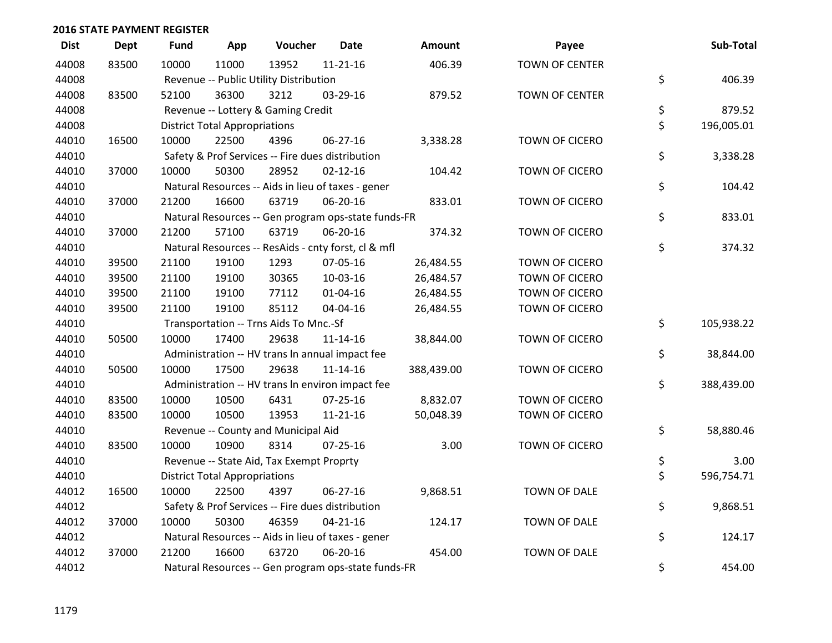| <b>Dist</b> | Dept  | <b>Fund</b> | App                                  | Voucher                                             | <b>Date</b>    | <b>Amount</b> | Payee                 | Sub-Total        |
|-------------|-------|-------------|--------------------------------------|-----------------------------------------------------|----------------|---------------|-----------------------|------------------|
| 44008       | 83500 | 10000       | 11000                                | 13952                                               | $11 - 21 - 16$ | 406.39        | <b>TOWN OF CENTER</b> |                  |
| 44008       |       |             |                                      | Revenue -- Public Utility Distribution              |                |               |                       | \$<br>406.39     |
| 44008       | 83500 | 52100       | 36300                                | 3212                                                | 03-29-16       | 879.52        | TOWN OF CENTER        |                  |
| 44008       |       |             |                                      | Revenue -- Lottery & Gaming Credit                  |                |               |                       | \$<br>879.52     |
| 44008       |       |             | <b>District Total Appropriations</b> |                                                     |                |               |                       | \$<br>196,005.01 |
| 44010       | 16500 | 10000       | 22500                                | 4396                                                | 06-27-16       | 3,338.28      | TOWN OF CICERO        |                  |
| 44010       |       |             |                                      | Safety & Prof Services -- Fire dues distribution    |                |               |                       | \$<br>3,338.28   |
| 44010       | 37000 | 10000       | 50300                                | 28952                                               | $02 - 12 - 16$ | 104.42        | TOWN OF CICERO        |                  |
| 44010       |       |             |                                      | Natural Resources -- Aids in lieu of taxes - gener  |                |               |                       | \$<br>104.42     |
| 44010       | 37000 | 21200       | 16600                                | 63719                                               | 06-20-16       | 833.01        | TOWN OF CICERO        |                  |
| 44010       |       |             |                                      | Natural Resources -- Gen program ops-state funds-FR |                |               |                       | \$<br>833.01     |
| 44010       | 37000 | 21200       | 57100                                | 63719                                               | 06-20-16       | 374.32        | TOWN OF CICERO        |                  |
| 44010       |       |             |                                      | Natural Resources -- ResAids - cnty forst, cl & mfl |                |               |                       | \$<br>374.32     |
| 44010       | 39500 | 21100       | 19100                                | 1293                                                | 07-05-16       | 26,484.55     | TOWN OF CICERO        |                  |
| 44010       | 39500 | 21100       | 19100                                | 30365                                               | 10-03-16       | 26,484.57     | TOWN OF CICERO        |                  |
| 44010       | 39500 | 21100       | 19100                                | 77112                                               | $01 - 04 - 16$ | 26,484.55     | <b>TOWN OF CICERO</b> |                  |
| 44010       | 39500 | 21100       | 19100                                | 85112                                               | 04-04-16       | 26,484.55     | TOWN OF CICERO        |                  |
| 44010       |       |             |                                      | Transportation -- Trns Aids To Mnc.-Sf              |                |               |                       | \$<br>105,938.22 |
| 44010       | 50500 | 10000       | 17400                                | 29638                                               | $11 - 14 - 16$ | 38,844.00     | TOWN OF CICERO        |                  |
| 44010       |       |             |                                      | Administration -- HV trans In annual impact fee     |                |               |                       | \$<br>38,844.00  |
| 44010       | 50500 | 10000       | 17500                                | 29638                                               | $11 - 14 - 16$ | 388,439.00    | TOWN OF CICERO        |                  |
| 44010       |       |             |                                      | Administration -- HV trans In environ impact fee    |                |               |                       | \$<br>388,439.00 |
| 44010       | 83500 | 10000       | 10500                                | 6431                                                | $07 - 25 - 16$ | 8,832.07      | TOWN OF CICERO        |                  |
| 44010       | 83500 | 10000       | 10500                                | 13953                                               | $11 - 21 - 16$ | 50,048.39     | TOWN OF CICERO        |                  |
| 44010       |       |             |                                      | Revenue -- County and Municipal Aid                 |                |               |                       | \$<br>58,880.46  |
| 44010       | 83500 | 10000       | 10900                                | 8314                                                | $07 - 25 - 16$ | 3.00          | TOWN OF CICERO        |                  |
| 44010       |       |             |                                      | Revenue -- State Aid, Tax Exempt Proprty            |                |               |                       | \$<br>3.00       |
| 44010       |       |             | <b>District Total Appropriations</b> |                                                     |                |               |                       | \$<br>596,754.71 |
| 44012       | 16500 | 10000       | 22500                                | 4397                                                | 06-27-16       | 9,868.51      | TOWN OF DALE          |                  |
| 44012       |       |             |                                      | Safety & Prof Services -- Fire dues distribution    |                |               |                       | \$<br>9,868.51   |
| 44012       | 37000 | 10000       | 50300                                | 46359                                               | $04 - 21 - 16$ | 124.17        | TOWN OF DALE          |                  |
| 44012       |       |             |                                      | Natural Resources -- Aids in lieu of taxes - gener  |                |               |                       | \$<br>124.17     |
| 44012       | 37000 | 21200       | 16600                                | 63720                                               | 06-20-16       | 454.00        | TOWN OF DALE          |                  |
| 44012       |       |             |                                      | Natural Resources -- Gen program ops-state funds-FR |                |               |                       | \$<br>454.00     |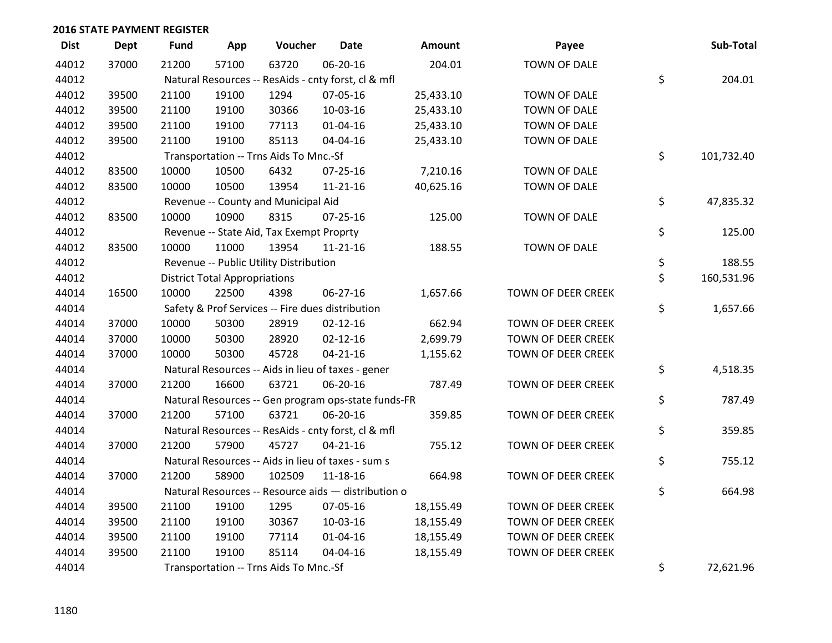| <b>Dist</b> | <b>Dept</b> | <b>Fund</b> | App                                  | Voucher                                             | <b>Date</b>    | Amount    | Payee                     | Sub-Total        |
|-------------|-------------|-------------|--------------------------------------|-----------------------------------------------------|----------------|-----------|---------------------------|------------------|
| 44012       | 37000       | 21200       | 57100                                | 63720                                               | 06-20-16       | 204.01    | TOWN OF DALE              |                  |
| 44012       |             |             |                                      | Natural Resources -- ResAids - cnty forst, cl & mfl |                |           |                           | \$<br>204.01     |
| 44012       | 39500       | 21100       | 19100                                | 1294                                                | 07-05-16       | 25,433.10 | TOWN OF DALE              |                  |
| 44012       | 39500       | 21100       | 19100                                | 30366                                               | 10-03-16       | 25,433.10 | TOWN OF DALE              |                  |
| 44012       | 39500       | 21100       | 19100                                | 77113                                               | $01 - 04 - 16$ | 25,433.10 | TOWN OF DALE              |                  |
| 44012       | 39500       | 21100       | 19100                                | 85113                                               | 04-04-16       | 25,433.10 | TOWN OF DALE              |                  |
| 44012       |             |             |                                      | Transportation -- Trns Aids To Mnc.-Sf              |                |           |                           | \$<br>101,732.40 |
| 44012       | 83500       | 10000       | 10500                                | 6432                                                | $07 - 25 - 16$ | 7,210.16  | TOWN OF DALE              |                  |
| 44012       | 83500       | 10000       | 10500                                | 13954                                               | $11 - 21 - 16$ | 40,625.16 | TOWN OF DALE              |                  |
| 44012       |             |             |                                      | Revenue -- County and Municipal Aid                 |                |           |                           | \$<br>47,835.32  |
| 44012       | 83500       | 10000       | 10900                                | 8315                                                | $07 - 25 - 16$ | 125.00    | TOWN OF DALE              |                  |
| 44012       |             |             |                                      | Revenue -- State Aid, Tax Exempt Proprty            |                |           |                           | \$<br>125.00     |
| 44012       | 83500       | 10000       | 11000                                | 13954                                               | $11 - 21 - 16$ | 188.55    | TOWN OF DALE              |                  |
| 44012       |             |             |                                      | Revenue -- Public Utility Distribution              |                |           |                           | \$<br>188.55     |
| 44012       |             |             | <b>District Total Appropriations</b> |                                                     |                |           |                           | \$<br>160,531.96 |
| 44014       | 16500       | 10000       | 22500                                | 4398                                                | 06-27-16       | 1,657.66  | TOWN OF DEER CREEK        |                  |
| 44014       |             |             |                                      | Safety & Prof Services -- Fire dues distribution    |                |           |                           | \$<br>1,657.66   |
| 44014       | 37000       | 10000       | 50300                                | 28919                                               | $02 - 12 - 16$ | 662.94    | TOWN OF DEER CREEK        |                  |
| 44014       | 37000       | 10000       | 50300                                | 28920                                               | $02 - 12 - 16$ | 2,699.79  | <b>TOWN OF DEER CREEK</b> |                  |
| 44014       | 37000       | 10000       | 50300                                | 45728                                               | $04 - 21 - 16$ | 1,155.62  | TOWN OF DEER CREEK        |                  |
| 44014       |             |             |                                      | Natural Resources -- Aids in lieu of taxes - gener  |                |           |                           | \$<br>4,518.35   |
| 44014       | 37000       | 21200       | 16600                                | 63721                                               | 06-20-16       | 787.49    | TOWN OF DEER CREEK        |                  |
| 44014       |             |             |                                      | Natural Resources -- Gen program ops-state funds-FR |                |           |                           | \$<br>787.49     |
| 44014       | 37000       | 21200       | 57100                                | 63721                                               | 06-20-16       | 359.85    | TOWN OF DEER CREEK        |                  |
| 44014       |             |             |                                      | Natural Resources -- ResAids - cnty forst, cl & mfl |                |           |                           | \$<br>359.85     |
| 44014       | 37000       | 21200       | 57900                                | 45727                                               | $04 - 21 - 16$ | 755.12    | TOWN OF DEER CREEK        |                  |
| 44014       |             |             |                                      | Natural Resources -- Aids in lieu of taxes - sum s  |                |           |                           | \$<br>755.12     |
| 44014       | 37000       | 21200       | 58900                                | 102509                                              | $11 - 18 - 16$ | 664.98    | TOWN OF DEER CREEK        |                  |
| 44014       |             |             |                                      | Natural Resources -- Resource aids - distribution o |                |           |                           | \$<br>664.98     |
| 44014       | 39500       | 21100       | 19100                                | 1295                                                | 07-05-16       | 18,155.49 | TOWN OF DEER CREEK        |                  |
| 44014       | 39500       | 21100       | 19100                                | 30367                                               | 10-03-16       | 18,155.49 | TOWN OF DEER CREEK        |                  |
| 44014       | 39500       | 21100       | 19100                                | 77114                                               | $01 - 04 - 16$ | 18,155.49 | TOWN OF DEER CREEK        |                  |
| 44014       | 39500       | 21100       | 19100                                | 85114                                               | 04-04-16       | 18,155.49 | TOWN OF DEER CREEK        |                  |
| 44014       |             |             |                                      | Transportation -- Trns Aids To Mnc.-Sf              |                |           |                           | \$<br>72,621.96  |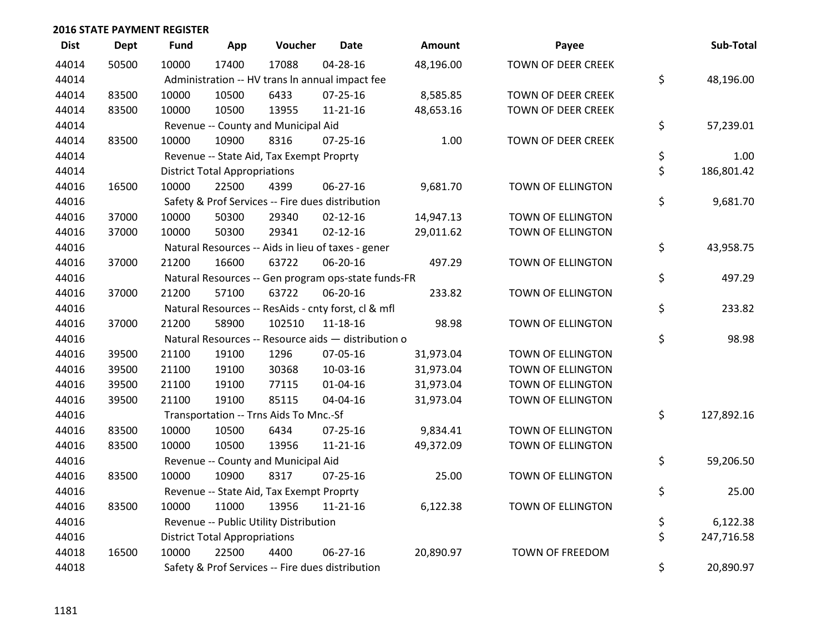| <b>Dist</b> | <b>Dept</b> | <b>Fund</b> | App                                  | Voucher                                             | <b>Date</b>    | <b>Amount</b> | Payee              | Sub-Total        |
|-------------|-------------|-------------|--------------------------------------|-----------------------------------------------------|----------------|---------------|--------------------|------------------|
| 44014       | 50500       | 10000       | 17400                                | 17088                                               | $04 - 28 - 16$ | 48,196.00     | TOWN OF DEER CREEK |                  |
| 44014       |             |             |                                      | Administration -- HV trans In annual impact fee     |                |               |                    | \$<br>48,196.00  |
| 44014       | 83500       | 10000       | 10500                                | 6433                                                | $07 - 25 - 16$ | 8,585.85      | TOWN OF DEER CREEK |                  |
| 44014       | 83500       | 10000       | 10500                                | 13955                                               | $11 - 21 - 16$ | 48,653.16     | TOWN OF DEER CREEK |                  |
| 44014       |             |             |                                      | Revenue -- County and Municipal Aid                 |                |               |                    | \$<br>57,239.01  |
| 44014       | 83500       | 10000       | 10900                                | 8316                                                | $07 - 25 - 16$ | 1.00          | TOWN OF DEER CREEK |                  |
| 44014       |             |             |                                      | Revenue -- State Aid, Tax Exempt Proprty            |                |               |                    | \$<br>1.00       |
| 44014       |             |             | <b>District Total Appropriations</b> |                                                     |                |               |                    | \$<br>186,801.42 |
| 44016       | 16500       | 10000       | 22500                                | 4399                                                | 06-27-16       | 9,681.70      | TOWN OF ELLINGTON  |                  |
| 44016       |             |             |                                      | Safety & Prof Services -- Fire dues distribution    |                |               |                    | \$<br>9,681.70   |
| 44016       | 37000       | 10000       | 50300                                | 29340                                               | $02 - 12 - 16$ | 14,947.13     | TOWN OF ELLINGTON  |                  |
| 44016       | 37000       | 10000       | 50300                                | 29341                                               | $02 - 12 - 16$ | 29,011.62     | TOWN OF ELLINGTON  |                  |
| 44016       |             |             |                                      | Natural Resources -- Aids in lieu of taxes - gener  |                |               |                    | \$<br>43,958.75  |
| 44016       | 37000       | 21200       | 16600                                | 63722                                               | 06-20-16       | 497.29        | TOWN OF ELLINGTON  |                  |
| 44016       |             |             |                                      | Natural Resources -- Gen program ops-state funds-FR |                |               |                    | \$<br>497.29     |
| 44016       | 37000       | 21200       | 57100                                | 63722                                               | 06-20-16       | 233.82        | TOWN OF ELLINGTON  |                  |
| 44016       |             |             |                                      | Natural Resources -- ResAids - cnty forst, cl & mfl |                |               |                    | \$<br>233.82     |
| 44016       | 37000       | 21200       | 58900                                | 102510                                              | $11 - 18 - 16$ | 98.98         | TOWN OF ELLINGTON  |                  |
| 44016       |             |             |                                      | Natural Resources -- Resource aids - distribution o |                |               |                    | \$<br>98.98      |
| 44016       | 39500       | 21100       | 19100                                | 1296                                                | 07-05-16       | 31,973.04     | TOWN OF ELLINGTON  |                  |
| 44016       | 39500       | 21100       | 19100                                | 30368                                               | 10-03-16       | 31,973.04     | TOWN OF ELLINGTON  |                  |
| 44016       | 39500       | 21100       | 19100                                | 77115                                               | $01 - 04 - 16$ | 31,973.04     | TOWN OF ELLINGTON  |                  |
| 44016       | 39500       | 21100       | 19100                                | 85115                                               | 04-04-16       | 31,973.04     | TOWN OF ELLINGTON  |                  |
| 44016       |             |             |                                      | Transportation -- Trns Aids To Mnc.-Sf              |                |               |                    | \$<br>127,892.16 |
| 44016       | 83500       | 10000       | 10500                                | 6434                                                | $07 - 25 - 16$ | 9,834.41      | TOWN OF ELLINGTON  |                  |
| 44016       | 83500       | 10000       | 10500                                | 13956                                               | $11 - 21 - 16$ | 49,372.09     | TOWN OF ELLINGTON  |                  |
| 44016       |             |             |                                      | Revenue -- County and Municipal Aid                 |                |               |                    | \$<br>59,206.50  |
| 44016       | 83500       | 10000       | 10900                                | 8317                                                | $07 - 25 - 16$ | 25.00         | TOWN OF ELLINGTON  |                  |
| 44016       |             |             |                                      | Revenue -- State Aid, Tax Exempt Proprty            |                |               |                    | \$<br>25.00      |
| 44016       | 83500       | 10000       | 11000                                | 13956                                               | 11-21-16       | 6,122.38      | TOWN OF ELLINGTON  |                  |
| 44016       |             |             |                                      | Revenue -- Public Utility Distribution              |                |               |                    | \$<br>6,122.38   |
| 44016       |             |             | <b>District Total Appropriations</b> |                                                     |                |               |                    | \$<br>247,716.58 |
| 44018       | 16500       | 10000       | 22500                                | 4400                                                | $06 - 27 - 16$ | 20,890.97     | TOWN OF FREEDOM    |                  |
| 44018       |             |             |                                      | Safety & Prof Services -- Fire dues distribution    |                |               |                    | \$<br>20,890.97  |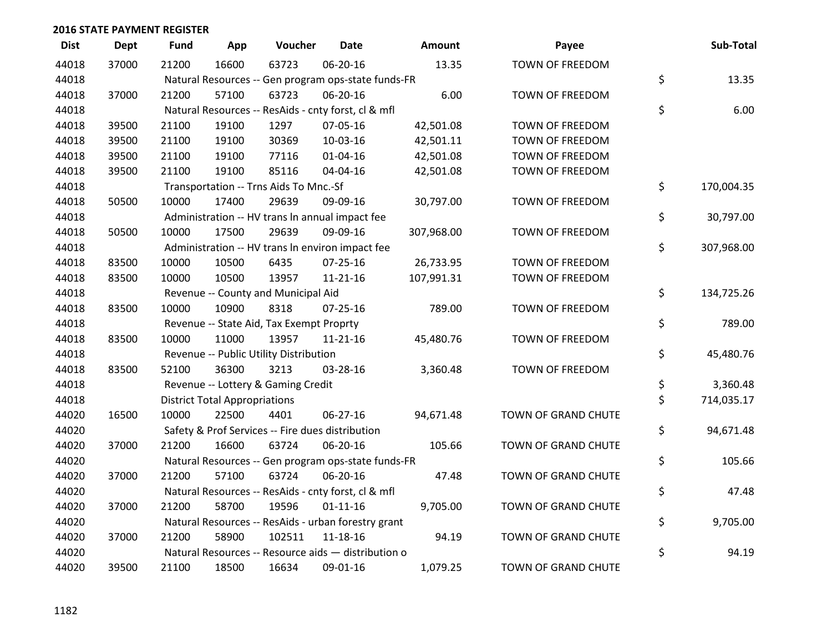| <b>Dist</b> | <b>Dept</b> | <b>Fund</b> | App                                  | Voucher                                             | Date           | <b>Amount</b> | Payee               | Sub-Total        |
|-------------|-------------|-------------|--------------------------------------|-----------------------------------------------------|----------------|---------------|---------------------|------------------|
| 44018       | 37000       | 21200       | 16600                                | 63723                                               | 06-20-16       | 13.35         | TOWN OF FREEDOM     |                  |
| 44018       |             |             |                                      | Natural Resources -- Gen program ops-state funds-FR |                |               |                     | \$<br>13.35      |
| 44018       | 37000       | 21200       | 57100                                | 63723                                               | 06-20-16       | 6.00          | TOWN OF FREEDOM     |                  |
| 44018       |             |             |                                      | Natural Resources -- ResAids - cnty forst, cl & mfl |                |               |                     | \$<br>6.00       |
| 44018       | 39500       | 21100       | 19100                                | 1297                                                | 07-05-16       | 42,501.08     | TOWN OF FREEDOM     |                  |
| 44018       | 39500       | 21100       | 19100                                | 30369                                               | 10-03-16       | 42,501.11     | TOWN OF FREEDOM     |                  |
| 44018       | 39500       | 21100       | 19100                                | 77116                                               | $01 - 04 - 16$ | 42,501.08     | TOWN OF FREEDOM     |                  |
| 44018       | 39500       | 21100       | 19100                                | 85116                                               | 04-04-16       | 42,501.08     | TOWN OF FREEDOM     |                  |
| 44018       |             |             |                                      | Transportation -- Trns Aids To Mnc.-Sf              |                |               |                     | \$<br>170,004.35 |
| 44018       | 50500       | 10000       | 17400                                | 29639                                               | 09-09-16       | 30,797.00     | TOWN OF FREEDOM     |                  |
| 44018       |             |             |                                      | Administration -- HV trans In annual impact fee     |                |               |                     | \$<br>30,797.00  |
| 44018       | 50500       | 10000       | 17500                                | 29639                                               | 09-09-16       | 307,968.00    | TOWN OF FREEDOM     |                  |
| 44018       |             |             |                                      | Administration -- HV trans In environ impact fee    |                |               |                     | \$<br>307,968.00 |
| 44018       | 83500       | 10000       | 10500                                | 6435                                                | $07 - 25 - 16$ | 26,733.95     | TOWN OF FREEDOM     |                  |
| 44018       | 83500       | 10000       | 10500                                | 13957                                               | $11 - 21 - 16$ | 107,991.31    | TOWN OF FREEDOM     |                  |
| 44018       |             |             |                                      | Revenue -- County and Municipal Aid                 |                |               |                     | \$<br>134,725.26 |
| 44018       | 83500       | 10000       | 10900                                | 8318                                                | $07 - 25 - 16$ | 789.00        | TOWN OF FREEDOM     |                  |
| 44018       |             |             |                                      | Revenue -- State Aid, Tax Exempt Proprty            |                |               |                     | \$<br>789.00     |
| 44018       | 83500       | 10000       | 11000                                | 13957                                               | $11 - 21 - 16$ | 45,480.76     | TOWN OF FREEDOM     |                  |
| 44018       |             |             |                                      | Revenue -- Public Utility Distribution              |                |               |                     | \$<br>45,480.76  |
| 44018       | 83500       | 52100       | 36300                                | 3213                                                | 03-28-16       | 3,360.48      | TOWN OF FREEDOM     |                  |
| 44018       |             |             |                                      | Revenue -- Lottery & Gaming Credit                  |                |               |                     | \$<br>3,360.48   |
| 44018       |             |             | <b>District Total Appropriations</b> |                                                     |                |               |                     | \$<br>714,035.17 |
| 44020       | 16500       | 10000       | 22500                                | 4401                                                | 06-27-16       | 94,671.48     | TOWN OF GRAND CHUTE |                  |
| 44020       |             |             |                                      | Safety & Prof Services -- Fire dues distribution    |                |               |                     | \$<br>94,671.48  |
| 44020       | 37000       | 21200       | 16600                                | 63724                                               | 06-20-16       | 105.66        | TOWN OF GRAND CHUTE |                  |
| 44020       |             |             |                                      | Natural Resources -- Gen program ops-state funds-FR |                |               |                     | \$<br>105.66     |
| 44020       | 37000       | 21200       | 57100                                | 63724                                               | 06-20-16       | 47.48         | TOWN OF GRAND CHUTE |                  |
| 44020       |             |             |                                      | Natural Resources -- ResAids - cnty forst, cl & mfl |                |               |                     | \$<br>47.48      |
| 44020       | 37000       | 21200       | 58700                                | 19596                                               | $01 - 11 - 16$ | 9,705.00      | TOWN OF GRAND CHUTE |                  |
| 44020       |             |             |                                      | Natural Resources -- ResAids - urban forestry grant |                |               |                     | \$<br>9,705.00   |
| 44020       | 37000       | 21200       | 58900                                | 102511                                              | 11-18-16       | 94.19         | TOWN OF GRAND CHUTE |                  |
| 44020       |             |             |                                      | Natural Resources -- Resource aids - distribution o |                |               |                     | \$<br>94.19      |
| 44020       | 39500       | 21100       | 18500                                | 16634                                               | 09-01-16       | 1,079.25      | TOWN OF GRAND CHUTE |                  |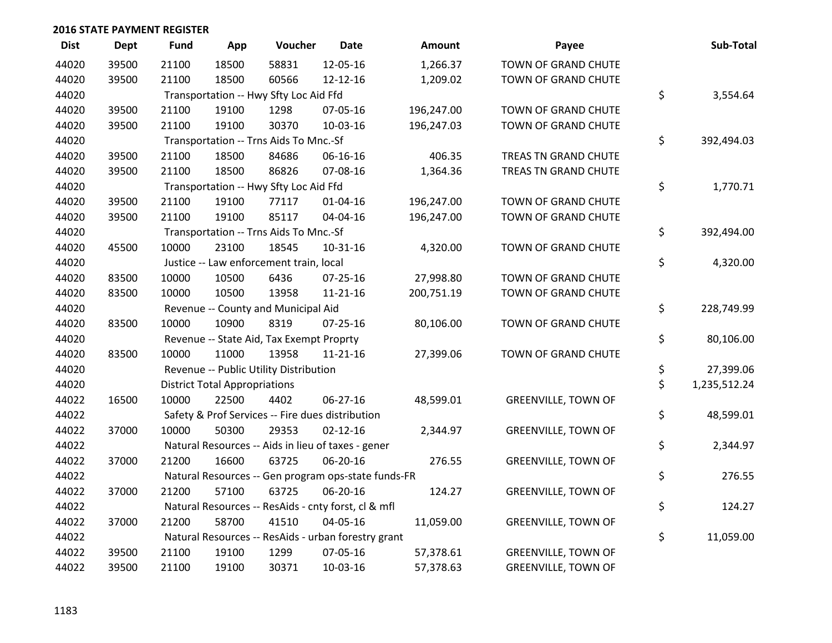| <b>Dist</b> | <b>Dept</b> | <b>Fund</b> | App                                  | Voucher                                  | <b>Date</b>                                         | <b>Amount</b> | Payee                      | Sub-Total          |
|-------------|-------------|-------------|--------------------------------------|------------------------------------------|-----------------------------------------------------|---------------|----------------------------|--------------------|
| 44020       | 39500       | 21100       | 18500                                | 58831                                    | 12-05-16                                            | 1,266.37      | TOWN OF GRAND CHUTE        |                    |
| 44020       | 39500       | 21100       | 18500                                | 60566                                    | 12-12-16                                            | 1,209.02      | TOWN OF GRAND CHUTE        |                    |
| 44020       |             |             |                                      | Transportation -- Hwy Sfty Loc Aid Ffd   |                                                     |               |                            | \$<br>3,554.64     |
| 44020       | 39500       | 21100       | 19100                                | 1298                                     | 07-05-16                                            | 196,247.00    | TOWN OF GRAND CHUTE        |                    |
| 44020       | 39500       | 21100       | 19100                                | 30370                                    | 10-03-16                                            | 196,247.03    | TOWN OF GRAND CHUTE        |                    |
| 44020       |             |             |                                      | Transportation -- Trns Aids To Mnc.-Sf   |                                                     |               |                            | \$<br>392,494.03   |
| 44020       | 39500       | 21100       | 18500                                | 84686                                    | 06-16-16                                            | 406.35        | TREAS TN GRAND CHUTE       |                    |
| 44020       | 39500       | 21100       | 18500                                | 86826                                    | 07-08-16                                            | 1,364.36      | TREAS TN GRAND CHUTE       |                    |
| 44020       |             |             |                                      | Transportation -- Hwy Sfty Loc Aid Ffd   |                                                     |               |                            | \$<br>1,770.71     |
| 44020       | 39500       | 21100       | 19100                                | 77117                                    | $01 - 04 - 16$                                      | 196,247.00    | TOWN OF GRAND CHUTE        |                    |
| 44020       | 39500       | 21100       | 19100                                | 85117                                    | 04-04-16                                            | 196,247.00    | TOWN OF GRAND CHUTE        |                    |
| 44020       |             |             |                                      | Transportation -- Trns Aids To Mnc.-Sf   |                                                     |               |                            | \$<br>392,494.00   |
| 44020       | 45500       | 10000       | 23100                                | 18545                                    | $10-31-16$                                          | 4,320.00      | TOWN OF GRAND CHUTE        |                    |
| 44020       |             |             |                                      | Justice -- Law enforcement train, local  |                                                     |               |                            | \$<br>4,320.00     |
| 44020       | 83500       | 10000       | 10500                                | 6436                                     | $07 - 25 - 16$                                      | 27,998.80     | TOWN OF GRAND CHUTE        |                    |
| 44020       | 83500       | 10000       | 10500                                | 13958                                    | $11 - 21 - 16$                                      | 200,751.19    | TOWN OF GRAND CHUTE        |                    |
| 44020       |             |             |                                      | Revenue -- County and Municipal Aid      |                                                     |               |                            | \$<br>228,749.99   |
| 44020       | 83500       | 10000       | 10900                                | 8319                                     | $07 - 25 - 16$                                      | 80,106.00     | TOWN OF GRAND CHUTE        |                    |
| 44020       |             |             |                                      | Revenue -- State Aid, Tax Exempt Proprty |                                                     |               |                            | \$<br>80,106.00    |
| 44020       | 83500       | 10000       | 11000                                | 13958                                    | $11 - 21 - 16$                                      | 27,399.06     | TOWN OF GRAND CHUTE        |                    |
| 44020       |             |             |                                      | Revenue -- Public Utility Distribution   |                                                     |               |                            | \$<br>27,399.06    |
| 44020       |             |             | <b>District Total Appropriations</b> |                                          |                                                     |               |                            | \$<br>1,235,512.24 |
| 44022       | 16500       | 10000       | 22500                                | 4402                                     | $06 - 27 - 16$                                      | 48,599.01     | <b>GREENVILLE, TOWN OF</b> |                    |
| 44022       |             |             |                                      |                                          | Safety & Prof Services -- Fire dues distribution    |               |                            | \$<br>48,599.01    |
| 44022       | 37000       | 10000       | 50300                                | 29353                                    | $02 - 12 - 16$                                      | 2,344.97      | <b>GREENVILLE, TOWN OF</b> |                    |
| 44022       |             |             |                                      |                                          | Natural Resources -- Aids in lieu of taxes - gener  |               |                            | \$<br>2,344.97     |
| 44022       | 37000       | 21200       | 16600                                | 63725                                    | 06-20-16                                            | 276.55        | <b>GREENVILLE, TOWN OF</b> |                    |
| 44022       |             |             |                                      |                                          | Natural Resources -- Gen program ops-state funds-FR |               |                            | \$<br>276.55       |
| 44022       | 37000       | 21200       | 57100                                | 63725                                    | 06-20-16                                            | 124.27        | <b>GREENVILLE, TOWN OF</b> |                    |
| 44022       |             |             |                                      |                                          | Natural Resources -- ResAids - cnty forst, cl & mfl |               |                            | \$<br>124.27       |
| 44022       | 37000       | 21200       | 58700                                | 41510                                    | 04-05-16                                            | 11,059.00     | <b>GREENVILLE, TOWN OF</b> |                    |
| 44022       |             |             |                                      |                                          | Natural Resources -- ResAids - urban forestry grant |               |                            | \$<br>11,059.00    |
| 44022       | 39500       | 21100       | 19100                                | 1299                                     | 07-05-16                                            | 57,378.61     | <b>GREENVILLE, TOWN OF</b> |                    |
| 44022       | 39500       | 21100       | 19100                                | 30371                                    | 10-03-16                                            | 57,378.63     | <b>GREENVILLE, TOWN OF</b> |                    |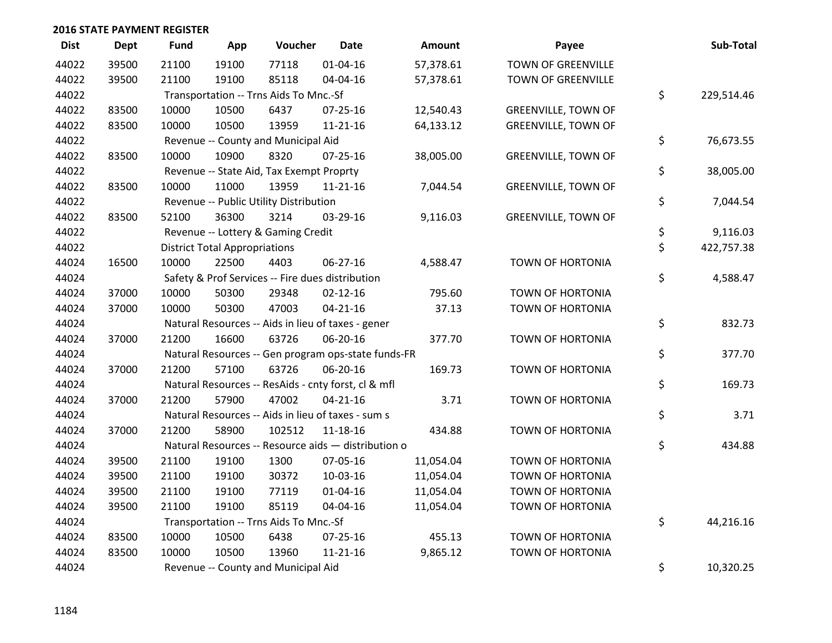| <b>Dist</b> | <b>Dept</b> | <b>Fund</b> | App                                  | Voucher                                             | <b>Date</b>    | <b>Amount</b> | Payee                      | Sub-Total        |
|-------------|-------------|-------------|--------------------------------------|-----------------------------------------------------|----------------|---------------|----------------------------|------------------|
| 44022       | 39500       | 21100       | 19100                                | 77118                                               | $01 - 04 - 16$ | 57,378.61     | <b>TOWN OF GREENVILLE</b>  |                  |
| 44022       | 39500       | 21100       | 19100                                | 85118                                               | 04-04-16       | 57,378.61     | TOWN OF GREENVILLE         |                  |
| 44022       |             |             |                                      | Transportation -- Trns Aids To Mnc.-Sf              |                |               |                            | \$<br>229,514.46 |
| 44022       | 83500       | 10000       | 10500                                | 6437                                                | $07 - 25 - 16$ | 12,540.43     | <b>GREENVILLE, TOWN OF</b> |                  |
| 44022       | 83500       | 10000       | 10500                                | 13959                                               | $11 - 21 - 16$ | 64,133.12     | <b>GREENVILLE, TOWN OF</b> |                  |
| 44022       |             |             |                                      | Revenue -- County and Municipal Aid                 |                |               |                            | \$<br>76,673.55  |
| 44022       | 83500       | 10000       | 10900                                | 8320                                                | $07 - 25 - 16$ | 38,005.00     | <b>GREENVILLE, TOWN OF</b> |                  |
| 44022       |             |             |                                      | Revenue -- State Aid, Tax Exempt Proprty            |                |               |                            | \$<br>38,005.00  |
| 44022       | 83500       | 10000       | 11000                                | 13959                                               | $11 - 21 - 16$ | 7,044.54      | <b>GREENVILLE, TOWN OF</b> |                  |
| 44022       |             |             |                                      | Revenue -- Public Utility Distribution              |                |               |                            | \$<br>7,044.54   |
| 44022       | 83500       | 52100       | 36300                                | 3214                                                | 03-29-16       | 9,116.03      | <b>GREENVILLE, TOWN OF</b> |                  |
| 44022       |             |             |                                      | Revenue -- Lottery & Gaming Credit                  |                |               |                            | \$<br>9,116.03   |
| 44022       |             |             | <b>District Total Appropriations</b> |                                                     |                |               |                            | \$<br>422,757.38 |
| 44024       | 16500       | 10000       | 22500                                | 4403                                                | 06-27-16       | 4,588.47      | <b>TOWN OF HORTONIA</b>    |                  |
| 44024       |             |             |                                      | Safety & Prof Services -- Fire dues distribution    |                |               |                            | \$<br>4,588.47   |
| 44024       | 37000       | 10000       | 50300                                | 29348                                               | $02 - 12 - 16$ | 795.60        | <b>TOWN OF HORTONIA</b>    |                  |
| 44024       | 37000       | 10000       | 50300                                | 47003                                               | $04 - 21 - 16$ | 37.13         | TOWN OF HORTONIA           |                  |
| 44024       |             |             |                                      | Natural Resources -- Aids in lieu of taxes - gener  |                |               |                            | \$<br>832.73     |
| 44024       | 37000       | 21200       | 16600                                | 63726                                               | 06-20-16       | 377.70        | TOWN OF HORTONIA           |                  |
| 44024       |             |             |                                      | Natural Resources -- Gen program ops-state funds-FR |                |               |                            | \$<br>377.70     |
| 44024       | 37000       | 21200       | 57100                                | 63726                                               | 06-20-16       | 169.73        | <b>TOWN OF HORTONIA</b>    |                  |
| 44024       |             |             |                                      | Natural Resources -- ResAids - cnty forst, cl & mfl |                |               |                            | \$<br>169.73     |
| 44024       | 37000       | 21200       | 57900                                | 47002                                               | $04 - 21 - 16$ | 3.71          | TOWN OF HORTONIA           |                  |
| 44024       |             |             |                                      | Natural Resources -- Aids in lieu of taxes - sum s  |                |               |                            | \$<br>3.71       |
| 44024       | 37000       | 21200       | 58900                                | 102512                                              | $11 - 18 - 16$ | 434.88        | <b>TOWN OF HORTONIA</b>    |                  |
| 44024       |             |             |                                      | Natural Resources -- Resource aids - distribution o |                |               |                            | \$<br>434.88     |
| 44024       | 39500       | 21100       | 19100                                | 1300                                                | 07-05-16       | 11,054.04     | TOWN OF HORTONIA           |                  |
| 44024       | 39500       | 21100       | 19100                                | 30372                                               | 10-03-16       | 11,054.04     | TOWN OF HORTONIA           |                  |
| 44024       | 39500       | 21100       | 19100                                | 77119                                               | $01 - 04 - 16$ | 11,054.04     | <b>TOWN OF HORTONIA</b>    |                  |
| 44024       | 39500       | 21100       | 19100                                | 85119                                               | 04-04-16       | 11,054.04     | TOWN OF HORTONIA           |                  |
| 44024       |             |             |                                      | Transportation -- Trns Aids To Mnc.-Sf              |                |               |                            | \$<br>44,216.16  |
| 44024       | 83500       | 10000       | 10500                                | 6438                                                | $07 - 25 - 16$ | 455.13        | <b>TOWN OF HORTONIA</b>    |                  |
| 44024       | 83500       | 10000       | 10500                                | 13960                                               | $11 - 21 - 16$ | 9,865.12      | <b>TOWN OF HORTONIA</b>    |                  |
| 44024       |             |             |                                      | Revenue -- County and Municipal Aid                 |                |               |                            | \$<br>10,320.25  |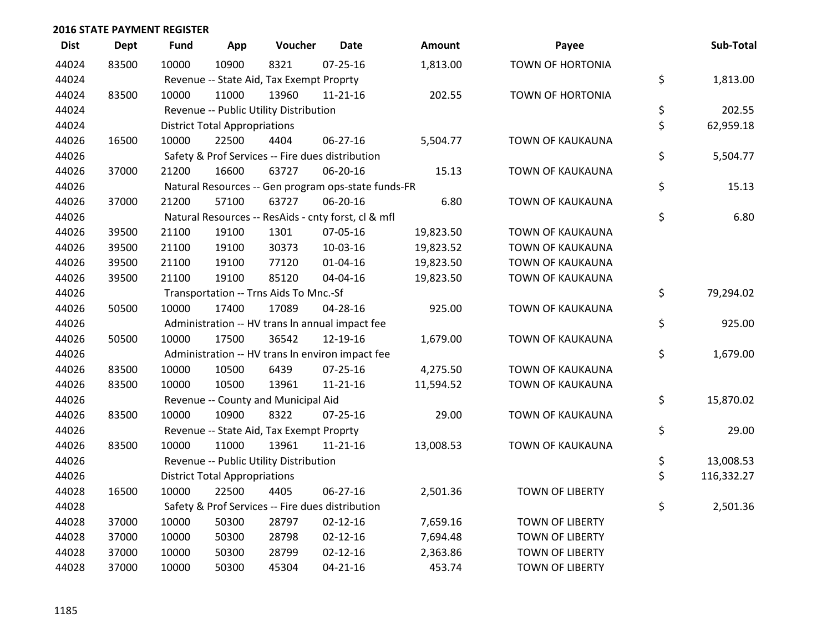| <b>Dist</b> | Dept  | <b>Fund</b> | App                                  | Voucher                                             | <b>Date</b>    | <b>Amount</b> | Payee                   | Sub-Total        |
|-------------|-------|-------------|--------------------------------------|-----------------------------------------------------|----------------|---------------|-------------------------|------------------|
| 44024       | 83500 | 10000       | 10900                                | 8321                                                | $07 - 25 - 16$ | 1,813.00      | <b>TOWN OF HORTONIA</b> |                  |
| 44024       |       |             |                                      | Revenue -- State Aid, Tax Exempt Proprty            |                |               |                         | \$<br>1,813.00   |
| 44024       | 83500 | 10000       | 11000                                | 13960                                               | $11 - 21 - 16$ | 202.55        | <b>TOWN OF HORTONIA</b> |                  |
| 44024       |       |             |                                      | Revenue -- Public Utility Distribution              |                |               |                         | \$<br>202.55     |
| 44024       |       |             | <b>District Total Appropriations</b> |                                                     |                |               |                         | \$<br>62,959.18  |
| 44026       | 16500 | 10000       | 22500                                | 4404                                                | 06-27-16       | 5,504.77      | TOWN OF KAUKAUNA        |                  |
| 44026       |       |             |                                      | Safety & Prof Services -- Fire dues distribution    |                |               |                         | \$<br>5,504.77   |
| 44026       | 37000 | 21200       | 16600                                | 63727                                               | 06-20-16       | 15.13         | TOWN OF KAUKAUNA        |                  |
| 44026       |       |             |                                      | Natural Resources -- Gen program ops-state funds-FR |                |               |                         | \$<br>15.13      |
| 44026       | 37000 | 21200       | 57100                                | 63727                                               | 06-20-16       | 6.80          | TOWN OF KAUKAUNA        |                  |
| 44026       |       |             |                                      | Natural Resources -- ResAids - cnty forst, cl & mfl |                |               |                         | \$<br>6.80       |
| 44026       | 39500 | 21100       | 19100                                | 1301                                                | 07-05-16       | 19,823.50     | TOWN OF KAUKAUNA        |                  |
| 44026       | 39500 | 21100       | 19100                                | 30373                                               | 10-03-16       | 19,823.52     | TOWN OF KAUKAUNA        |                  |
| 44026       | 39500 | 21100       | 19100                                | 77120                                               | $01 - 04 - 16$ | 19,823.50     | TOWN OF KAUKAUNA        |                  |
| 44026       | 39500 | 21100       | 19100                                | 85120                                               | 04-04-16       | 19,823.50     | <b>TOWN OF KAUKAUNA</b> |                  |
| 44026       |       |             |                                      | Transportation -- Trns Aids To Mnc.-Sf              |                |               |                         | \$<br>79,294.02  |
| 44026       | 50500 | 10000       | 17400                                | 17089                                               | 04-28-16       | 925.00        | <b>TOWN OF KAUKAUNA</b> |                  |
| 44026       |       |             |                                      | Administration -- HV trans In annual impact fee     |                |               |                         | \$<br>925.00     |
| 44026       | 50500 | 10000       | 17500                                | 36542                                               | 12-19-16       | 1,679.00      | TOWN OF KAUKAUNA        |                  |
| 44026       |       |             |                                      | Administration -- HV trans In environ impact fee    |                |               |                         | \$<br>1,679.00   |
| 44026       | 83500 | 10000       | 10500                                | 6439                                                | $07 - 25 - 16$ | 4,275.50      | TOWN OF KAUKAUNA        |                  |
| 44026       | 83500 | 10000       | 10500                                | 13961                                               | $11 - 21 - 16$ | 11,594.52     | TOWN OF KAUKAUNA        |                  |
| 44026       |       |             |                                      | Revenue -- County and Municipal Aid                 |                |               |                         | \$<br>15,870.02  |
| 44026       | 83500 | 10000       | 10900                                | 8322                                                | $07 - 25 - 16$ | 29.00         | TOWN OF KAUKAUNA        |                  |
| 44026       |       |             |                                      | Revenue -- State Aid, Tax Exempt Proprty            |                |               |                         | \$<br>29.00      |
| 44026       | 83500 | 10000       | 11000                                | 13961                                               | $11 - 21 - 16$ | 13,008.53     | TOWN OF KAUKAUNA        |                  |
| 44026       |       |             |                                      | Revenue -- Public Utility Distribution              |                |               |                         | \$<br>13,008.53  |
| 44026       |       |             | <b>District Total Appropriations</b> |                                                     |                |               |                         | \$<br>116,332.27 |
| 44028       | 16500 | 10000       | 22500                                | 4405                                                | 06-27-16       | 2,501.36      | <b>TOWN OF LIBERTY</b>  |                  |
| 44028       |       |             |                                      | Safety & Prof Services -- Fire dues distribution    |                |               |                         | \$<br>2,501.36   |
| 44028       | 37000 | 10000       | 50300                                | 28797                                               | $02 - 12 - 16$ | 7,659.16      | <b>TOWN OF LIBERTY</b>  |                  |
| 44028       | 37000 | 10000       | 50300                                | 28798                                               | $02 - 12 - 16$ | 7,694.48      | <b>TOWN OF LIBERTY</b>  |                  |
| 44028       | 37000 | 10000       | 50300                                | 28799                                               | $02 - 12 - 16$ | 2,363.86      | <b>TOWN OF LIBERTY</b>  |                  |
| 44028       | 37000 | 10000       | 50300                                | 45304                                               | $04 - 21 - 16$ | 453.74        | <b>TOWN OF LIBERTY</b>  |                  |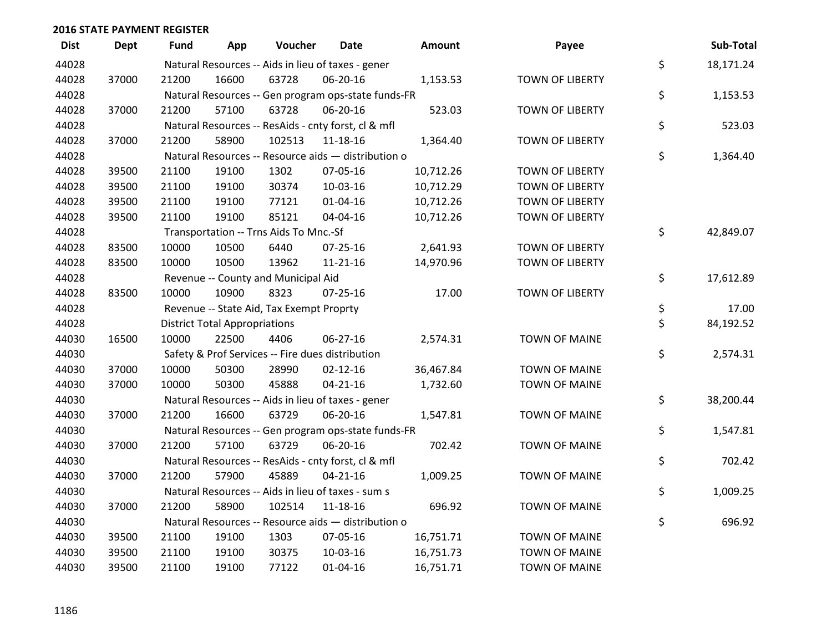| <b>Dist</b> | <b>Dept</b> | <b>Fund</b> | App                                  | Voucher                                  | Date                                                | Amount    | Payee                  | Sub-Total       |
|-------------|-------------|-------------|--------------------------------------|------------------------------------------|-----------------------------------------------------|-----------|------------------------|-----------------|
| 44028       |             |             |                                      |                                          | Natural Resources -- Aids in lieu of taxes - gener  |           |                        | \$<br>18,171.24 |
| 44028       | 37000       | 21200       | 16600                                | 63728                                    | 06-20-16                                            | 1,153.53  | <b>TOWN OF LIBERTY</b> |                 |
| 44028       |             |             |                                      |                                          | Natural Resources -- Gen program ops-state funds-FR |           |                        | \$<br>1,153.53  |
| 44028       | 37000       | 21200       | 57100                                | 63728                                    | 06-20-16                                            | 523.03    | <b>TOWN OF LIBERTY</b> |                 |
| 44028       |             |             |                                      |                                          | Natural Resources -- ResAids - cnty forst, cl & mfl |           |                        | \$<br>523.03    |
| 44028       | 37000       | 21200       | 58900                                | 102513                                   | 11-18-16                                            | 1,364.40  | <b>TOWN OF LIBERTY</b> |                 |
| 44028       |             |             |                                      |                                          | Natural Resources -- Resource aids - distribution o |           |                        | \$<br>1,364.40  |
| 44028       | 39500       | 21100       | 19100                                | 1302                                     | 07-05-16                                            | 10,712.26 | <b>TOWN OF LIBERTY</b> |                 |
| 44028       | 39500       | 21100       | 19100                                | 30374                                    | 10-03-16                                            | 10,712.29 | <b>TOWN OF LIBERTY</b> |                 |
| 44028       | 39500       | 21100       | 19100                                | 77121                                    | $01 - 04 - 16$                                      | 10,712.26 | <b>TOWN OF LIBERTY</b> |                 |
| 44028       | 39500       | 21100       | 19100                                | 85121                                    | 04-04-16                                            | 10,712.26 | <b>TOWN OF LIBERTY</b> |                 |
| 44028       |             |             |                                      | Transportation -- Trns Aids To Mnc.-Sf   |                                                     |           |                        | \$<br>42,849.07 |
| 44028       | 83500       | 10000       | 10500                                | 6440                                     | $07 - 25 - 16$                                      | 2,641.93  | <b>TOWN OF LIBERTY</b> |                 |
| 44028       | 83500       | 10000       | 10500                                | 13962                                    | $11 - 21 - 16$                                      | 14,970.96 | <b>TOWN OF LIBERTY</b> |                 |
| 44028       |             |             |                                      | Revenue -- County and Municipal Aid      |                                                     |           |                        | \$<br>17,612.89 |
| 44028       | 83500       | 10000       | 10900                                | 8323                                     | $07 - 25 - 16$                                      | 17.00     | <b>TOWN OF LIBERTY</b> |                 |
| 44028       |             |             |                                      | Revenue -- State Aid, Tax Exempt Proprty |                                                     |           |                        | \$<br>17.00     |
| 44028       |             |             | <b>District Total Appropriations</b> |                                          |                                                     |           |                        | \$<br>84,192.52 |
| 44030       | 16500       | 10000       | 22500                                | 4406                                     | 06-27-16                                            | 2,574.31  | <b>TOWN OF MAINE</b>   |                 |
| 44030       |             |             |                                      |                                          | Safety & Prof Services -- Fire dues distribution    |           |                        | \$<br>2,574.31  |
| 44030       | 37000       | 10000       | 50300                                | 28990                                    | $02 - 12 - 16$                                      | 36,467.84 | <b>TOWN OF MAINE</b>   |                 |
| 44030       | 37000       | 10000       | 50300                                | 45888                                    | $04 - 21 - 16$                                      | 1,732.60  | <b>TOWN OF MAINE</b>   |                 |
| 44030       |             |             |                                      |                                          | Natural Resources -- Aids in lieu of taxes - gener  |           |                        | \$<br>38,200.44 |
| 44030       | 37000       | 21200       | 16600                                | 63729                                    | 06-20-16                                            | 1,547.81  | <b>TOWN OF MAINE</b>   |                 |
| 44030       |             |             |                                      |                                          | Natural Resources -- Gen program ops-state funds-FR |           |                        | \$<br>1,547.81  |
| 44030       | 37000       | 21200       | 57100                                | 63729                                    | 06-20-16                                            | 702.42    | <b>TOWN OF MAINE</b>   |                 |
| 44030       |             |             |                                      |                                          | Natural Resources -- ResAids - cnty forst, cl & mfl |           |                        | \$<br>702.42    |
| 44030       | 37000       | 21200       | 57900                                | 45889                                    | $04 - 21 - 16$                                      | 1,009.25  | <b>TOWN OF MAINE</b>   |                 |
| 44030       |             |             |                                      |                                          | Natural Resources -- Aids in lieu of taxes - sum s  |           |                        | \$<br>1,009.25  |
| 44030       | 37000       | 21200       | 58900                                | 102514                                   | 11-18-16                                            | 696.92    | <b>TOWN OF MAINE</b>   |                 |
| 44030       |             |             |                                      |                                          | Natural Resources -- Resource aids - distribution o |           |                        | \$<br>696.92    |
| 44030       | 39500       | 21100       | 19100                                | 1303                                     | 07-05-16                                            | 16,751.71 | <b>TOWN OF MAINE</b>   |                 |
| 44030       | 39500       | 21100       | 19100                                | 30375                                    | 10-03-16                                            | 16,751.73 | <b>TOWN OF MAINE</b>   |                 |
| 44030       | 39500       | 21100       | 19100                                | 77122                                    | $01 - 04 - 16$                                      | 16,751.71 | <b>TOWN OF MAINE</b>   |                 |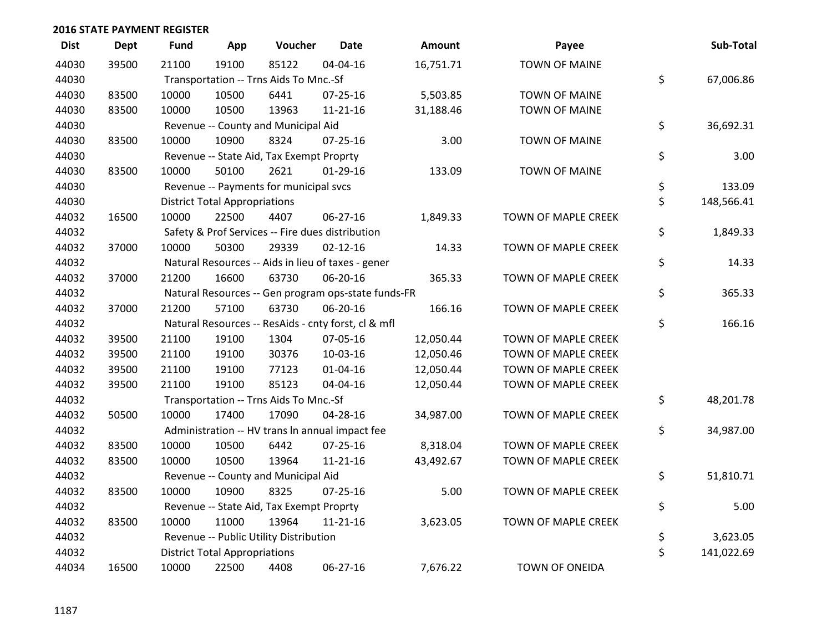| <b>Dist</b> | <b>Dept</b> | <b>Fund</b> | App                                  | Voucher                                             | <b>Date</b>    | <b>Amount</b> | Payee                      | Sub-Total        |
|-------------|-------------|-------------|--------------------------------------|-----------------------------------------------------|----------------|---------------|----------------------------|------------------|
| 44030       | 39500       | 21100       | 19100                                | 85122                                               | 04-04-16       | 16,751.71     | <b>TOWN OF MAINE</b>       |                  |
| 44030       |             |             |                                      | Transportation -- Trns Aids To Mnc.-Sf              |                |               |                            | \$<br>67,006.86  |
| 44030       | 83500       | 10000       | 10500                                | 6441                                                | $07 - 25 - 16$ | 5,503.85      | <b>TOWN OF MAINE</b>       |                  |
| 44030       | 83500       | 10000       | 10500                                | 13963                                               | $11 - 21 - 16$ | 31,188.46     | <b>TOWN OF MAINE</b>       |                  |
| 44030       |             |             |                                      | Revenue -- County and Municipal Aid                 |                |               |                            | \$<br>36,692.31  |
| 44030       | 83500       | 10000       | 10900                                | 8324                                                | $07 - 25 - 16$ | 3.00          | <b>TOWN OF MAINE</b>       |                  |
| 44030       |             |             |                                      | Revenue -- State Aid, Tax Exempt Proprty            |                |               |                            | \$<br>3.00       |
| 44030       | 83500       | 10000       | 50100                                | 2621                                                | $01-29-16$     | 133.09        | <b>TOWN OF MAINE</b>       |                  |
| 44030       |             |             |                                      | Revenue -- Payments for municipal svcs              |                |               |                            | \$<br>133.09     |
| 44030       |             |             | <b>District Total Appropriations</b> |                                                     |                |               |                            | \$<br>148,566.41 |
| 44032       | 16500       | 10000       | 22500                                | 4407                                                | 06-27-16       | 1,849.33      | TOWN OF MAPLE CREEK        |                  |
| 44032       |             |             |                                      | Safety & Prof Services -- Fire dues distribution    |                |               |                            | \$<br>1,849.33   |
| 44032       | 37000       | 10000       | 50300                                | 29339                                               | $02 - 12 - 16$ | 14.33         | TOWN OF MAPLE CREEK        |                  |
| 44032       |             |             |                                      | Natural Resources -- Aids in lieu of taxes - gener  |                |               |                            | \$<br>14.33      |
| 44032       | 37000       | 21200       | 16600                                | 63730                                               | 06-20-16       | 365.33        | <b>TOWN OF MAPLE CREEK</b> |                  |
| 44032       |             |             |                                      | Natural Resources -- Gen program ops-state funds-FR |                |               |                            | \$<br>365.33     |
| 44032       | 37000       | 21200       | 57100                                | 63730                                               | 06-20-16       | 166.16        | TOWN OF MAPLE CREEK        |                  |
| 44032       |             |             |                                      | Natural Resources -- ResAids - cnty forst, cl & mfl |                |               |                            | \$<br>166.16     |
| 44032       | 39500       | 21100       | 19100                                | 1304                                                | 07-05-16       | 12,050.44     | TOWN OF MAPLE CREEK        |                  |
| 44032       | 39500       | 21100       | 19100                                | 30376                                               | 10-03-16       | 12,050.46     | <b>TOWN OF MAPLE CREEK</b> |                  |
| 44032       | 39500       | 21100       | 19100                                | 77123                                               | $01 - 04 - 16$ | 12,050.44     | <b>TOWN OF MAPLE CREEK</b> |                  |
| 44032       | 39500       | 21100       | 19100                                | 85123                                               | 04-04-16       | 12,050.44     | TOWN OF MAPLE CREEK        |                  |
| 44032       |             |             |                                      | Transportation -- Trns Aids To Mnc.-Sf              |                |               |                            | \$<br>48,201.78  |
| 44032       | 50500       | 10000       | 17400                                | 17090                                               | $04 - 28 - 16$ | 34,987.00     | <b>TOWN OF MAPLE CREEK</b> |                  |
| 44032       |             |             |                                      | Administration -- HV trans In annual impact fee     |                |               |                            | \$<br>34,987.00  |
| 44032       | 83500       | 10000       | 10500                                | 6442                                                | $07 - 25 - 16$ | 8,318.04      | TOWN OF MAPLE CREEK        |                  |
| 44032       | 83500       | 10000       | 10500                                | 13964                                               | $11 - 21 - 16$ | 43,492.67     | TOWN OF MAPLE CREEK        |                  |
| 44032       |             |             |                                      | Revenue -- County and Municipal Aid                 |                |               |                            | \$<br>51,810.71  |
| 44032       | 83500       | 10000       | 10900                                | 8325                                                | $07 - 25 - 16$ | 5.00          | <b>TOWN OF MAPLE CREEK</b> |                  |
| 44032       |             |             |                                      | Revenue -- State Aid, Tax Exempt Proprty            |                |               |                            | \$<br>5.00       |
| 44032       | 83500       | 10000       | 11000                                | 13964                                               | $11 - 21 - 16$ | 3,623.05      | TOWN OF MAPLE CREEK        |                  |
| 44032       |             |             |                                      | Revenue -- Public Utility Distribution              |                |               |                            | \$<br>3,623.05   |
| 44032       |             |             | <b>District Total Appropriations</b> |                                                     |                |               |                            | \$<br>141,022.69 |
| 44034       | 16500       | 10000       | 22500                                | 4408                                                | 06-27-16       | 7,676.22      | <b>TOWN OF ONEIDA</b>      |                  |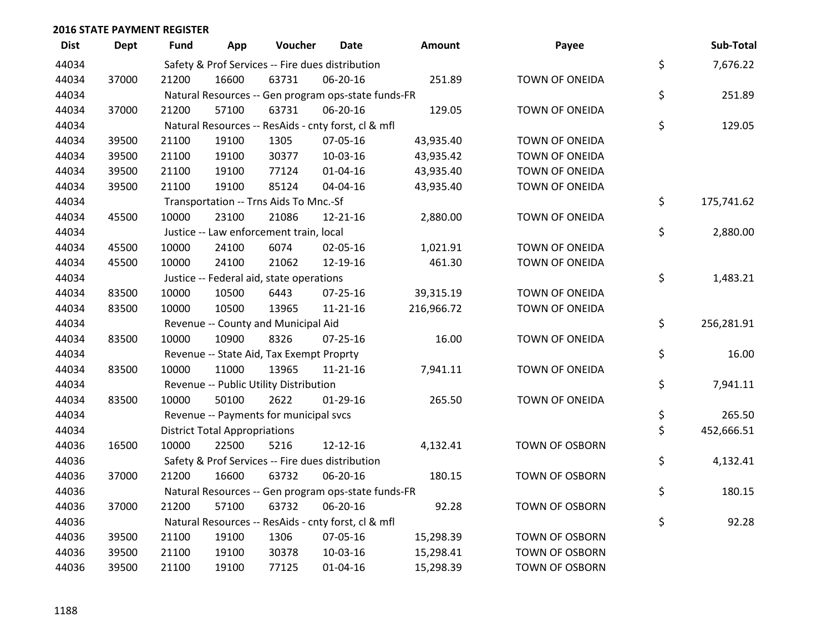| <b>Dist</b> | <b>Dept</b> | Fund  | App                                  | Voucher                                             | <b>Date</b>    | <b>Amount</b> | Payee                 | Sub-Total        |
|-------------|-------------|-------|--------------------------------------|-----------------------------------------------------|----------------|---------------|-----------------------|------------------|
| 44034       |             |       |                                      | Safety & Prof Services -- Fire dues distribution    |                |               |                       | \$<br>7,676.22   |
| 44034       | 37000       | 21200 | 16600                                | 63731                                               | 06-20-16       | 251.89        | TOWN OF ONEIDA        |                  |
| 44034       |             |       |                                      | Natural Resources -- Gen program ops-state funds-FR |                |               |                       | \$<br>251.89     |
| 44034       | 37000       | 21200 | 57100                                | 63731                                               | 06-20-16       | 129.05        | <b>TOWN OF ONEIDA</b> |                  |
| 44034       |             |       |                                      | Natural Resources -- ResAids - cnty forst, cl & mfl |                |               |                       | \$<br>129.05     |
| 44034       | 39500       | 21100 | 19100                                | 1305                                                | 07-05-16       | 43,935.40     | TOWN OF ONEIDA        |                  |
| 44034       | 39500       | 21100 | 19100                                | 30377                                               | 10-03-16       | 43,935.42     | TOWN OF ONEIDA        |                  |
| 44034       | 39500       | 21100 | 19100                                | 77124                                               | $01 - 04 - 16$ | 43,935.40     | <b>TOWN OF ONEIDA</b> |                  |
| 44034       | 39500       | 21100 | 19100                                | 85124                                               | 04-04-16       | 43,935.40     | TOWN OF ONEIDA        |                  |
| 44034       |             |       |                                      | Transportation -- Trns Aids To Mnc.-Sf              |                |               |                       | \$<br>175,741.62 |
| 44034       | 45500       | 10000 | 23100                                | 21086                                               | 12-21-16       | 2,880.00      | TOWN OF ONEIDA        |                  |
| 44034       |             |       |                                      | Justice -- Law enforcement train, local             |                |               |                       | \$<br>2,880.00   |
| 44034       | 45500       | 10000 | 24100                                | 6074                                                | 02-05-16       | 1,021.91      | TOWN OF ONEIDA        |                  |
| 44034       | 45500       | 10000 | 24100                                | 21062                                               | 12-19-16       | 461.30        | TOWN OF ONEIDA        |                  |
| 44034       |             |       |                                      | Justice -- Federal aid, state operations            |                |               |                       | \$<br>1,483.21   |
| 44034       | 83500       | 10000 | 10500                                | 6443                                                | $07 - 25 - 16$ | 39,315.19     | TOWN OF ONEIDA        |                  |
| 44034       | 83500       | 10000 | 10500                                | 13965                                               | $11 - 21 - 16$ | 216,966.72    | TOWN OF ONEIDA        |                  |
| 44034       |             |       |                                      | Revenue -- County and Municipal Aid                 |                |               |                       | \$<br>256,281.91 |
| 44034       | 83500       | 10000 | 10900                                | 8326                                                | $07 - 25 - 16$ | 16.00         | TOWN OF ONEIDA        |                  |
| 44034       |             |       |                                      | Revenue -- State Aid, Tax Exempt Proprty            |                |               |                       | \$<br>16.00      |
| 44034       | 83500       | 10000 | 11000                                | 13965                                               | $11 - 21 - 16$ | 7,941.11      | <b>TOWN OF ONEIDA</b> |                  |
| 44034       |             |       |                                      | Revenue -- Public Utility Distribution              |                |               |                       | \$<br>7,941.11   |
| 44034       | 83500       | 10000 | 50100                                | 2622                                                | $01-29-16$     | 265.50        | TOWN OF ONEIDA        |                  |
| 44034       |             |       |                                      | Revenue -- Payments for municipal svcs              |                |               |                       | \$<br>265.50     |
| 44034       |             |       | <b>District Total Appropriations</b> |                                                     |                |               |                       | \$<br>452,666.51 |
| 44036       | 16500       | 10000 | 22500                                | 5216                                                | 12-12-16       | 4,132.41      | TOWN OF OSBORN        |                  |
| 44036       |             |       |                                      | Safety & Prof Services -- Fire dues distribution    |                |               |                       | \$<br>4,132.41   |
| 44036       | 37000       | 21200 | 16600                                | 63732                                               | 06-20-16       | 180.15        | <b>TOWN OF OSBORN</b> |                  |
| 44036       |             |       |                                      | Natural Resources -- Gen program ops-state funds-FR |                |               |                       | \$<br>180.15     |
| 44036       | 37000       | 21200 | 57100                                | 63732                                               | 06-20-16       | 92.28         | <b>TOWN OF OSBORN</b> |                  |
| 44036       |             |       |                                      | Natural Resources -- ResAids - cnty forst, cl & mfl |                |               |                       | \$<br>92.28      |
| 44036       | 39500       | 21100 | 19100                                | 1306                                                | 07-05-16       | 15,298.39     | <b>TOWN OF OSBORN</b> |                  |
| 44036       | 39500       | 21100 | 19100                                | 30378                                               | 10-03-16       | 15,298.41     | <b>TOWN OF OSBORN</b> |                  |
| 44036       | 39500       | 21100 | 19100                                | 77125                                               | 01-04-16       | 15,298.39     | <b>TOWN OF OSBORN</b> |                  |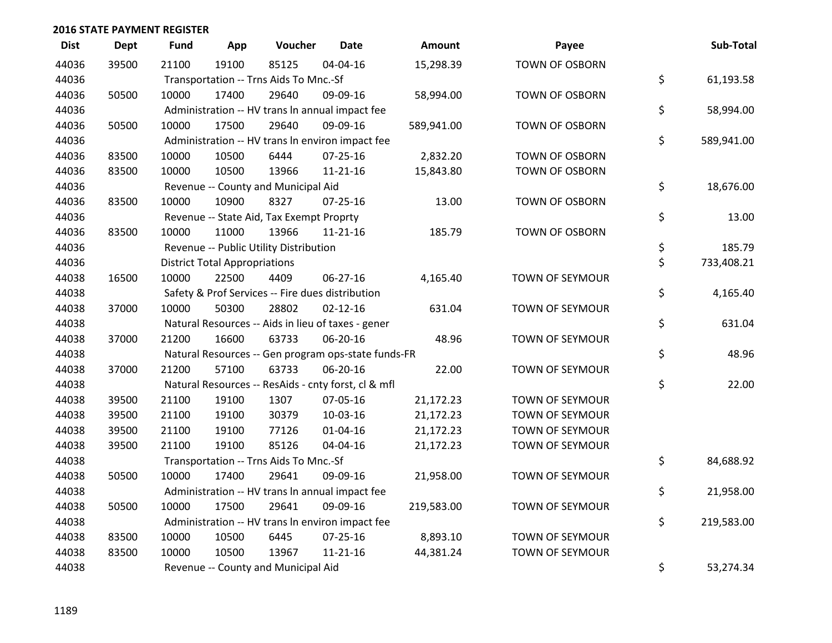| <b>Dist</b> | <b>Dept</b> | <b>Fund</b> | App                                  | Voucher                                             | <b>Date</b>    | Amount     | Payee                  | Sub-Total        |
|-------------|-------------|-------------|--------------------------------------|-----------------------------------------------------|----------------|------------|------------------------|------------------|
| 44036       | 39500       | 21100       | 19100                                | 85125                                               | 04-04-16       | 15,298.39  | <b>TOWN OF OSBORN</b>  |                  |
| 44036       |             |             |                                      | Transportation -- Trns Aids To Mnc.-Sf              |                |            |                        | \$<br>61,193.58  |
| 44036       | 50500       | 10000       | 17400                                | 29640                                               | 09-09-16       | 58,994.00  | <b>TOWN OF OSBORN</b>  |                  |
| 44036       |             |             |                                      | Administration -- HV trans In annual impact fee     |                |            |                        | \$<br>58,994.00  |
| 44036       | 50500       | 10000       | 17500                                | 29640                                               | 09-09-16       | 589,941.00 | TOWN OF OSBORN         |                  |
| 44036       |             |             |                                      | Administration -- HV trans In environ impact fee    |                |            |                        | \$<br>589,941.00 |
| 44036       | 83500       | 10000       | 10500                                | 6444                                                | $07 - 25 - 16$ | 2,832.20   | TOWN OF OSBORN         |                  |
| 44036       | 83500       | 10000       | 10500                                | 13966                                               | $11 - 21 - 16$ | 15,843.80  | <b>TOWN OF OSBORN</b>  |                  |
| 44036       |             |             |                                      | Revenue -- County and Municipal Aid                 |                |            |                        | \$<br>18,676.00  |
| 44036       | 83500       | 10000       | 10900                                | 8327                                                | $07 - 25 - 16$ | 13.00      | TOWN OF OSBORN         |                  |
| 44036       |             |             |                                      | Revenue -- State Aid, Tax Exempt Proprty            |                |            |                        | \$<br>13.00      |
| 44036       | 83500       | 10000       | 11000                                | 13966                                               | $11 - 21 - 16$ | 185.79     | <b>TOWN OF OSBORN</b>  |                  |
| 44036       |             |             |                                      | Revenue -- Public Utility Distribution              |                |            |                        | \$<br>185.79     |
| 44036       |             |             | <b>District Total Appropriations</b> |                                                     |                |            |                        | \$<br>733,408.21 |
| 44038       | 16500       | 10000       | 22500                                | 4409                                                | 06-27-16       | 4,165.40   | TOWN OF SEYMOUR        |                  |
| 44038       |             |             |                                      | Safety & Prof Services -- Fire dues distribution    |                |            |                        | \$<br>4,165.40   |
| 44038       | 37000       | 10000       | 50300                                | 28802                                               | $02 - 12 - 16$ | 631.04     | <b>TOWN OF SEYMOUR</b> |                  |
| 44038       |             |             |                                      | Natural Resources -- Aids in lieu of taxes - gener  |                |            |                        | \$<br>631.04     |
| 44038       | 37000       | 21200       | 16600                                | 63733                                               | 06-20-16       | 48.96      | TOWN OF SEYMOUR        |                  |
| 44038       |             |             |                                      | Natural Resources -- Gen program ops-state funds-FR |                |            |                        | \$<br>48.96      |
| 44038       | 37000       | 21200       | 57100                                | 63733                                               | 06-20-16       | 22.00      | <b>TOWN OF SEYMOUR</b> |                  |
| 44038       |             |             |                                      | Natural Resources -- ResAids - cnty forst, cl & mfl |                |            |                        | \$<br>22.00      |
| 44038       | 39500       | 21100       | 19100                                | 1307                                                | 07-05-16       | 21,172.23  | TOWN OF SEYMOUR        |                  |
| 44038       | 39500       | 21100       | 19100                                | 30379                                               | 10-03-16       | 21,172.23  | TOWN OF SEYMOUR        |                  |
| 44038       | 39500       | 21100       | 19100                                | 77126                                               | $01 - 04 - 16$ | 21,172.23  | TOWN OF SEYMOUR        |                  |
| 44038       | 39500       | 21100       | 19100                                | 85126                                               | 04-04-16       | 21,172.23  | TOWN OF SEYMOUR        |                  |
| 44038       |             |             |                                      | Transportation -- Trns Aids To Mnc.-Sf              |                |            |                        | \$<br>84,688.92  |
| 44038       | 50500       | 10000       | 17400                                | 29641                                               | 09-09-16       | 21,958.00  | TOWN OF SEYMOUR        |                  |
| 44038       |             |             |                                      | Administration -- HV trans In annual impact fee     |                |            |                        | \$<br>21,958.00  |
| 44038       | 50500       | 10000       | 17500                                | 29641                                               | 09-09-16       | 219,583.00 | TOWN OF SEYMOUR        |                  |
| 44038       |             |             |                                      | Administration -- HV trans In environ impact fee    |                |            |                        | \$<br>219,583.00 |
| 44038       | 83500       | 10000       | 10500                                | 6445                                                | $07 - 25 - 16$ | 8,893.10   | TOWN OF SEYMOUR        |                  |
| 44038       | 83500       | 10000       | 10500                                | 13967                                               | $11 - 21 - 16$ | 44,381.24  | TOWN OF SEYMOUR        |                  |
| 44038       |             |             |                                      | Revenue -- County and Municipal Aid                 |                |            |                        | \$<br>53,274.34  |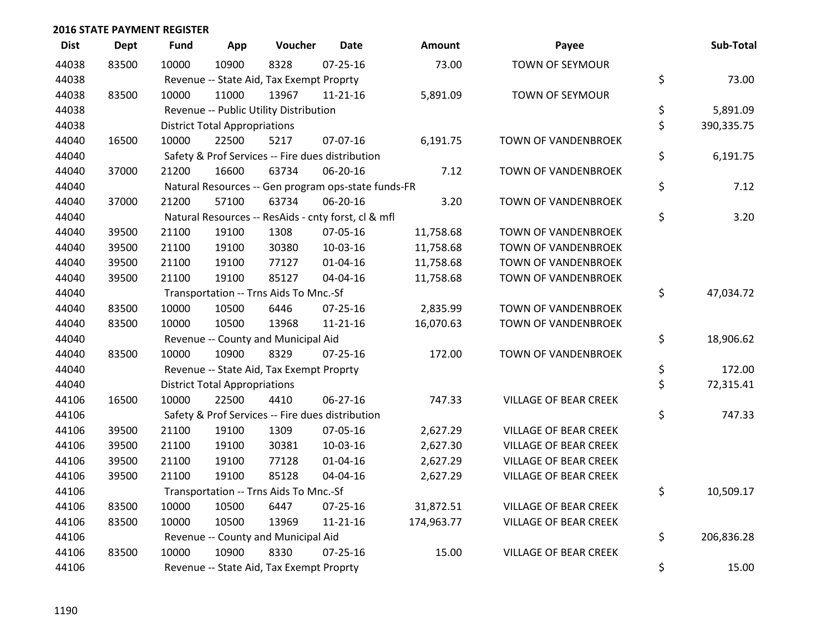| <b>Dist</b> | Dept  | <b>Fund</b> | App                                  | Voucher                                             | <b>Date</b>    | Amount     | Payee                        | Sub-Total        |
|-------------|-------|-------------|--------------------------------------|-----------------------------------------------------|----------------|------------|------------------------------|------------------|
| 44038       | 83500 | 10000       | 10900                                | 8328                                                | $07 - 25 - 16$ | 73.00      | <b>TOWN OF SEYMOUR</b>       |                  |
| 44038       |       |             |                                      | Revenue -- State Aid, Tax Exempt Proprty            |                |            |                              | \$<br>73.00      |
| 44038       | 83500 | 10000       | 11000                                | 13967                                               | $11 - 21 - 16$ | 5,891.09   | <b>TOWN OF SEYMOUR</b>       |                  |
| 44038       |       |             |                                      | Revenue -- Public Utility Distribution              |                |            |                              | \$<br>5,891.09   |
| 44038       |       |             | <b>District Total Appropriations</b> |                                                     |                |            |                              | \$<br>390,335.75 |
| 44040       | 16500 | 10000       | 22500                                | 5217                                                | 07-07-16       | 6,191.75   | TOWN OF VANDENBROEK          |                  |
| 44040       |       |             |                                      | Safety & Prof Services -- Fire dues distribution    |                |            |                              | \$<br>6,191.75   |
| 44040       | 37000 | 21200       | 16600                                | 63734                                               | 06-20-16       | 7.12       | TOWN OF VANDENBROEK          |                  |
| 44040       |       |             |                                      | Natural Resources -- Gen program ops-state funds-FR |                |            |                              | \$<br>7.12       |
| 44040       | 37000 | 21200       | 57100                                | 63734                                               | 06-20-16       | 3.20       | TOWN OF VANDENBROEK          |                  |
| 44040       |       |             |                                      | Natural Resources -- ResAids - cnty forst, cl & mfl |                |            |                              | \$<br>3.20       |
| 44040       | 39500 | 21100       | 19100                                | 1308                                                | 07-05-16       | 11,758.68  | TOWN OF VANDENBROEK          |                  |
| 44040       | 39500 | 21100       | 19100                                | 30380                                               | 10-03-16       | 11,758.68  | TOWN OF VANDENBROEK          |                  |
| 44040       | 39500 | 21100       | 19100                                | 77127                                               | $01 - 04 - 16$ | 11,758.68  | TOWN OF VANDENBROEK          |                  |
| 44040       | 39500 | 21100       | 19100                                | 85127                                               | 04-04-16       | 11,758.68  | TOWN OF VANDENBROEK          |                  |
| 44040       |       |             |                                      | Transportation -- Trns Aids To Mnc.-Sf              |                |            |                              | \$<br>47,034.72  |
| 44040       | 83500 | 10000       | 10500                                | 6446                                                | $07 - 25 - 16$ | 2,835.99   | TOWN OF VANDENBROEK          |                  |
| 44040       | 83500 | 10000       | 10500                                | 13968                                               | 11-21-16       | 16,070.63  | TOWN OF VANDENBROEK          |                  |
| 44040       |       |             |                                      | Revenue -- County and Municipal Aid                 |                |            |                              | \$<br>18,906.62  |
| 44040       | 83500 | 10000       | 10900                                | 8329                                                | $07 - 25 - 16$ | 172.00     | <b>TOWN OF VANDENBROEK</b>   |                  |
| 44040       |       |             |                                      | Revenue -- State Aid, Tax Exempt Proprty            |                |            |                              | \$<br>172.00     |
| 44040       |       |             | <b>District Total Appropriations</b> |                                                     |                |            |                              | \$<br>72,315.41  |
| 44106       | 16500 | 10000       | 22500                                | 4410                                                | 06-27-16       | 747.33     | VILLAGE OF BEAR CREEK        |                  |
| 44106       |       |             |                                      | Safety & Prof Services -- Fire dues distribution    |                |            |                              | \$<br>747.33     |
| 44106       | 39500 | 21100       | 19100                                | 1309                                                | 07-05-16       | 2,627.29   | <b>VILLAGE OF BEAR CREEK</b> |                  |
| 44106       | 39500 | 21100       | 19100                                | 30381                                               | 10-03-16       | 2,627.30   | <b>VILLAGE OF BEAR CREEK</b> |                  |
| 44106       | 39500 | 21100       | 19100                                | 77128                                               | 01-04-16       | 2,627.29   | VILLAGE OF BEAR CREEK        |                  |
| 44106       | 39500 | 21100       | 19100                                | 85128                                               | 04-04-16       | 2,627.29   | <b>VILLAGE OF BEAR CREEK</b> |                  |
| 44106       |       |             |                                      | Transportation -- Trns Aids To Mnc.-Sf              |                |            |                              | \$<br>10,509.17  |
| 44106       | 83500 | 10000       | 10500                                | 6447                                                | $07 - 25 - 16$ | 31,872.51  | <b>VILLAGE OF BEAR CREEK</b> |                  |
| 44106       | 83500 | 10000       | 10500                                | 13969                                               | 11-21-16       | 174,963.77 | <b>VILLAGE OF BEAR CREEK</b> |                  |
| 44106       |       |             |                                      | Revenue -- County and Municipal Aid                 |                |            |                              | \$<br>206,836.28 |
| 44106       | 83500 | 10000       | 10900                                | 8330                                                | $07 - 25 - 16$ | 15.00      | <b>VILLAGE OF BEAR CREEK</b> |                  |
| 44106       |       |             |                                      | Revenue -- State Aid, Tax Exempt Proprty            |                |            |                              | \$<br>15.00      |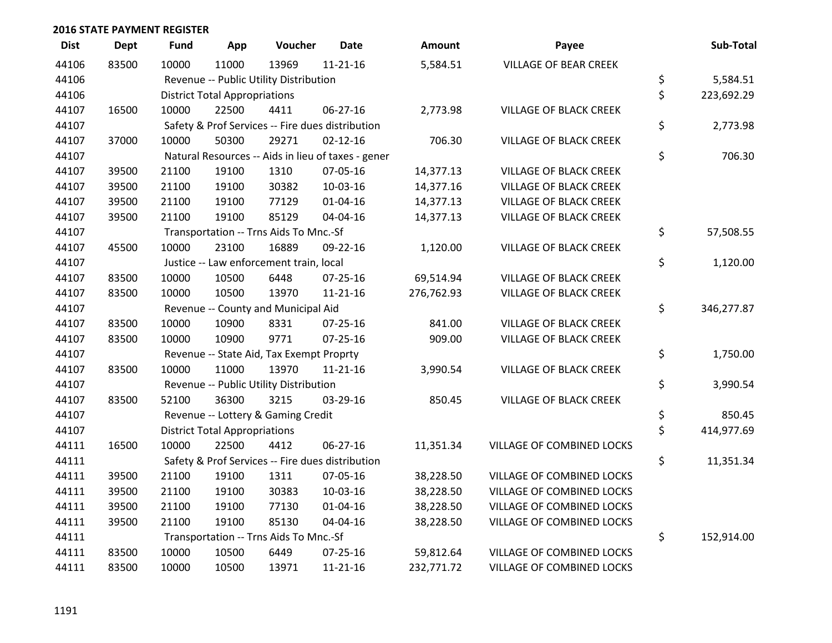| <b>Dist</b> | <b>Dept</b> | <b>Fund</b> | App                                  | Voucher                                          | <b>Date</b>                                        | Amount     | Payee                            | Sub-Total        |
|-------------|-------------|-------------|--------------------------------------|--------------------------------------------------|----------------------------------------------------|------------|----------------------------------|------------------|
| 44106       | 83500       | 10000       | 11000                                | 13969                                            | $11 - 21 - 16$                                     | 5,584.51   | <b>VILLAGE OF BEAR CREEK</b>     |                  |
| 44106       |             |             |                                      | Revenue -- Public Utility Distribution           |                                                    |            |                                  | \$<br>5,584.51   |
| 44106       |             |             | <b>District Total Appropriations</b> |                                                  |                                                    |            |                                  | \$<br>223,692.29 |
| 44107       | 16500       | 10000       | 22500                                | 4411                                             | 06-27-16                                           | 2,773.98   | VILLAGE OF BLACK CREEK           |                  |
| 44107       |             |             |                                      | Safety & Prof Services -- Fire dues distribution |                                                    |            |                                  | \$<br>2,773.98   |
| 44107       | 37000       | 10000       | 50300                                | 29271                                            | $02 - 12 - 16$                                     | 706.30     | <b>VILLAGE OF BLACK CREEK</b>    |                  |
| 44107       |             |             |                                      |                                                  | Natural Resources -- Aids in lieu of taxes - gener |            |                                  | \$<br>706.30     |
| 44107       | 39500       | 21100       | 19100                                | 1310                                             | 07-05-16                                           | 14,377.13  | <b>VILLAGE OF BLACK CREEK</b>    |                  |
| 44107       | 39500       | 21100       | 19100                                | 30382                                            | 10-03-16                                           | 14,377.16  | <b>VILLAGE OF BLACK CREEK</b>    |                  |
| 44107       | 39500       | 21100       | 19100                                | 77129                                            | 01-04-16                                           | 14,377.13  | <b>VILLAGE OF BLACK CREEK</b>    |                  |
| 44107       | 39500       | 21100       | 19100                                | 85129                                            | 04-04-16                                           | 14,377.13  | <b>VILLAGE OF BLACK CREEK</b>    |                  |
| 44107       |             |             |                                      | Transportation -- Trns Aids To Mnc.-Sf           |                                                    |            |                                  | \$<br>57,508.55  |
| 44107       | 45500       | 10000       | 23100                                | 16889                                            | 09-22-16                                           | 1,120.00   | <b>VILLAGE OF BLACK CREEK</b>    |                  |
| 44107       |             |             |                                      | Justice -- Law enforcement train, local          |                                                    |            |                                  | \$<br>1,120.00   |
| 44107       | 83500       | 10000       | 10500                                | 6448                                             | 07-25-16                                           | 69,514.94  | VILLAGE OF BLACK CREEK           |                  |
| 44107       | 83500       | 10000       | 10500                                | 13970                                            | $11 - 21 - 16$                                     | 276,762.93 | <b>VILLAGE OF BLACK CREEK</b>    |                  |
| 44107       |             |             |                                      | Revenue -- County and Municipal Aid              |                                                    |            |                                  | \$<br>346,277.87 |
| 44107       | 83500       | 10000       | 10900                                | 8331                                             | $07 - 25 - 16$                                     | 841.00     | <b>VILLAGE OF BLACK CREEK</b>    |                  |
| 44107       | 83500       | 10000       | 10900                                | 9771                                             | $07 - 25 - 16$                                     | 909.00     | <b>VILLAGE OF BLACK CREEK</b>    |                  |
| 44107       |             |             |                                      | Revenue -- State Aid, Tax Exempt Proprty         |                                                    |            |                                  | \$<br>1,750.00   |
| 44107       | 83500       | 10000       | 11000                                | 13970                                            | $11 - 21 - 16$                                     | 3,990.54   | <b>VILLAGE OF BLACK CREEK</b>    |                  |
| 44107       |             |             |                                      | Revenue -- Public Utility Distribution           |                                                    |            |                                  | \$<br>3,990.54   |
| 44107       | 83500       | 52100       | 36300                                | 3215                                             | 03-29-16                                           | 850.45     | <b>VILLAGE OF BLACK CREEK</b>    |                  |
| 44107       |             |             |                                      | Revenue -- Lottery & Gaming Credit               |                                                    |            |                                  | \$<br>850.45     |
| 44107       |             |             | <b>District Total Appropriations</b> |                                                  |                                                    |            |                                  | \$<br>414,977.69 |
| 44111       | 16500       | 10000       | 22500                                | 4412                                             | $06 - 27 - 16$                                     | 11,351.34  | VILLAGE OF COMBINED LOCKS        |                  |
| 44111       |             |             |                                      | Safety & Prof Services -- Fire dues distribution |                                                    |            |                                  | \$<br>11,351.34  |
| 44111       | 39500       | 21100       | 19100                                | 1311                                             | 07-05-16                                           | 38,228.50  | VILLAGE OF COMBINED LOCKS        |                  |
| 44111       | 39500       | 21100       | 19100                                | 30383                                            | 10-03-16                                           | 38,228.50  | VILLAGE OF COMBINED LOCKS        |                  |
| 44111       | 39500       | 21100       | 19100                                | 77130                                            | $01 - 04 - 16$                                     | 38,228.50  | <b>VILLAGE OF COMBINED LOCKS</b> |                  |
| 44111       | 39500       | 21100       | 19100                                | 85130                                            | 04-04-16                                           | 38,228.50  | VILLAGE OF COMBINED LOCKS        |                  |
| 44111       |             |             |                                      | Transportation -- Trns Aids To Mnc.-Sf           |                                                    |            |                                  | \$<br>152,914.00 |
| 44111       | 83500       | 10000       | 10500                                | 6449                                             | $07 - 25 - 16$                                     | 59,812.64  | VILLAGE OF COMBINED LOCKS        |                  |
| 44111       | 83500       | 10000       | 10500                                | 13971                                            | $11 - 21 - 16$                                     | 232,771.72 | <b>VILLAGE OF COMBINED LOCKS</b> |                  |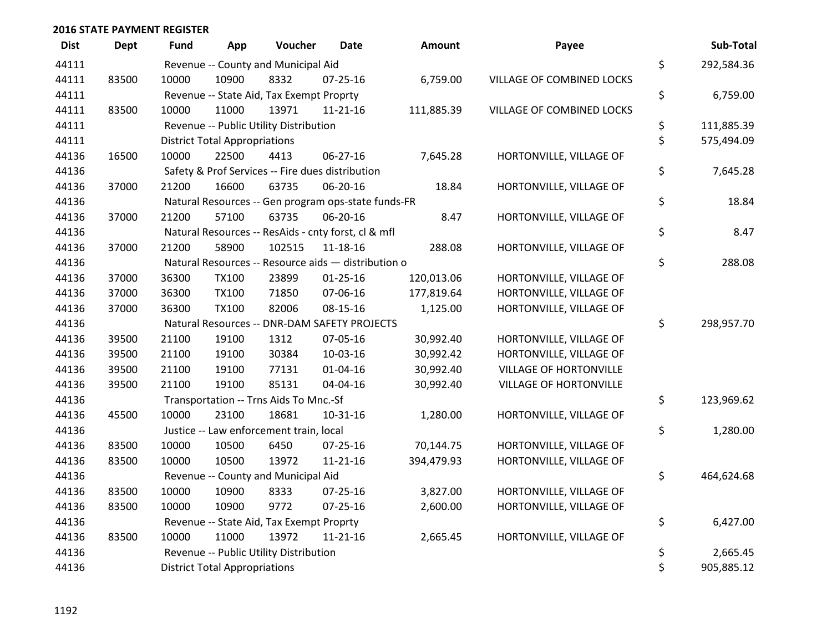| <b>Dist</b> | <b>Dept</b> | Fund  | App                                  | Voucher                                             | Date           | Amount     | Payee                         | Sub-Total        |
|-------------|-------------|-------|--------------------------------------|-----------------------------------------------------|----------------|------------|-------------------------------|------------------|
| 44111       |             |       |                                      | Revenue -- County and Municipal Aid                 |                |            |                               | \$<br>292,584.36 |
| 44111       | 83500       | 10000 | 10900                                | 8332                                                | $07 - 25 - 16$ | 6,759.00   | VILLAGE OF COMBINED LOCKS     |                  |
| 44111       |             |       |                                      | Revenue -- State Aid, Tax Exempt Proprty            |                |            |                               | \$<br>6,759.00   |
| 44111       | 83500       | 10000 | 11000                                | 13971                                               | $11 - 21 - 16$ | 111,885.39 | VILLAGE OF COMBINED LOCKS     |                  |
| 44111       |             |       |                                      | Revenue -- Public Utility Distribution              |                |            |                               | \$<br>111,885.39 |
| 44111       |             |       | <b>District Total Appropriations</b> |                                                     |                |            |                               | \$<br>575,494.09 |
| 44136       | 16500       | 10000 | 22500                                | 4413                                                | $06 - 27 - 16$ | 7,645.28   | HORTONVILLE, VILLAGE OF       |                  |
| 44136       |             |       |                                      | Safety & Prof Services -- Fire dues distribution    |                |            |                               | \$<br>7,645.28   |
| 44136       | 37000       | 21200 | 16600                                | 63735                                               | 06-20-16       | 18.84      | HORTONVILLE, VILLAGE OF       |                  |
| 44136       |             |       |                                      | Natural Resources -- Gen program ops-state funds-FR |                |            |                               | \$<br>18.84      |
| 44136       | 37000       | 21200 | 57100                                | 63735                                               | 06-20-16       | 8.47       | HORTONVILLE, VILLAGE OF       |                  |
| 44136       |             |       |                                      | Natural Resources -- ResAids - cnty forst, cl & mfl |                |            |                               | \$<br>8.47       |
| 44136       | 37000       | 21200 | 58900                                | 102515                                              | $11 - 18 - 16$ | 288.08     | HORTONVILLE, VILLAGE OF       |                  |
| 44136       |             |       |                                      | Natural Resources -- Resource aids - distribution o |                |            |                               | \$<br>288.08     |
| 44136       | 37000       | 36300 | <b>TX100</b>                         | 23899                                               | $01 - 25 - 16$ | 120,013.06 | HORTONVILLE, VILLAGE OF       |                  |
| 44136       | 37000       | 36300 | <b>TX100</b>                         | 71850                                               | 07-06-16       | 177,819.64 | HORTONVILLE, VILLAGE OF       |                  |
| 44136       | 37000       | 36300 | <b>TX100</b>                         | 82006                                               | 08-15-16       | 1,125.00   | HORTONVILLE, VILLAGE OF       |                  |
| 44136       |             |       |                                      | Natural Resources -- DNR-DAM SAFETY PROJECTS        |                |            |                               | \$<br>298,957.70 |
| 44136       | 39500       | 21100 | 19100                                | 1312                                                | 07-05-16       | 30,992.40  | HORTONVILLE, VILLAGE OF       |                  |
| 44136       | 39500       | 21100 | 19100                                | 30384                                               | 10-03-16       | 30,992.42  | HORTONVILLE, VILLAGE OF       |                  |
| 44136       | 39500       | 21100 | 19100                                | 77131                                               | $01 - 04 - 16$ | 30,992.40  | VILLAGE OF HORTONVILLE        |                  |
| 44136       | 39500       | 21100 | 19100                                | 85131                                               | 04-04-16       | 30,992.40  | <b>VILLAGE OF HORTONVILLE</b> |                  |
| 44136       |             |       |                                      | Transportation -- Trns Aids To Mnc.-Sf              |                |            |                               | \$<br>123,969.62 |
| 44136       | 45500       | 10000 | 23100                                | 18681                                               | $10-31-16$     | 1,280.00   | HORTONVILLE, VILLAGE OF       |                  |
| 44136       |             |       |                                      | Justice -- Law enforcement train, local             |                |            |                               | \$<br>1,280.00   |
| 44136       | 83500       | 10000 | 10500                                | 6450                                                | 07-25-16       | 70,144.75  | HORTONVILLE, VILLAGE OF       |                  |
| 44136       | 83500       | 10000 | 10500                                | 13972                                               | $11 - 21 - 16$ | 394,479.93 | HORTONVILLE, VILLAGE OF       |                  |
| 44136       |             |       |                                      | Revenue -- County and Municipal Aid                 |                |            |                               | \$<br>464,624.68 |
| 44136       | 83500       | 10000 | 10900                                | 8333                                                | $07 - 25 - 16$ | 3,827.00   | HORTONVILLE, VILLAGE OF       |                  |
| 44136       | 83500       | 10000 | 10900                                | 9772                                                | 07-25-16       | 2,600.00   | HORTONVILLE, VILLAGE OF       |                  |
| 44136       |             |       |                                      | Revenue -- State Aid, Tax Exempt Proprty            |                |            |                               | \$<br>6,427.00   |
| 44136       | 83500       | 10000 | 11000                                | 13972                                               | $11 - 21 - 16$ | 2,665.45   | HORTONVILLE, VILLAGE OF       |                  |
| 44136       |             |       |                                      | Revenue -- Public Utility Distribution              |                |            |                               | \$<br>2,665.45   |
| 44136       |             |       | <b>District Total Appropriations</b> |                                                     |                |            |                               | \$<br>905,885.12 |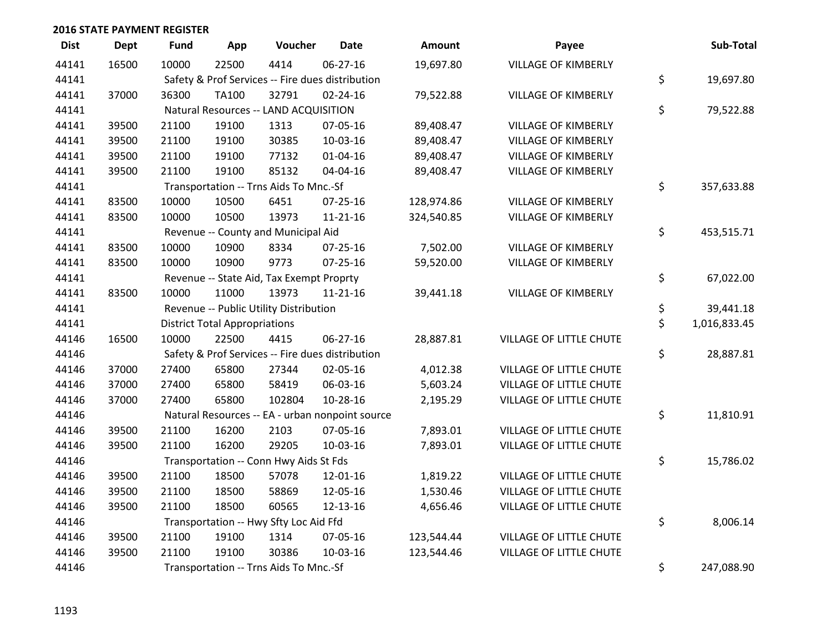| <b>Dist</b> | <b>Dept</b> | <b>Fund</b> | App                                  | Voucher                                  | <b>Date</b>                                      | Amount     | Payee                      | Sub-Total          |
|-------------|-------------|-------------|--------------------------------------|------------------------------------------|--------------------------------------------------|------------|----------------------------|--------------------|
| 44141       | 16500       | 10000       | 22500                                | 4414                                     | 06-27-16                                         | 19,697.80  | <b>VILLAGE OF KIMBERLY</b> |                    |
| 44141       |             |             |                                      |                                          | Safety & Prof Services -- Fire dues distribution |            |                            | \$<br>19,697.80    |
| 44141       | 37000       | 36300       | <b>TA100</b>                         | 32791                                    | $02 - 24 - 16$                                   | 79,522.88  | <b>VILLAGE OF KIMBERLY</b> |                    |
| 44141       |             |             |                                      | Natural Resources -- LAND ACQUISITION    |                                                  |            |                            | \$<br>79,522.88    |
| 44141       | 39500       | 21100       | 19100                                | 1313                                     | 07-05-16                                         | 89,408.47  | <b>VILLAGE OF KIMBERLY</b> |                    |
| 44141       | 39500       | 21100       | 19100                                | 30385                                    | 10-03-16                                         | 89,408.47  | <b>VILLAGE OF KIMBERLY</b> |                    |
| 44141       | 39500       | 21100       | 19100                                | 77132                                    | $01 - 04 - 16$                                   | 89,408.47  | <b>VILLAGE OF KIMBERLY</b> |                    |
| 44141       | 39500       | 21100       | 19100                                | 85132                                    | 04-04-16                                         | 89,408.47  | <b>VILLAGE OF KIMBERLY</b> |                    |
| 44141       |             |             |                                      | Transportation -- Trns Aids To Mnc.-Sf   |                                                  |            |                            | \$<br>357,633.88   |
| 44141       | 83500       | 10000       | 10500                                | 6451                                     | $07 - 25 - 16$                                   | 128,974.86 | <b>VILLAGE OF KIMBERLY</b> |                    |
| 44141       | 83500       | 10000       | 10500                                | 13973                                    | $11 - 21 - 16$                                   | 324,540.85 | VILLAGE OF KIMBERLY        |                    |
| 44141       |             |             |                                      | Revenue -- County and Municipal Aid      |                                                  |            |                            | \$<br>453,515.71   |
| 44141       | 83500       | 10000       | 10900                                | 8334                                     | $07 - 25 - 16$                                   | 7,502.00   | <b>VILLAGE OF KIMBERLY</b> |                    |
| 44141       | 83500       | 10000       | 10900                                | 9773                                     | $07 - 25 - 16$                                   | 59,520.00  | VILLAGE OF KIMBERLY        |                    |
| 44141       |             |             |                                      | Revenue -- State Aid, Tax Exempt Proprty |                                                  |            |                            | \$<br>67,022.00    |
| 44141       | 83500       | 10000       | 11000                                | 13973                                    | $11 - 21 - 16$                                   | 39,441.18  | <b>VILLAGE OF KIMBERLY</b> |                    |
| 44141       |             |             |                                      | Revenue -- Public Utility Distribution   |                                                  |            |                            | \$<br>39,441.18    |
| 44141       |             |             | <b>District Total Appropriations</b> |                                          |                                                  |            |                            | \$<br>1,016,833.45 |
| 44146       | 16500       | 10000       | 22500                                | 4415                                     | 06-27-16                                         | 28,887.81  | VILLAGE OF LITTLE CHUTE    |                    |
| 44146       |             |             |                                      |                                          | Safety & Prof Services -- Fire dues distribution |            |                            | \$<br>28,887.81    |
| 44146       | 37000       | 27400       | 65800                                | 27344                                    | 02-05-16                                         | 4,012.38   | VILLAGE OF LITTLE CHUTE    |                    |
| 44146       | 37000       | 27400       | 65800                                | 58419                                    | 06-03-16                                         | 5,603.24   | VILLAGE OF LITTLE CHUTE    |                    |
| 44146       | 37000       | 27400       | 65800                                | 102804                                   | 10-28-16                                         | 2,195.29   | VILLAGE OF LITTLE CHUTE    |                    |
| 44146       |             |             |                                      |                                          | Natural Resources -- EA - urban nonpoint source  |            |                            | \$<br>11,810.91    |
| 44146       | 39500       | 21100       | 16200                                | 2103                                     | 07-05-16                                         | 7,893.01   | VILLAGE OF LITTLE CHUTE    |                    |
| 44146       | 39500       | 21100       | 16200                                | 29205                                    | 10-03-16                                         | 7,893.01   | VILLAGE OF LITTLE CHUTE    |                    |
| 44146       |             |             |                                      | Transportation -- Conn Hwy Aids St Fds   |                                                  |            |                            | \$<br>15,786.02    |
| 44146       | 39500       | 21100       | 18500                                | 57078                                    | 12-01-16                                         | 1,819.22   | VILLAGE OF LITTLE CHUTE    |                    |
| 44146       | 39500       | 21100       | 18500                                | 58869                                    | 12-05-16                                         | 1,530.46   | VILLAGE OF LITTLE CHUTE    |                    |
| 44146       | 39500       | 21100       | 18500                                | 60565                                    | 12-13-16                                         | 4,656.46   | VILLAGE OF LITTLE CHUTE    |                    |
| 44146       |             |             |                                      | Transportation -- Hwy Sfty Loc Aid Ffd   |                                                  |            |                            | \$<br>8,006.14     |
| 44146       | 39500       | 21100       | 19100                                | 1314                                     | 07-05-16                                         | 123,544.44 | VILLAGE OF LITTLE CHUTE    |                    |
| 44146       | 39500       | 21100       | 19100                                | 30386                                    | 10-03-16                                         | 123,544.46 | VILLAGE OF LITTLE CHUTE    |                    |
| 44146       |             |             |                                      | Transportation -- Trns Aids To Mnc.-Sf   |                                                  |            |                            | \$<br>247,088.90   |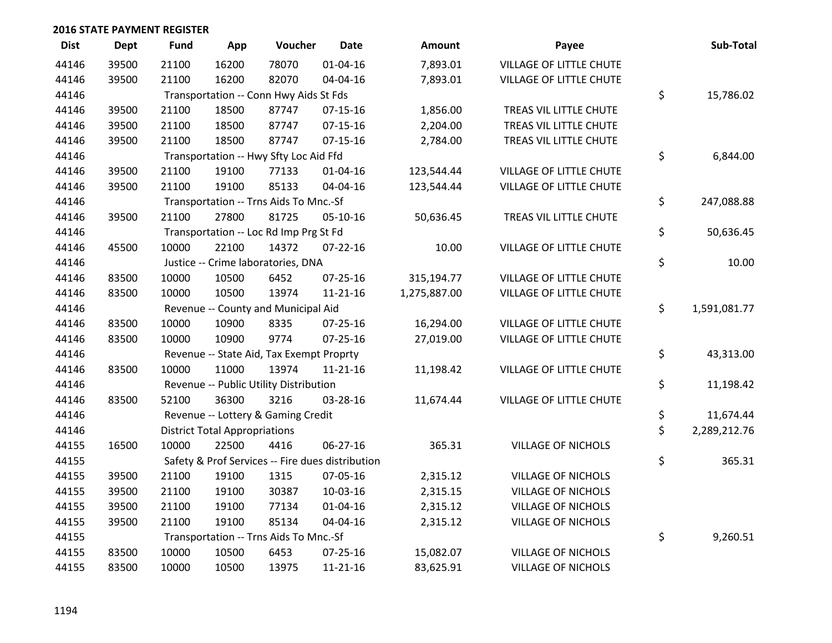| <b>Dist</b> | <b>Dept</b> | <b>Fund</b> | App                                  | Voucher                                  | <b>Date</b>                                      | Amount       | Payee                     | Sub-Total          |
|-------------|-------------|-------------|--------------------------------------|------------------------------------------|--------------------------------------------------|--------------|---------------------------|--------------------|
| 44146       | 39500       | 21100       | 16200                                | 78070                                    | $01 - 04 - 16$                                   | 7,893.01     | VILLAGE OF LITTLE CHUTE   |                    |
| 44146       | 39500       | 21100       | 16200                                | 82070                                    | 04-04-16                                         | 7,893.01     | VILLAGE OF LITTLE CHUTE   |                    |
| 44146       |             |             |                                      | Transportation -- Conn Hwy Aids St Fds   |                                                  |              |                           | \$<br>15,786.02    |
| 44146       | 39500       | 21100       | 18500                                | 87747                                    | $07-15-16$                                       | 1,856.00     | TREAS VIL LITTLE CHUTE    |                    |
| 44146       | 39500       | 21100       | 18500                                | 87747                                    | $07-15-16$                                       | 2,204.00     | TREAS VIL LITTLE CHUTE    |                    |
| 44146       | 39500       | 21100       | 18500                                | 87747                                    | $07 - 15 - 16$                                   | 2,784.00     | TREAS VIL LITTLE CHUTE    |                    |
| 44146       |             |             |                                      | Transportation -- Hwy Sfty Loc Aid Ffd   |                                                  |              |                           | \$<br>6,844.00     |
| 44146       | 39500       | 21100       | 19100                                | 77133                                    | $01 - 04 - 16$                                   | 123,544.44   | VILLAGE OF LITTLE CHUTE   |                    |
| 44146       | 39500       | 21100       | 19100                                | 85133                                    | 04-04-16                                         | 123,544.44   | VILLAGE OF LITTLE CHUTE   |                    |
| 44146       |             |             |                                      | Transportation -- Trns Aids To Mnc.-Sf   |                                                  |              |                           | \$<br>247,088.88   |
| 44146       | 39500       | 21100       | 27800                                | 81725                                    | 05-10-16                                         | 50,636.45    | TREAS VIL LITTLE CHUTE    |                    |
| 44146       |             |             |                                      | Transportation -- Loc Rd Imp Prg St Fd   |                                                  |              |                           | \$<br>50,636.45    |
| 44146       | 45500       | 10000       | 22100                                | 14372                                    | $07 - 22 - 16$                                   | 10.00        | VILLAGE OF LITTLE CHUTE   |                    |
| 44146       |             |             |                                      | Justice -- Crime laboratories, DNA       |                                                  |              |                           | \$<br>10.00        |
| 44146       | 83500       | 10000       | 10500                                | 6452                                     | $07 - 25 - 16$                                   | 315,194.77   | VILLAGE OF LITTLE CHUTE   |                    |
| 44146       | 83500       | 10000       | 10500                                | 13974                                    | $11 - 21 - 16$                                   | 1,275,887.00 | VILLAGE OF LITTLE CHUTE   |                    |
| 44146       |             |             |                                      | Revenue -- County and Municipal Aid      |                                                  |              |                           | \$<br>1,591,081.77 |
| 44146       | 83500       | 10000       | 10900                                | 8335                                     | $07 - 25 - 16$                                   | 16,294.00    | VILLAGE OF LITTLE CHUTE   |                    |
| 44146       | 83500       | 10000       | 10900                                | 9774                                     | $07 - 25 - 16$                                   | 27,019.00    | VILLAGE OF LITTLE CHUTE   |                    |
| 44146       |             |             |                                      | Revenue -- State Aid, Tax Exempt Proprty |                                                  |              |                           | \$<br>43,313.00    |
| 44146       | 83500       | 10000       | 11000                                | 13974                                    | $11 - 21 - 16$                                   | 11,198.42    | VILLAGE OF LITTLE CHUTE   |                    |
| 44146       |             |             |                                      | Revenue -- Public Utility Distribution   |                                                  |              |                           | \$<br>11,198.42    |
| 44146       | 83500       | 52100       | 36300                                | 3216                                     | 03-28-16                                         | 11,674.44    | VILLAGE OF LITTLE CHUTE   |                    |
| 44146       |             |             |                                      | Revenue -- Lottery & Gaming Credit       |                                                  |              |                           | \$<br>11,674.44    |
| 44146       |             |             | <b>District Total Appropriations</b> |                                          |                                                  |              |                           | \$<br>2,289,212.76 |
| 44155       | 16500       | 10000       | 22500                                | 4416                                     | 06-27-16                                         | 365.31       | <b>VILLAGE OF NICHOLS</b> |                    |
| 44155       |             |             |                                      |                                          | Safety & Prof Services -- Fire dues distribution |              |                           | \$<br>365.31       |
| 44155       | 39500       | 21100       | 19100                                | 1315                                     | 07-05-16                                         | 2,315.12     | <b>VILLAGE OF NICHOLS</b> |                    |
| 44155       | 39500       | 21100       | 19100                                | 30387                                    | 10-03-16                                         | 2,315.15     | <b>VILLAGE OF NICHOLS</b> |                    |
| 44155       | 39500       | 21100       | 19100                                | 77134                                    | $01 - 04 - 16$                                   | 2,315.12     | <b>VILLAGE OF NICHOLS</b> |                    |
| 44155       | 39500       | 21100       | 19100                                | 85134                                    | 04-04-16                                         | 2,315.12     | <b>VILLAGE OF NICHOLS</b> |                    |
| 44155       |             |             |                                      | Transportation -- Trns Aids To Mnc.-Sf   |                                                  |              |                           | \$<br>9,260.51     |
| 44155       | 83500       | 10000       | 10500                                | 6453                                     | $07 - 25 - 16$                                   | 15,082.07    | <b>VILLAGE OF NICHOLS</b> |                    |
| 44155       | 83500       | 10000       | 10500                                | 13975                                    | $11 - 21 - 16$                                   | 83,625.91    | <b>VILLAGE OF NICHOLS</b> |                    |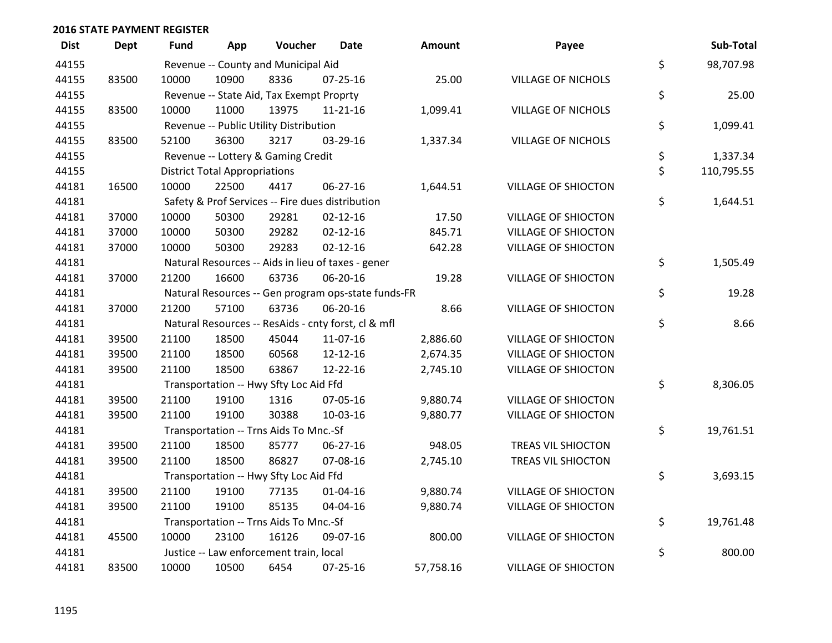| <b>Dist</b> | <b>Dept</b> | Fund  | App                                  | Voucher                                  | <b>Date</b>                                         | <b>Amount</b> | Payee                      |    | Sub-Total |  |
|-------------|-------------|-------|--------------------------------------|------------------------------------------|-----------------------------------------------------|---------------|----------------------------|----|-----------|--|
| 44155       |             |       |                                      | Revenue -- County and Municipal Aid      |                                                     |               |                            | \$ | 98,707.98 |  |
| 44155       | 83500       | 10000 | 10900                                | 8336                                     | $07 - 25 - 16$                                      | 25.00         | <b>VILLAGE OF NICHOLS</b>  |    |           |  |
| 44155       |             |       |                                      | Revenue -- State Aid, Tax Exempt Proprty |                                                     |               |                            | \$ | 25.00     |  |
| 44155       | 83500       | 10000 | 11000                                | 13975                                    | $11 - 21 - 16$                                      | 1,099.41      | <b>VILLAGE OF NICHOLS</b>  |    |           |  |
| 44155       |             |       |                                      | Revenue -- Public Utility Distribution   |                                                     |               |                            | \$ | 1,099.41  |  |
| 44155       | 83500       | 52100 | 36300                                | 3217                                     | 03-29-16                                            | 1,337.34      | <b>VILLAGE OF NICHOLS</b>  |    |           |  |
| 44155       |             |       |                                      | Revenue -- Lottery & Gaming Credit       |                                                     |               |                            | \$ | 1,337.34  |  |
| 44155       |             |       | <b>District Total Appropriations</b> |                                          |                                                     |               |                            |    |           |  |
| 44181       | 16500       | 10000 | 22500                                | 4417                                     | 06-27-16                                            | 1,644.51      | <b>VILLAGE OF SHIOCTON</b> |    |           |  |
| 44181       |             |       |                                      |                                          | Safety & Prof Services -- Fire dues distribution    |               |                            | \$ | 1,644.51  |  |
| 44181       | 37000       | 10000 | 50300                                | 29281                                    | $02 - 12 - 16$                                      | 17.50         | <b>VILLAGE OF SHIOCTON</b> |    |           |  |
| 44181       | 37000       | 10000 | 50300                                | 29282                                    | $02 - 12 - 16$                                      | 845.71        | <b>VILLAGE OF SHIOCTON</b> |    |           |  |
| 44181       | 37000       | 10000 | 50300                                | 29283                                    | $02 - 12 - 16$                                      | 642.28        | <b>VILLAGE OF SHIOCTON</b> |    |           |  |
| 44181       |             |       |                                      |                                          | Natural Resources -- Aids in lieu of taxes - gener  |               |                            | \$ | 1,505.49  |  |
| 44181       | 37000       | 21200 | 16600                                | 63736                                    | 06-20-16                                            | 19.28         | <b>VILLAGE OF SHIOCTON</b> |    |           |  |
| 44181       |             |       |                                      |                                          | Natural Resources -- Gen program ops-state funds-FR |               |                            | \$ | 19.28     |  |
| 44181       | 37000       | 21200 | 57100                                | 63736                                    | 06-20-16                                            | 8.66          | <b>VILLAGE OF SHIOCTON</b> |    |           |  |
| 44181       |             |       |                                      |                                          | Natural Resources -- ResAids - cnty forst, cl & mfl |               |                            | \$ | 8.66      |  |
| 44181       | 39500       | 21100 | 18500                                | 45044                                    | 11-07-16                                            | 2,886.60      | <b>VILLAGE OF SHIOCTON</b> |    |           |  |
| 44181       | 39500       | 21100 | 18500                                | 60568                                    | 12-12-16                                            | 2,674.35      | <b>VILLAGE OF SHIOCTON</b> |    |           |  |
| 44181       | 39500       | 21100 | 18500                                | 63867                                    | 12-22-16                                            | 2,745.10      | <b>VILLAGE OF SHIOCTON</b> |    |           |  |
| 44181       |             |       |                                      | Transportation -- Hwy Sfty Loc Aid Ffd   |                                                     |               |                            | \$ | 8,306.05  |  |
| 44181       | 39500       | 21100 | 19100                                | 1316                                     | 07-05-16                                            | 9,880.74      | <b>VILLAGE OF SHIOCTON</b> |    |           |  |
| 44181       | 39500       | 21100 | 19100                                | 30388                                    | 10-03-16                                            | 9,880.77      | <b>VILLAGE OF SHIOCTON</b> |    |           |  |
| 44181       |             |       |                                      | Transportation -- Trns Aids To Mnc.-Sf   |                                                     |               |                            | \$ | 19,761.51 |  |
| 44181       | 39500       | 21100 | 18500                                | 85777                                    | 06-27-16                                            | 948.05        | TREAS VIL SHIOCTON         |    |           |  |
| 44181       | 39500       | 21100 | 18500                                | 86827                                    | 07-08-16                                            | 2,745.10      | TREAS VIL SHIOCTON         |    |           |  |
| 44181       |             |       |                                      | Transportation -- Hwy Sfty Loc Aid Ffd   |                                                     |               |                            | \$ | 3,693.15  |  |
| 44181       | 39500       | 21100 | 19100                                | 77135                                    | 01-04-16                                            | 9,880.74      | <b>VILLAGE OF SHIOCTON</b> |    |           |  |
| 44181       | 39500       | 21100 | 19100                                | 85135                                    | 04-04-16                                            | 9,880.74      | <b>VILLAGE OF SHIOCTON</b> |    |           |  |
| 44181       |             |       |                                      | Transportation -- Trns Aids To Mnc.-Sf   |                                                     |               |                            | \$ | 19,761.48 |  |
| 44181       | 45500       | 10000 | 23100                                | 16126                                    | 09-07-16                                            | 800.00        | <b>VILLAGE OF SHIOCTON</b> |    |           |  |
| 44181       |             |       |                                      | Justice -- Law enforcement train, local  |                                                     |               |                            | \$ | 800.00    |  |
| 44181       | 83500       | 10000 | 10500                                | 6454                                     | 07-25-16                                            | 57,758.16     | <b>VILLAGE OF SHIOCTON</b> |    |           |  |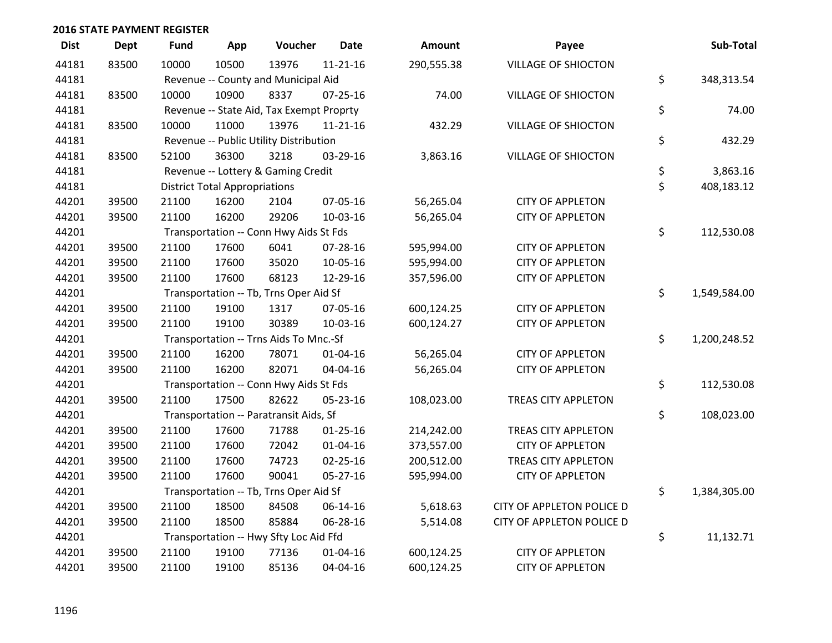| <b>Dist</b> | <b>Dept</b> | <b>Fund</b> | App                                  | Voucher                                  | <b>Date</b>    | Amount     | Payee                      | Sub-Total          |
|-------------|-------------|-------------|--------------------------------------|------------------------------------------|----------------|------------|----------------------------|--------------------|
| 44181       | 83500       | 10000       | 10500                                | 13976                                    | $11 - 21 - 16$ | 290,555.38 | <b>VILLAGE OF SHIOCTON</b> |                    |
| 44181       |             |             |                                      | Revenue -- County and Municipal Aid      |                |            |                            | \$<br>348,313.54   |
| 44181       | 83500       | 10000       | 10900                                | 8337                                     | $07 - 25 - 16$ | 74.00      | <b>VILLAGE OF SHIOCTON</b> |                    |
| 44181       |             |             |                                      | Revenue -- State Aid, Tax Exempt Proprty |                |            |                            | \$<br>74.00        |
| 44181       | 83500       | 10000       | 11000                                | 13976                                    | $11 - 21 - 16$ | 432.29     | <b>VILLAGE OF SHIOCTON</b> |                    |
| 44181       |             |             |                                      | Revenue -- Public Utility Distribution   |                |            |                            | \$<br>432.29       |
| 44181       | 83500       | 52100       | 36300                                | 3218                                     | 03-29-16       | 3,863.16   | <b>VILLAGE OF SHIOCTON</b> |                    |
| 44181       |             |             |                                      | Revenue -- Lottery & Gaming Credit       |                |            |                            | \$<br>3,863.16     |
| 44181       |             |             | <b>District Total Appropriations</b> |                                          |                |            |                            | \$<br>408,183.12   |
| 44201       | 39500       | 21100       | 16200                                | 2104                                     | 07-05-16       | 56,265.04  | <b>CITY OF APPLETON</b>    |                    |
| 44201       | 39500       | 21100       | 16200                                | 29206                                    | 10-03-16       | 56,265.04  | <b>CITY OF APPLETON</b>    |                    |
| 44201       |             |             |                                      | Transportation -- Conn Hwy Aids St Fds   |                |            |                            | \$<br>112,530.08   |
| 44201       | 39500       | 21100       | 17600                                | 6041                                     | 07-28-16       | 595,994.00 | <b>CITY OF APPLETON</b>    |                    |
| 44201       | 39500       | 21100       | 17600                                | 35020                                    | 10-05-16       | 595,994.00 | <b>CITY OF APPLETON</b>    |                    |
| 44201       | 39500       | 21100       | 17600                                | 68123                                    | 12-29-16       | 357,596.00 | <b>CITY OF APPLETON</b>    |                    |
| 44201       |             |             |                                      | Transportation -- Tb, Trns Oper Aid Sf   |                |            |                            | \$<br>1,549,584.00 |
| 44201       | 39500       | 21100       | 19100                                | 1317                                     | 07-05-16       | 600,124.25 | <b>CITY OF APPLETON</b>    |                    |
| 44201       | 39500       | 21100       | 19100                                | 30389                                    | $10-03-16$     | 600,124.27 | <b>CITY OF APPLETON</b>    |                    |
| 44201       |             |             |                                      | Transportation -- Trns Aids To Mnc.-Sf   |                |            |                            | \$<br>1,200,248.52 |
| 44201       | 39500       | 21100       | 16200                                | 78071                                    | $01 - 04 - 16$ | 56,265.04  | <b>CITY OF APPLETON</b>    |                    |
| 44201       | 39500       | 21100       | 16200                                | 82071                                    | 04-04-16       | 56,265.04  | <b>CITY OF APPLETON</b>    |                    |
| 44201       |             |             |                                      | Transportation -- Conn Hwy Aids St Fds   |                |            |                            | \$<br>112,530.08   |
| 44201       | 39500       | 21100       | 17500                                | 82622                                    | 05-23-16       | 108,023.00 | <b>TREAS CITY APPLETON</b> |                    |
| 44201       |             |             |                                      | Transportation -- Paratransit Aids, Sf   |                |            |                            | \$<br>108,023.00   |
| 44201       | 39500       | 21100       | 17600                                | 71788                                    | $01 - 25 - 16$ | 214,242.00 | <b>TREAS CITY APPLETON</b> |                    |
| 44201       | 39500       | 21100       | 17600                                | 72042                                    | $01 - 04 - 16$ | 373,557.00 | <b>CITY OF APPLETON</b>    |                    |
| 44201       | 39500       | 21100       | 17600                                | 74723                                    | $02 - 25 - 16$ | 200,512.00 | TREAS CITY APPLETON        |                    |
| 44201       | 39500       | 21100       | 17600                                | 90041                                    | $05 - 27 - 16$ | 595,994.00 | <b>CITY OF APPLETON</b>    |                    |
| 44201       |             |             |                                      | Transportation -- Tb, Trns Oper Aid Sf   |                |            |                            | \$<br>1,384,305.00 |
| 44201       | 39500       | 21100       | 18500                                | 84508                                    | 06-14-16       | 5,618.63   | CITY OF APPLETON POLICE D  |                    |
| 44201       | 39500       | 21100       | 18500                                | 85884                                    | 06-28-16       | 5,514.08   | CITY OF APPLETON POLICE D  |                    |
| 44201       |             |             |                                      | Transportation -- Hwy Sfty Loc Aid Ffd   |                |            |                            | \$<br>11,132.71    |
| 44201       | 39500       | 21100       | 19100                                | 77136                                    | $01 - 04 - 16$ | 600,124.25 | <b>CITY OF APPLETON</b>    |                    |
| 44201       | 39500       | 21100       | 19100                                | 85136                                    | 04-04-16       | 600,124.25 | <b>CITY OF APPLETON</b>    |                    |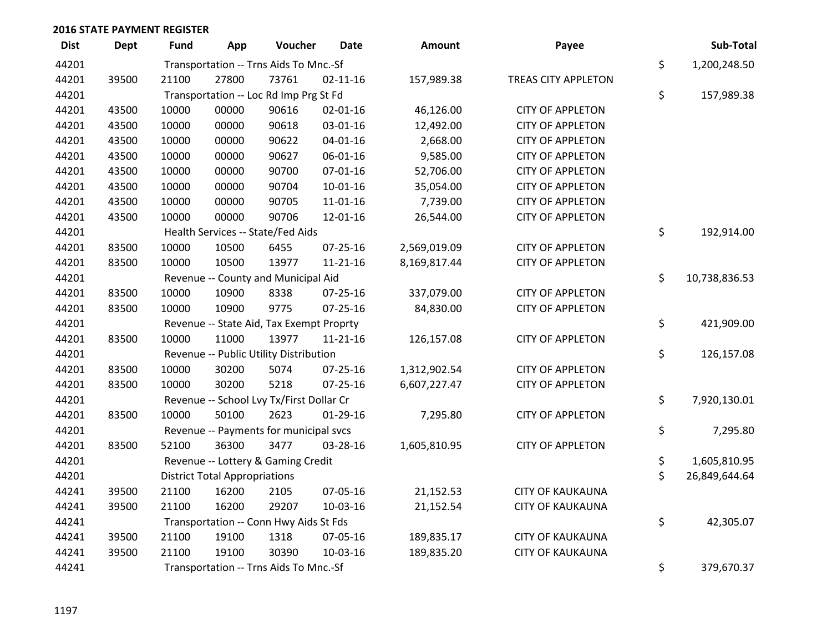| <b>Dist</b> | <b>Dept</b> | <b>Fund</b>                            | App                                  | Voucher                                  | Date           | Amount       | Payee                   | Sub-Total           |
|-------------|-------------|----------------------------------------|--------------------------------------|------------------------------------------|----------------|--------------|-------------------------|---------------------|
| 44201       |             |                                        |                                      | Transportation -- Trns Aids To Mnc.-Sf   |                |              |                         | \$<br>1,200,248.50  |
| 44201       | 39500       | 21100                                  | 27800                                | 73761                                    | $02 - 11 - 16$ | 157,989.38   | TREAS CITY APPLETON     |                     |
| 44201       |             |                                        |                                      | Transportation -- Loc Rd Imp Prg St Fd   |                |              |                         | \$<br>157,989.38    |
| 44201       | 43500       | 10000                                  | 00000                                | 90616                                    | $02 - 01 - 16$ | 46,126.00    | <b>CITY OF APPLETON</b> |                     |
| 44201       | 43500       | 10000                                  | 00000                                | 90618                                    | 03-01-16       | 12,492.00    | <b>CITY OF APPLETON</b> |                     |
| 44201       | 43500       | 10000                                  | 00000                                | 90622                                    | $04 - 01 - 16$ | 2,668.00     | <b>CITY OF APPLETON</b> |                     |
| 44201       | 43500       | 10000                                  | 00000                                | 90627                                    | 06-01-16       | 9,585.00     | <b>CITY OF APPLETON</b> |                     |
| 44201       | 43500       | 10000                                  | 00000                                | 90700                                    | $07 - 01 - 16$ | 52,706.00    | <b>CITY OF APPLETON</b> |                     |
| 44201       | 43500       | 10000                                  | 00000                                | 90704                                    | $10-01-16$     | 35,054.00    | <b>CITY OF APPLETON</b> |                     |
| 44201       | 43500       | 10000                                  | 00000                                | 90705                                    | 11-01-16       | 7,739.00     | <b>CITY OF APPLETON</b> |                     |
| 44201       | 43500       | 10000                                  | 00000                                | 90706                                    | 12-01-16       | 26,544.00    | <b>CITY OF APPLETON</b> |                     |
| 44201       |             |                                        |                                      | Health Services -- State/Fed Aids        |                |              |                         | \$<br>192,914.00    |
| 44201       | 83500       | 10000                                  | 10500                                | 6455                                     | $07 - 25 - 16$ | 2,569,019.09 | <b>CITY OF APPLETON</b> |                     |
| 44201       | 83500       | 10000                                  | 10500                                | 13977                                    | 11-21-16       | 8,169,817.44 | <b>CITY OF APPLETON</b> |                     |
| 44201       |             |                                        |                                      | Revenue -- County and Municipal Aid      |                |              |                         | \$<br>10,738,836.53 |
| 44201       | 83500       | 10000                                  | 10900                                | 8338                                     | $07 - 25 - 16$ | 337,079.00   | <b>CITY OF APPLETON</b> |                     |
| 44201       | 83500       | 10000                                  | 10900                                | 9775                                     | $07 - 25 - 16$ | 84,830.00    | <b>CITY OF APPLETON</b> |                     |
| 44201       |             |                                        |                                      | Revenue -- State Aid, Tax Exempt Proprty |                |              |                         | \$<br>421,909.00    |
| 44201       | 83500       | 10000                                  | 11000                                | 13977                                    | $11 - 21 - 16$ | 126,157.08   | <b>CITY OF APPLETON</b> |                     |
| 44201       |             |                                        |                                      | Revenue -- Public Utility Distribution   |                |              |                         | \$<br>126,157.08    |
| 44201       | 83500       | 10000                                  | 30200                                | 5074                                     | 07-25-16       | 1,312,902.54 | <b>CITY OF APPLETON</b> |                     |
| 44201       | 83500       | 10000                                  | 30200                                | 5218                                     | $07 - 25 - 16$ | 6,607,227.47 | <b>CITY OF APPLETON</b> |                     |
| 44201       |             |                                        |                                      | Revenue -- School Lvy Tx/First Dollar Cr |                |              |                         | \$<br>7,920,130.01  |
| 44201       | 83500       | 10000                                  | 50100                                | 2623                                     | $01-29-16$     | 7,295.80     | <b>CITY OF APPLETON</b> |                     |
| 44201       |             |                                        |                                      | Revenue -- Payments for municipal svcs   |                |              |                         | \$<br>7,295.80      |
| 44201       | 83500       | 52100                                  | 36300                                | 3477                                     | 03-28-16       | 1,605,810.95 | <b>CITY OF APPLETON</b> |                     |
| 44201       |             |                                        |                                      | Revenue -- Lottery & Gaming Credit       |                |              |                         | \$<br>1,605,810.95  |
| 44201       |             |                                        | <b>District Total Appropriations</b> |                                          |                |              |                         | \$<br>26,849,644.64 |
| 44241       | 39500       | 21100                                  | 16200                                | 2105                                     | 07-05-16       | 21,152.53    | <b>CITY OF KAUKAUNA</b> |                     |
| 44241       | 39500       | 21100                                  | 16200                                | 29207                                    | 10-03-16       | 21,152.54    | <b>CITY OF KAUKAUNA</b> |                     |
| 44241       |             |                                        |                                      | Transportation -- Conn Hwy Aids St Fds   |                |              |                         | \$<br>42,305.07     |
| 44241       | 39500       | 21100                                  | 19100                                | 1318                                     | 07-05-16       | 189,835.17   | <b>CITY OF KAUKAUNA</b> |                     |
| 44241       | 39500       | 21100                                  | 19100                                | 30390                                    | 10-03-16       | 189,835.20   | <b>CITY OF KAUKAUNA</b> |                     |
| 44241       |             | Transportation -- Trns Aids To Mnc.-Sf | \$<br>379,670.37                     |                                          |                |              |                         |                     |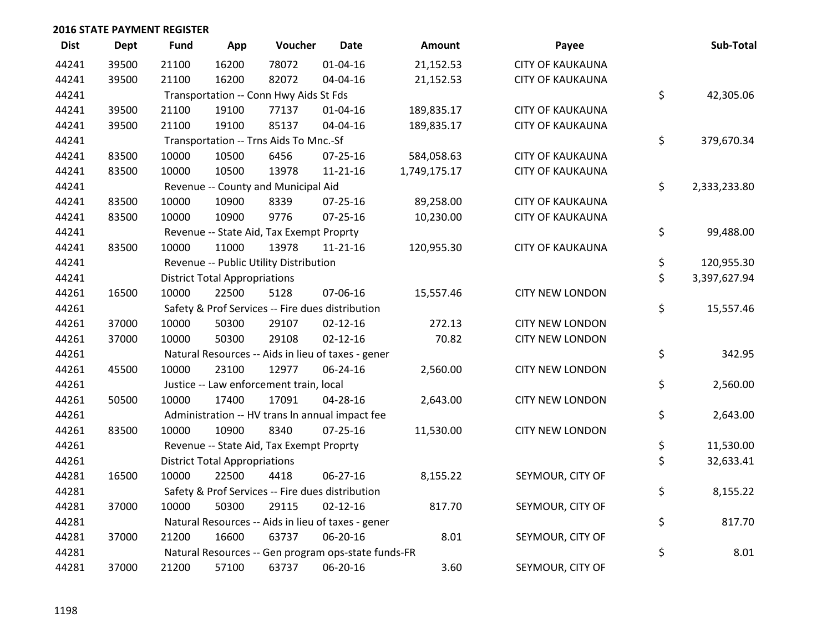| <b>Dist</b> | <b>Dept</b> | <b>Fund</b> | App                                                | Voucher                                  | <b>Date</b>                                         | Amount       | Payee                   |    | Sub-Total    |
|-------------|-------------|-------------|----------------------------------------------------|------------------------------------------|-----------------------------------------------------|--------------|-------------------------|----|--------------|
| 44241       | 39500       | 21100       | 16200                                              | 78072                                    | $01 - 04 - 16$                                      | 21,152.53    | <b>CITY OF KAUKAUNA</b> |    |              |
| 44241       | 39500       | 21100       | 16200                                              | 82072                                    | 04-04-16                                            | 21,152.53    | <b>CITY OF KAUKAUNA</b> |    |              |
| 44241       |             |             | Transportation -- Conn Hwy Aids St Fds             |                                          | \$                                                  | 42,305.06    |                         |    |              |
| 44241       | 39500       | 21100       | 19100                                              | 77137                                    | $01 - 04 - 16$                                      | 189,835.17   | <b>CITY OF KAUKAUNA</b> |    |              |
| 44241       | 39500       | 21100       | 19100                                              | 85137                                    | 04-04-16                                            | 189,835.17   | <b>CITY OF KAUKAUNA</b> |    |              |
| 44241       |             |             |                                                    | Transportation -- Trns Aids To Mnc.-Sf   |                                                     |              |                         | \$ | 379,670.34   |
| 44241       | 83500       | 10000       | 10500                                              | 6456                                     | 07-25-16                                            | 584,058.63   | <b>CITY OF KAUKAUNA</b> |    |              |
| 44241       | 83500       | 10000       | 10500                                              | 13978                                    | $11 - 21 - 16$                                      | 1,749,175.17 | <b>CITY OF KAUKAUNA</b> |    |              |
| 44241       |             |             |                                                    | Revenue -- County and Municipal Aid      |                                                     |              |                         | \$ | 2,333,233.80 |
| 44241       | 83500       | 10000       | 10900                                              | 8339                                     | 07-25-16                                            | 89,258.00    | <b>CITY OF KAUKAUNA</b> |    |              |
| 44241       | 83500       | 10000       | 10900                                              | 9776                                     | 07-25-16                                            | 10,230.00    | <b>CITY OF KAUKAUNA</b> |    |              |
| 44241       |             |             |                                                    | Revenue -- State Aid, Tax Exempt Proprty |                                                     |              |                         | \$ | 99,488.00    |
| 44241       | 83500       | 10000       | 11000                                              | 13978                                    | $11 - 21 - 16$                                      | 120,955.30   | <b>CITY OF KAUKAUNA</b> |    |              |
| 44241       |             |             |                                                    | Revenue -- Public Utility Distribution   |                                                     |              |                         | \$ | 120,955.30   |
| 44241       |             |             | <b>District Total Appropriations</b>               |                                          |                                                     |              |                         | \$ | 3,397,627.94 |
| 44261       | 16500       | 10000       | 22500                                              | 5128                                     | 07-06-16                                            | 15,557.46    | <b>CITY NEW LONDON</b>  |    |              |
| 44261       |             |             |                                                    |                                          | Safety & Prof Services -- Fire dues distribution    |              |                         | \$ | 15,557.46    |
| 44261       | 37000       | 10000       | 50300                                              | 29107                                    | $02 - 12 - 16$                                      | 272.13       | <b>CITY NEW LONDON</b>  |    |              |
| 44261       | 37000       | 10000       | 50300                                              | 29108                                    | $02 - 12 - 16$                                      | 70.82        | <b>CITY NEW LONDON</b>  |    |              |
| 44261       |             |             |                                                    |                                          | Natural Resources -- Aids in lieu of taxes - gener  |              |                         | \$ | 342.95       |
| 44261       | 45500       | 10000       | 23100                                              | 12977                                    | 06-24-16                                            | 2,560.00     | <b>CITY NEW LONDON</b>  |    |              |
| 44261       |             |             |                                                    | Justice -- Law enforcement train, local  |                                                     |              |                         | \$ | 2,560.00     |
| 44261       | 50500       | 10000       | 17400                                              | 17091                                    | 04-28-16                                            | 2,643.00     | <b>CITY NEW LONDON</b>  |    |              |
| 44261       |             |             |                                                    |                                          | Administration -- HV trans In annual impact fee     |              |                         | \$ | 2,643.00     |
| 44261       | 83500       | 10000       | 10900                                              | 8340                                     | $07 - 25 - 16$                                      | 11,530.00    | <b>CITY NEW LONDON</b>  |    |              |
| 44261       |             |             |                                                    | Revenue -- State Aid, Tax Exempt Proprty |                                                     |              |                         | \$ | 11,530.00    |
| 44261       |             |             | <b>District Total Appropriations</b>               |                                          |                                                     |              |                         | \$ | 32,633.41    |
| 44281       | 16500       | 10000       | 22500                                              | 4418                                     | 06-27-16                                            | 8,155.22     | SEYMOUR, CITY OF        |    |              |
| 44281       |             |             |                                                    |                                          | Safety & Prof Services -- Fire dues distribution    |              |                         | \$ | 8,155.22     |
| 44281       | 37000       | 10000       | 50300                                              | 29115                                    | $02 - 12 - 16$                                      | 817.70       | SEYMOUR, CITY OF        |    |              |
| 44281       |             |             | Natural Resources -- Aids in lieu of taxes - gener |                                          |                                                     |              |                         |    |              |
| 44281       | 37000       | 21200       | 16600                                              | 63737                                    | 06-20-16                                            | 8.01         | SEYMOUR, CITY OF        |    |              |
| 44281       |             |             |                                                    |                                          | Natural Resources -- Gen program ops-state funds-FR |              |                         | \$ | 8.01         |
| 44281       | 37000       | 21200       | 57100                                              | 63737                                    | 06-20-16                                            | 3.60         | SEYMOUR, CITY OF        |    |              |